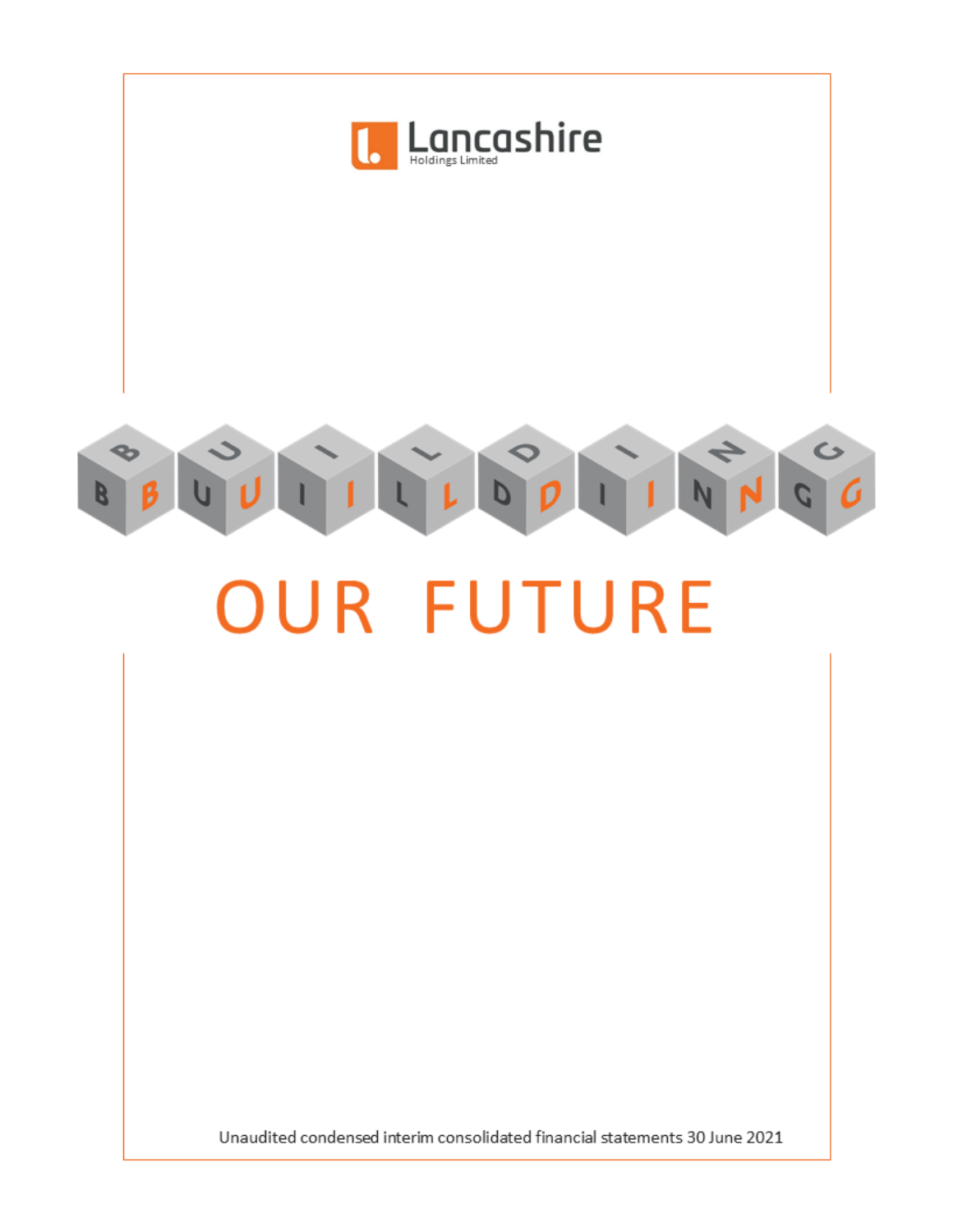

# **OUR FUTURE**

Unaudited condensed interim consolidated financial statements 30 June 2021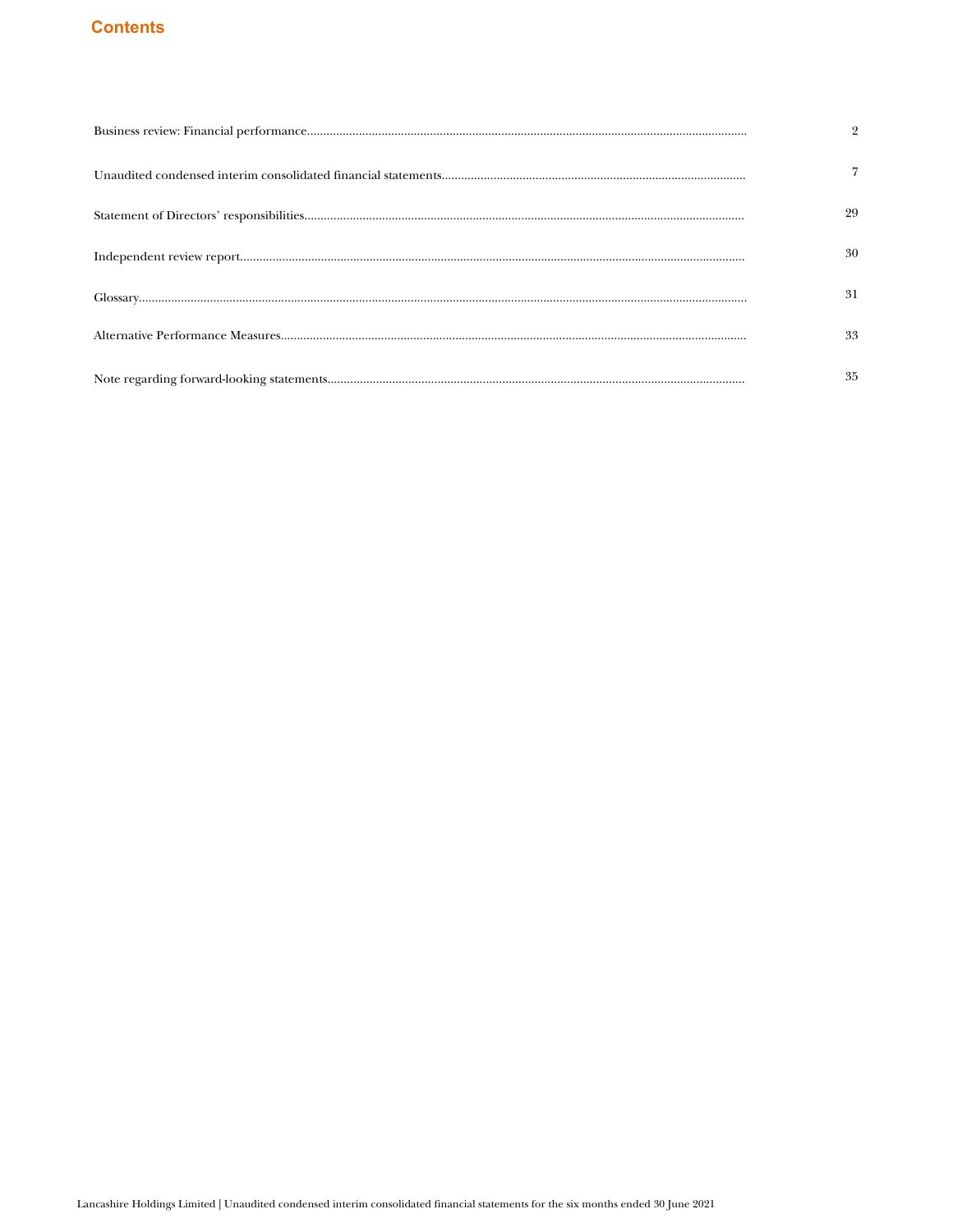# **Contents**

| $\overline{2}$ |
|----------------|
| 7              |
| 29             |
| 30             |
| 31             |
| 33             |
| 35             |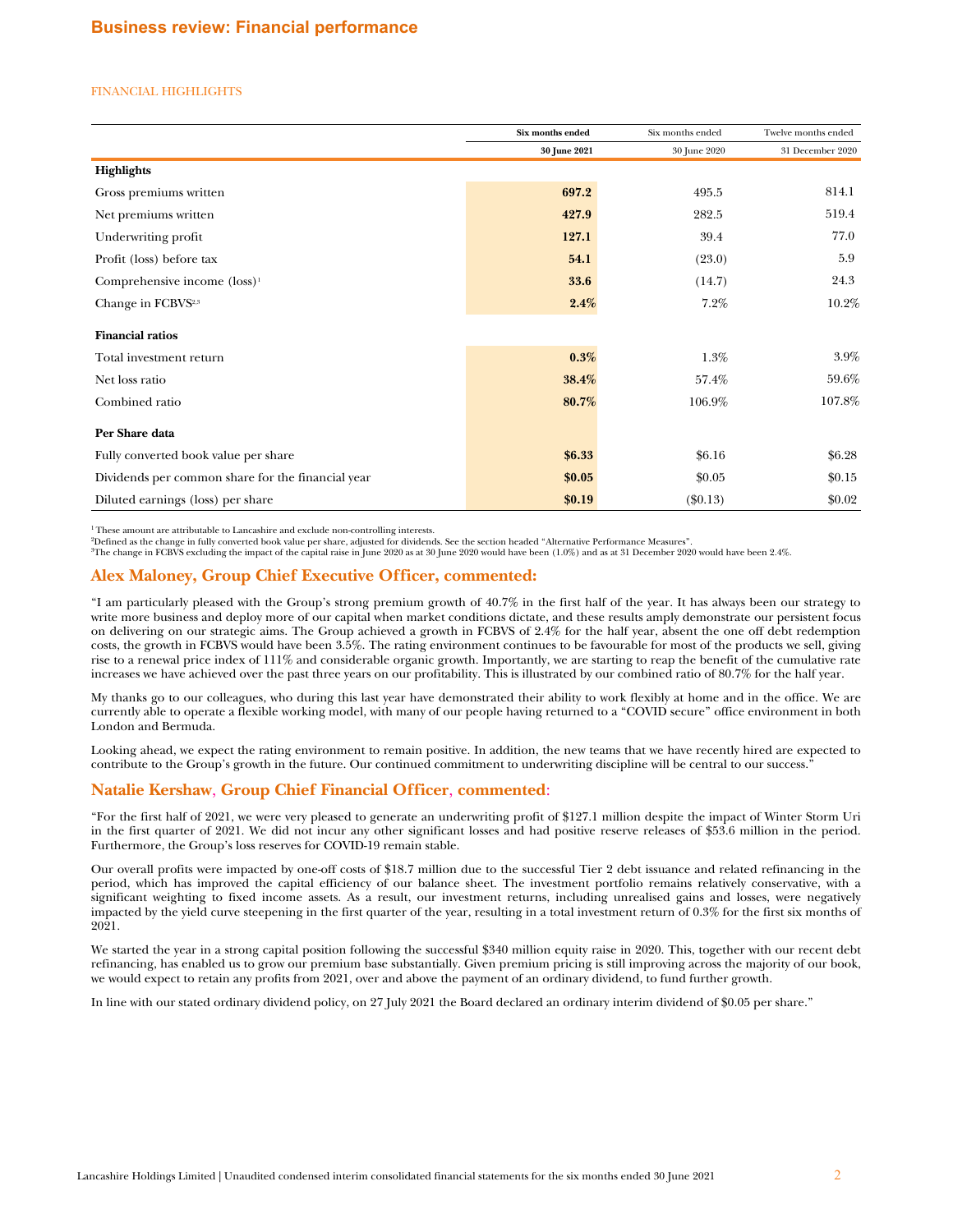## <span id="page-2-0"></span>FINANCIAL HIGHLIGHTS

|                                                   | Six months ended | Six months ended | Twelve months ended |
|---------------------------------------------------|------------------|------------------|---------------------|
|                                                   | 30 June 2021     | 30 June 2020     | 31 December 2020    |
| <b>Highlights</b>                                 |                  |                  |                     |
| Gross premiums written                            | 697.2            | 495.5            | 814.1               |
| Net premiums written                              | 427.9            | 282.5            | 519.4               |
| Underwriting profit                               | 127.1            | 39.4             | 77.0                |
| Profit (loss) before tax                          | 54.1             | (23.0)           | 5.9                 |
| Comprehensive income $(\text{loss})^1$            | 33.6             | (14.7)           | 24.3                |
| Change in FCBVS <sup>2,3</sup>                    | 2.4%             | $7.2\%$          | 10.2%               |
| <b>Financial ratios</b>                           |                  |                  |                     |
| Total investment return                           | 0.3%             | 1.3%             | 3.9%                |
| Net loss ratio                                    | 38.4%            | 57.4%            | 59.6%               |
| Combined ratio                                    | 80.7%            | 106.9%           | 107.8%              |
| Per Share data                                    |                  |                  |                     |
| Fully converted book value per share              | \$6.33           | \$6.16           | \$6.28              |
| Dividends per common share for the financial year | \$0.05           | \$0.05           | \$0.15              |
| Diluted earnings (loss) per share                 | \$0.19           | $(\$0.13)$       | \$0.02\$            |

<sup>1</sup>These amount are attributable to Lancashire and exclude non-controlling interests.

<sup>2</sup>Defined as the change in fully converted book value per share, adjusted for dividends. See the section headed "Alternative Performance Measures".

<sup>3</sup>The change in FCBVS excluding the impact of the capital raise in June 2020 as at 30 June 2020 would have been (1.0%) and as at 31 December 2020 would have been 2.4%.

# **Alex Maloney, Group Chief Executive Officer, commented:**

"I am particularly pleased with the Group's strong premium growth of 40.7% in the first half of the year. It has always been our strategy to write more business and deploy more of our capital when market conditions dictate, and these results amply demonstrate our persistent focus on delivering on our strategic aims. The Group achieved a growth in FCBVS of 2.4% for the half year, absent the one off debt redemption costs, the growth in FCBVS would have been 3.5%. The rating environment continues to be favourable for most of the products we sell, giving rise to a renewal price index of 111% and considerable organic growth. Importantly, we are starting to reap the benefit of the cumulative rate increases we have achieved over the past three years on our profitability. This is illustrated by our combined ratio of 80.7% for the half year.

My thanks go to our colleagues, who during this last year have demonstrated their ability to work flexibly at home and in the office. We are currently able to operate a flexible working model, with many of our people having returned to a "COVID secure" office environment in both London and Bermuda.

Looking ahead, we expect the rating environment to remain positive. In addition, the new teams that we have recently hired are expected to contribute to the Group's growth in the future. Our continued commitment to underwriting discipline will be central to our success."

# **Natalie Kershaw**, **Group Chief Financial Officer**, **commented**:

"For the first half of 2021, we were very pleased to generate an underwriting profit of \$127.1 million despite the impact of Winter Storm Uri in the first quarter of 2021. We did not incur any other significant losses and had positive reserve releases of \$53.6 million in the period. Furthermore, the Group's loss reserves for COVID-19 remain stable.

Our overall profits were impacted by one-off costs of \$18.7 million due to the successful Tier 2 debt issuance and related refinancing in the period, which has improved the capital efficiency of our balance sheet. The investment portfolio remains relatively conservative, with a significant weighting to fixed income assets. As a result, our investment returns, including unrealised gains and losses, were negatively impacted by the yield curve steepening in the first quarter of the year, resulting in a total investment return of 0.3% for the first six months of 2021.

We started the year in a strong capital position following the successful \$340 million equity raise in 2020. This, together with our recent debt refinancing, has enabled us to grow our premium base substantially. Given premium pricing is still improving across the majority of our book, we would expect to retain any profits from 2021, over and above the payment of an ordinary dividend, to fund further growth.

In line with our stated ordinary dividend policy, on 27 July 2021 the Board declared an ordinary interim dividend of \$0.05 per share."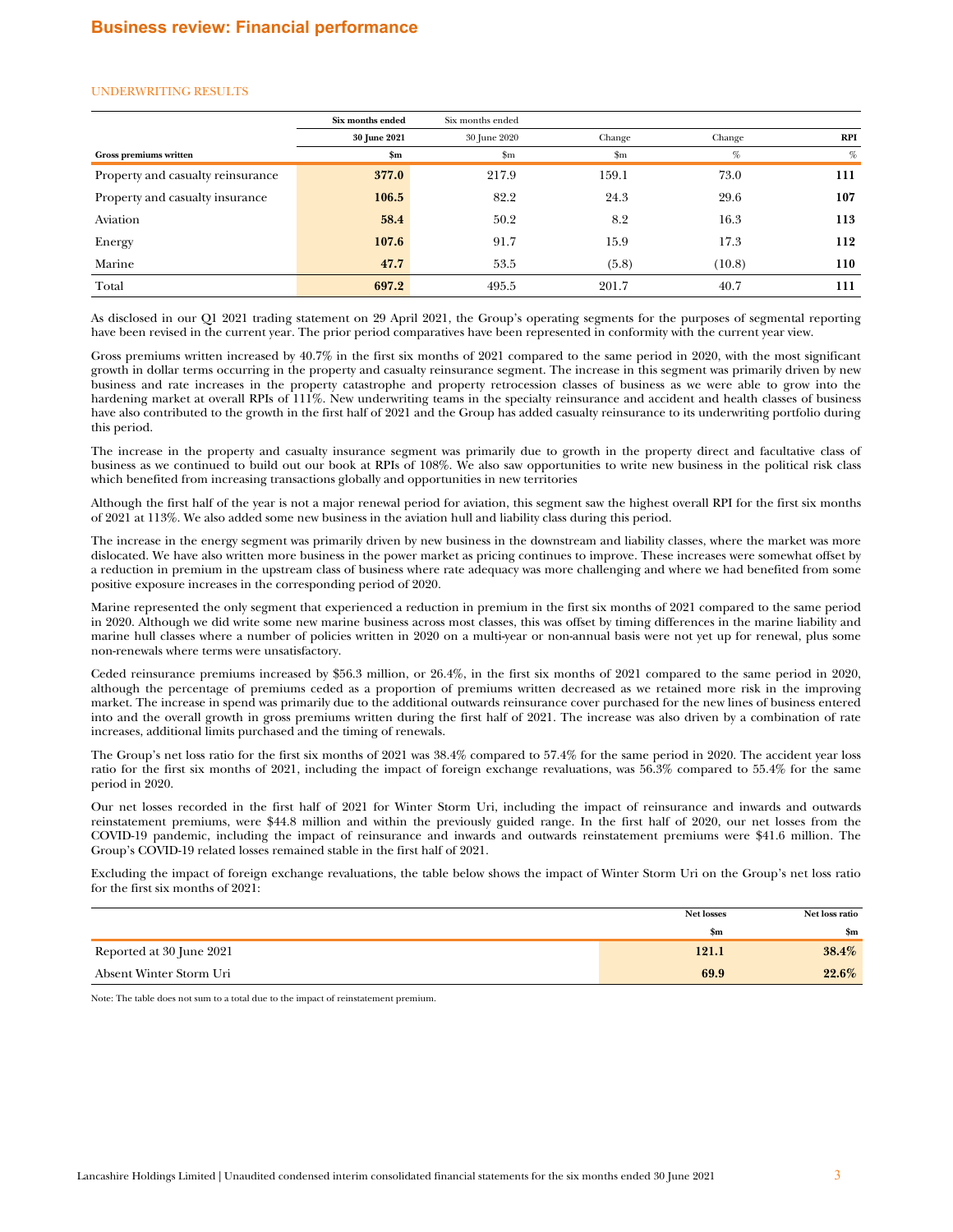#### UNDERWRITING RESULTS

|                                   | Six months ended | Six months ended |               |        |     |
|-----------------------------------|------------------|------------------|---------------|--------|-----|
|                                   | 30 June 2021     | 30 June 2020     | Change        | Change | RPI |
| Gross premiums written            | $\mathbf{Sm}$    | $\mathbf{Sm}$    | $\mathbf{Sm}$ | %      | %   |
| Property and casualty reinsurance | 377.0            | 217.9            | 159.1         | 73.0   | 111 |
| Property and casualty insurance   | 106.5            | 82.2             | 24.3          | 29.6   | 107 |
| Aviation                          | 58.4             | 50.2             | 8.2           | 16.3   | 113 |
| Energy                            | 107.6            | 91.7             | 15.9          | 17.3   | 112 |
| Marine                            | 47.7             | 53.5             | (5.8)         | (10.8) | 110 |
| Total                             | 697.2            | 495.5            | 201.7         | 40.7   | 111 |

As disclosed in our Q1 2021 trading statement on 29 April 2021, the Group's operating segments for the purposes of segmental reporting have been revised in the current year. The prior period comparatives have been represented in conformity with the current year view.

Gross premiums written increased by 40.7% in the first six months of 2021 compared to the same period in 2020, with the most significant growth in dollar terms occurring in the property and casualty reinsurance segment. The increase in this segment was primarily driven by new business and rate increases in the property catastrophe and property retrocession classes of business as we were able to grow into the hardening market at overall RPIs of 111%. New underwriting teams in the specialty reinsurance and accident and health classes of business have also contributed to the growth in the first half of 2021 and the Group has added casualty reinsurance to its underwriting portfolio during this period.

The increase in the property and casualty insurance segment was primarily due to growth in the property direct and facultative class of business as we continued to build out our book at RPIs of 108%. We also saw opportunities to write new business in the political risk class which benefited from increasing transactions globally and opportunities in new territories

Although the first half of the year is not a major renewal period for aviation, this segment saw the highest overall RPI for the first six months of 2021 at 113%. We also added some new business in the aviation hull and liability class during this period.

The increase in the energy segment was primarily driven by new business in the downstream and liability classes, where the market was more dislocated. We have also written more business in the power market as pricing continues to improve. These increases were somewhat offset by a reduction in premium in the upstream class of business where rate adequacy was more challenging and where we had benefited from some positive exposure increases in the corresponding period of 2020.

Marine represented the only segment that experienced a reduction in premium in the first six months of 2021 compared to the same period in 2020. Although we did write some new marine business across most classes, this was offset by timing differences in the marine liability and marine hull classes where a number of policies written in 2020 on a multi-year or non-annual basis were not yet up for renewal, plus some non-renewals where terms were unsatisfactory.

Ceded reinsurance premiums increased by \$56.3 million, or 26.4%, in the first six months of 2021 compared to the same period in 2020, although the percentage of premiums ceded as a proportion of premiums written decreased as we retained more risk in the improving market. The increase in spend was primarily due to the additional outwards reinsurance cover purchased for the new lines of business entered into and the overall growth in gross premiums written during the first half of 2021. The increase was also driven by a combination of rate increases, additional limits purchased and the timing of renewals.

The Group's net loss ratio for the first six months of 2021 was 38.4% compared to 57.4% for the same period in 2020. The accident year loss ratio for the first six months of 2021, including the impact of foreign exchange revaluations, was 56.3% compared to 55.4% for the same period in 2020.

Our net losses recorded in the first half of 2021 for Winter Storm Uri, including the impact of reinsurance and inwards and outwards reinstatement premiums, were \$44.8 million and within the previously guided range. In the first half of 2020, our net losses from the COVID-19 pandemic, including the impact of reinsurance and inwards and outwards reinstatement premiums were \$41.6 million. The Group's COVID-19 related losses remained stable in the first half of 2021.

Excluding the impact of foreign exchange revaluations, the table below shows the impact of Winter Storm Uri on the Group's net loss ratio for the first six months of 2021:

|                          | <b>Net losses</b> | Net loss ratio |
|--------------------------|-------------------|----------------|
|                          | 5m                | \$m            |
| Reported at 30 June 2021 | 121.1             | 38.4%          |
| Absent Winter Storm Uri  | 69.9              | $22.6\%$       |

Note: The table does not sum to a total due to the impact of reinstatement premium.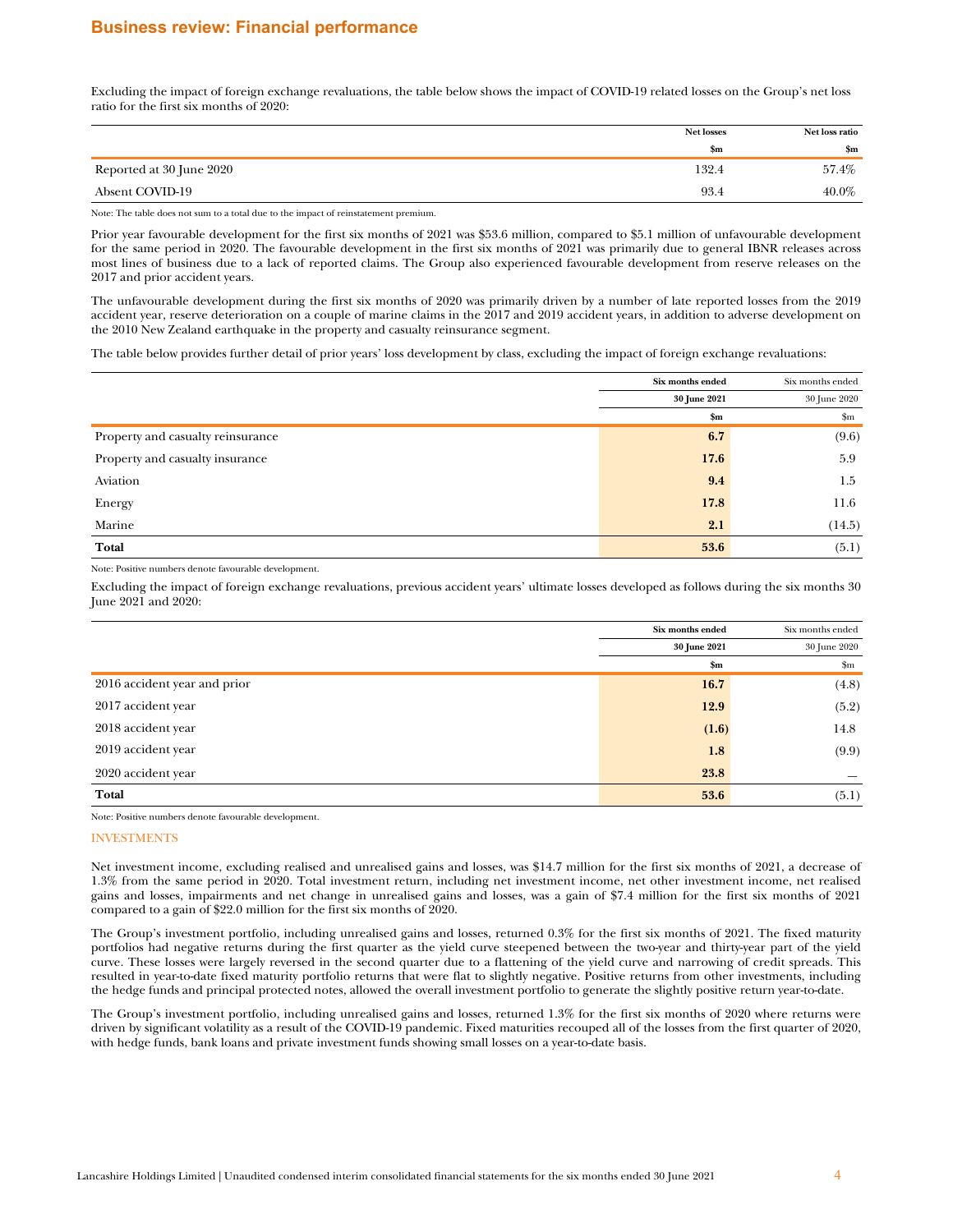# **Business review: Financial performance**

Excluding the impact of foreign exchange revaluations, the table below shows the impact of COVID-19 related losses on the Group's net loss ratio for the first six months of 2020:

| <b>Net losses</b> | Net loss ratio |
|-------------------|----------------|
| $\mathbf{Sm}$     | \$m            |
| 132.4             | 57.4%          |
| 93.4              | 40.0%          |
|                   |                |

Note: The table does not sum to a total due to the impact of reinstatement premium.

Prior year favourable development for the first six months of 2021 was \$53.6 million, compared to \$5.1 million of unfavourable development for the same period in 2020. The favourable development in the first six months of 2021 was primarily due to general IBNR releases across most lines of business due to a lack of reported claims. The Group also experienced favourable development from reserve releases on the 2017 and prior accident years.

The unfavourable development during the first six months of 2020 was primarily driven by a number of late reported losses from the 2019 accident year, reserve deterioration on a couple of marine claims in the 2017 and 2019 accident years, in addition to adverse development on the 2010 New Zealand earthquake in the property and casualty reinsurance segment.

The table below provides further detail of prior years' loss development by class, excluding the impact of foreign exchange revaluations:

|                                   | Six months ended | Six months ended |
|-----------------------------------|------------------|------------------|
|                                   | 30 June 2021     | 30 June 2020     |
|                                   | \$m\$            | $\mathbf{Sm}$    |
| Property and casualty reinsurance | 6.7              | (9.6)            |
| Property and casualty insurance   | 17.6             | 5.9              |
| Aviation                          | 9.4              | 1.5              |
| Energy                            | 17.8             | 11.6             |
| Marine                            | 2.1              | (14.5)           |
| Total                             | 53.6             | (5.1)            |

Note: Positive numbers denote favourable development.

Excluding the impact of foreign exchange revaluations, previous accident years' ultimate losses developed as follows during the six months 30 June 2021 and 2020:

|                              | Six months ended | Six months ended |
|------------------------------|------------------|------------------|
|                              | 30 June 2021     | 30 June 2020     |
|                              | \$m\$            | \$m              |
| 2016 accident year and prior | 16.7             | (4.8)            |
| 2017 accident year           | 12.9             | (5.2)            |
| 2018 accident year           | (1.6)            | 14.8             |
| 2019 accident year           | 1.8              | (9.9)            |
| 2020 accident year           | 23.8             |                  |
| Total                        | 53.6             | (5.1)            |

Note: Positive numbers denote favourable development.

## INVESTMENTS

Net investment income, excluding realised and unrealised gains and losses, was \$14.7 million for the first six months of 2021, a decrease of 1.3% from the same period in 2020. Total investment return, including net investment income, net other investment income, net realised gains and losses, impairments and net change in unrealised gains and losses, was a gain of \$7.4 million for the first six months of 2021 compared to a gain of \$22.0 million for the first six months of 2020.

The Group's investment portfolio, including unrealised gains and losses, returned 0.3% for the first six months of 2021. The fixed maturity portfolios had negative returns during the first quarter as the yield curve steepened between the two-year and thirty-year part of the yield curve. These losses were largely reversed in the second quarter due to a flattening of the yield curve and narrowing of credit spreads. This resulted in year-to-date fixed maturity portfolio returns that were flat to slightly negative. Positive returns from other investments, including the hedge funds and principal protected notes, allowed the overall investment portfolio to generate the slightly positive return year-to-date.

The Group's investment portfolio, including unrealised gains and losses, returned 1.3% for the first six months of 2020 where returns were driven by significant volatility as a result of the COVID-19 pandemic. Fixed maturities recouped all of the losses from the first quarter of 2020, with hedge funds, bank loans and private investment funds showing small losses on a year-to-date basis.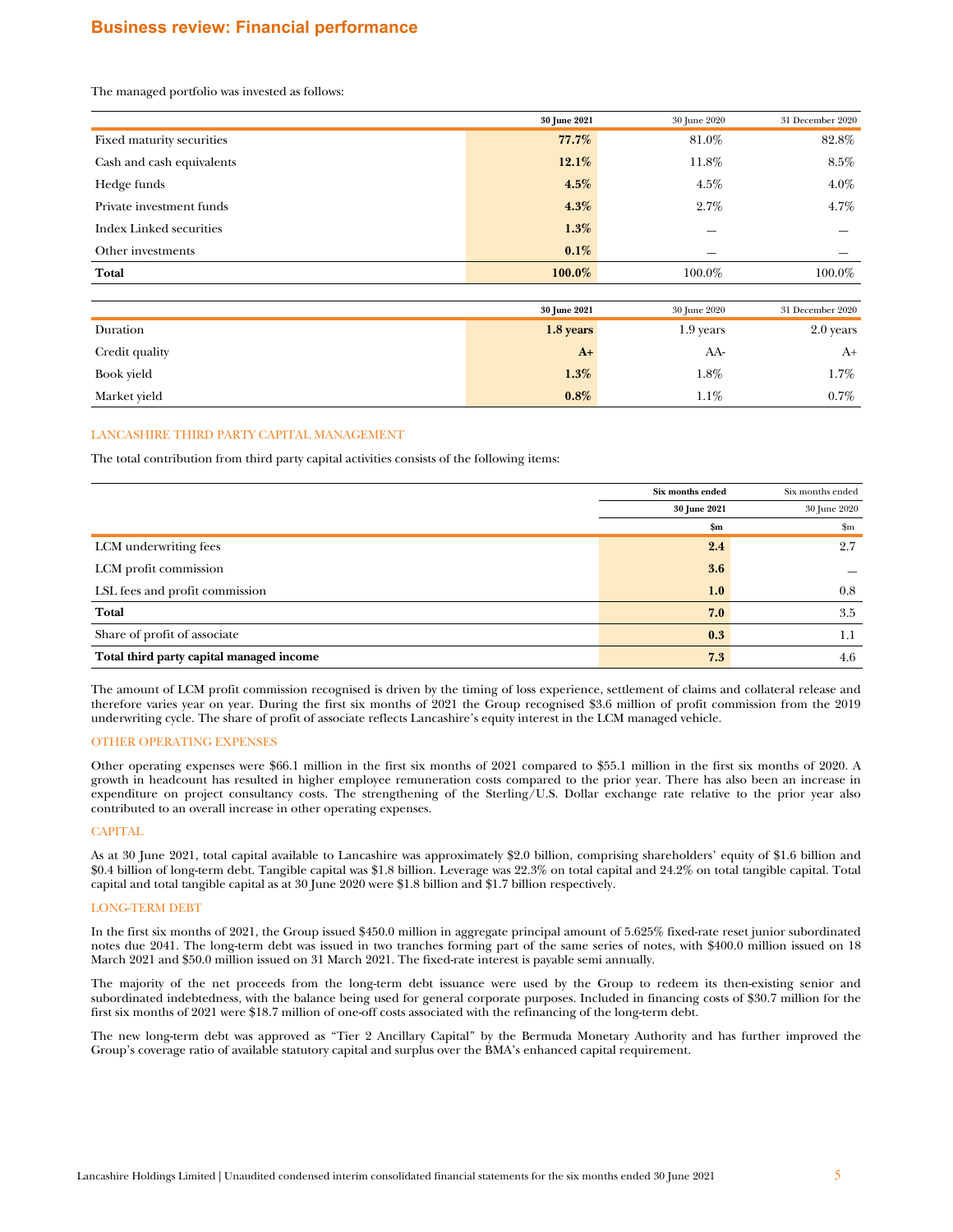# **Business review: Financial performance**

The managed portfolio was invested as follows:

|                                | 30 June 2021 | 30 June 2020 | 31 December 2020 |
|--------------------------------|--------------|--------------|------------------|
| Fixed maturity securities      | 77.7%        | 81.0%        | 82.8%            |
| Cash and cash equivalents      | $12.1\%$     | 11.8%        | 8.5%             |
| Hedge funds                    | $4.5\%$      | $4.5\%$      | $4.0\%$          |
| Private investment funds       | $4.3\%$      | 2.7%         | $4.7\%$          |
| <b>Index Linked securities</b> | $1.3\%$      | –            |                  |
| Other investments              | $0.1\%$      |              |                  |
| Total                          | 100.0%       | 100.0%       | 100.0%           |
|                                |              |              |                  |
|                                | 30 June 2021 | 30 June 2020 | 31 December 2020 |
| Duration                       | $1.8$ years  | $10$ very    | $90$ vergo       |

| Duration       | 1.8 years | 1.9 years | 2.0 years |
|----------------|-----------|-----------|-----------|
| Credit quality | $A+$      | AA-       | A+        |
| Book yield     | 1.3%      | $1.8\%$   | $1.7\%$   |
| Market yield   | 0.8%      | $1.1\%$   | $0.7\%$   |

## LANCASHIRE THIRD PARTY CAPITAL MANAGEMENT

The total contribution from third party capital activities consists of the following items:

|                                          | Six months ended | Six months ended |
|------------------------------------------|------------------|------------------|
|                                          | 30 June 2021     | 30 June 2020     |
|                                          | \$m\$            | \$m              |
| LCM underwriting fees                    | 2.4              | 2.7              |
| LCM profit commission                    | 3.6              |                  |
| LSL fees and profit commission           | 1.0              | 0.8              |
| Total                                    | 7.0              | 3.5              |
| Share of profit of associate             | 0.3              | 1.1              |
| Total third party capital managed income | 7.3              | 4.6              |

The amount of LCM profit commission recognised is driven by the timing of loss experience, settlement of claims and collateral release and therefore varies year on year. During the first six months of 2021 the Group recognised \$3.6 million of profit commission from the 2019 underwriting cycle. The share of profit of associate reflects Lancashire's equity interest in the LCM managed vehicle.

# OTHER OPERATING EXPENSES

Other operating expenses were \$66.1 million in the first six months of 2021 compared to \$55.1 million in the first six months of 2020. A growth in headcount has resulted in higher employee remuneration costs compared to the prior year. There has also been an increase in expenditure on project consultancy costs. The strengthening of the Sterling/U.S. Dollar exchange rate relative to the prior year also contributed to an overall increase in other operating expenses.

#### CAPITAL

As at 30 June 2021, total capital available to Lancashire was approximately \$2.0 billion, comprising shareholders' equity of \$1.6 billion and \$0.4 billion of long-term debt. Tangible capital was \$1.8 billion. Leverage was 22.3% on total capital and 24.2% on total tangible capital. Total capital and total tangible capital as at 30 June 2020 were \$1.8 billion and \$1.7 billion respectively.

#### LONG-TERM DEBT

In the first six months of 2021, the Group issued \$450.0 million in aggregate principal amount of 5.625% fixed-rate reset junior subordinated notes due 2041. The long-term debt was issued in two tranches forming part of the same series of notes, with \$400.0 million issued on 18 March 2021 and \$50.0 million issued on 31 March 2021. The fixed-rate interest is payable semi annually.

The majority of the net proceeds from the long-term debt issuance were used by the Group to redeem its then-existing senior and subordinated indebtedness, with the balance being used for general corporate purposes. Included in financing costs of \$30.7 million for the first six months of 2021 were \$18.7 million of one-off costs associated with the refinancing of the long-term debt.

The new long-term debt was approved as "Tier 2 Ancillary Capital" by the Bermuda Monetary Authority and has further improved the Group's coverage ratio of available statutory capital and surplus over the BMA's enhanced capital requirement.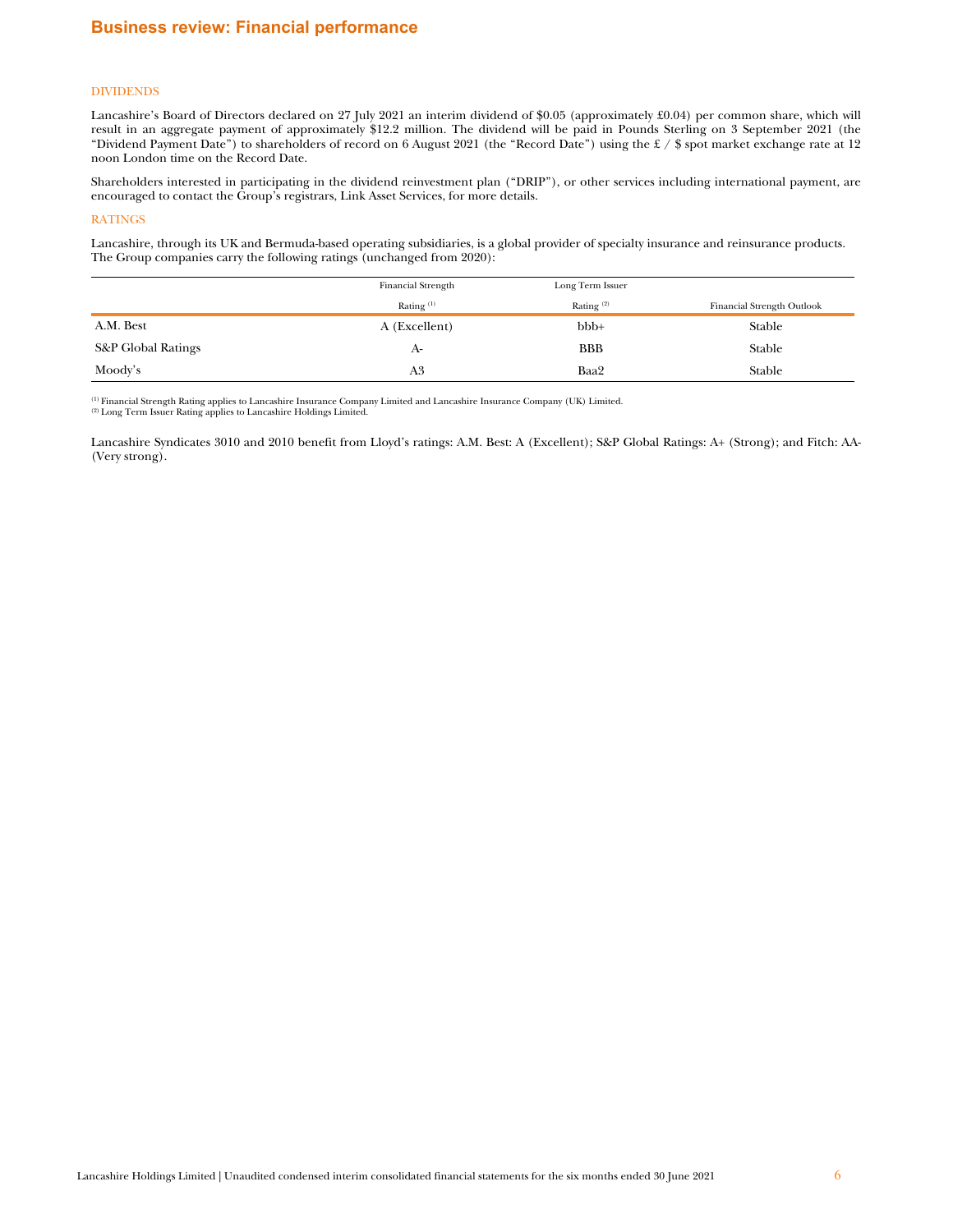## DIVIDENDS

Lancashire's Board of Directors declared on 27 July 2021 an interim dividend of \$0.05 (approximately £0.04) per common share, which will result in an aggregate payment of approximately \$12.2 million. The dividend will be paid in Pounds Sterling on 3 September 2021 (the "Dividend Payment Date") to shareholders of record on 6 August 2021 (the "Record Date") using the £ / \$ spot market exchange rate at 12 noon London time on the Record Date.

Shareholders interested in participating in the dividend reinvestment plan ("DRIP"), or other services including international payment, are encouraged to contact the Group's registrars, Link Asset Services, for more details.

#### RATINGS

Lancashire, through its UK and Bermuda-based operating subsidiaries, is a global provider of specialty insurance and reinsurance products. The Group companies carry the following ratings (unchanged from 2020):

|                               | <b>Financial Strength</b> | Long Term Issuer |                            |
|-------------------------------|---------------------------|------------------|----------------------------|
|                               | Rating $(1)$              | Rating $(2)$     | Financial Strength Outlook |
| A.M. Best                     | A (Excellent)             | $bbb +$          | Stable                     |
| <b>S&amp;P</b> Global Ratings | A-                        | <b>BBB</b>       | Stable                     |
| Moody's                       | A3                        | Baa2             | Stable                     |

<sup>(1)</sup> Financial Strength Rating applies to Lancashire Insurance Company Limited and Lancashire Insurance Company (UK) Limited.<br><sup>(2)</sup> Long Term Issuer Rating applies to Lancashire Holdings Limited.

Lancashire Syndicates 3010 and 2010 benefit from Lloyd's ratings: A.M. Best: A (Excellent); S&P Global Ratings: A+ (Strong); and Fitch: AA- (Very strong).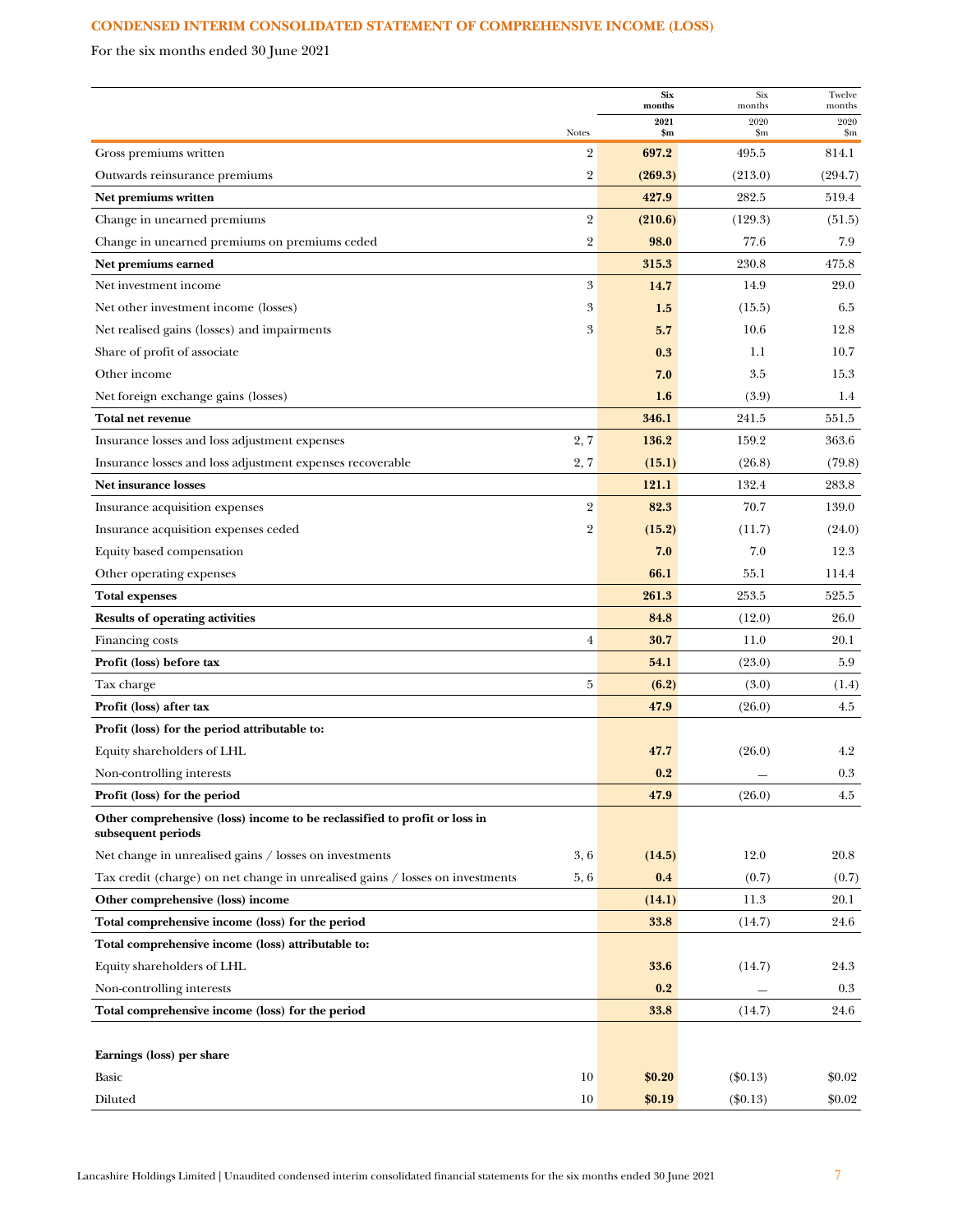# <span id="page-7-0"></span>**CONDENSED INTERIM CONSOLIDATED STATEMENT OF COMPREHENSIVE INCOME (LOSS)**

For the six months ended 30 June 2021

|                                                                                                 |                | <b>Six</b><br>months | Six<br>months       | Twelve<br>months |
|-------------------------------------------------------------------------------------------------|----------------|----------------------|---------------------|------------------|
|                                                                                                 | <b>Notes</b>   | 2021<br>\$m\$        | 2020<br>$_{\rm sm}$ | 2020<br>\$m      |
| Gross premiums written                                                                          | $\overline{2}$ | 697.2                | 495.5               | 814.1            |
| Outwards reinsurance premiums                                                                   | $\overline{2}$ | (269.3)              | (213.0)             | (294.7)          |
| Net premiums written                                                                            |                | 427.9                | 282.5               | 519.4            |
| Change in unearned premiums                                                                     | $\sqrt{2}$     | (210.6)              | (129.3)             | (51.5)           |
| Change in unearned premiums on premiums ceded                                                   | $\overline{2}$ | 98.0                 | 77.6                | 7.9              |
| Net premiums earned                                                                             |                | 315.3                | 230.8               | 475.8            |
| Net investment income                                                                           | 3              | 14.7                 | 14.9                | 29.0             |
| Net other investment income (losses)                                                            | 3              | 1.5                  | (15.5)              | 6.5              |
| Net realised gains (losses) and impairments                                                     | 3              | 5.7                  | 10.6                | 12.8             |
| Share of profit of associate                                                                    |                | 0.3                  | 1.1                 | 10.7             |
| Other income                                                                                    |                | 7.0                  | 3.5                 | 15.3             |
| Net foreign exchange gains (losses)                                                             |                | 1.6                  | (3.9)               | 1.4              |
| Total net revenue                                                                               |                | 346.1                | 241.5               | 551.5            |
| Insurance losses and loss adjustment expenses                                                   | 2, 7           | 136.2                | 159.2               | 363.6            |
| Insurance losses and loss adjustment expenses recoverable                                       | 2, 7           | (15.1)               | (26.8)              | (79.8)           |
| Net insurance losses                                                                            |                | 121.1                | 132.4               | 283.8            |
| Insurance acquisition expenses                                                                  | $\overline{2}$ | 82.3                 | 70.7                | 139.0            |
| Insurance acquisition expenses ceded                                                            | $\overline{2}$ | (15.2)               | (11.7)              | (24.0)           |
| Equity based compensation                                                                       |                | 7.0                  | 7.0                 | 12.3             |
| Other operating expenses                                                                        |                | 66.1                 | 55.1                | 114.4            |
| <b>Total expenses</b>                                                                           |                | 261.3                | 253.5               | 525.5            |
| <b>Results of operating activities</b>                                                          |                | 84.8                 | (12.0)              | 26.0             |
| Financing costs                                                                                 | $\overline{4}$ | 30.7                 | 11.0                | 20.1             |
| Profit (loss) before tax                                                                        |                | 54.1                 | (23.0)              | 5.9              |
| Tax charge                                                                                      | 5              | (6.2)                | (3.0)               | (1.4)            |
| Profit (loss) after tax                                                                         |                | 47.9                 | (26.0)              | 4.5              |
| Profit (loss) for the period attributable to:                                                   |                |                      |                     |                  |
| Equity shareholders of LHL                                                                      |                | 47.7                 | (26.0)              | 4.2              |
| Non-controlling interests                                                                       |                | 0.2                  |                     | 0.3              |
| Profit (loss) for the period                                                                    |                | 47.9                 | (26.0)              | 4.5              |
| Other comprehensive (loss) income to be reclassified to profit or loss in<br>subsequent periods |                |                      |                     |                  |
| Net change in unrealised gains / losses on investments                                          | 3,6            | (14.5)               | 12.0                | 20.8             |
| Tax credit (charge) on net change in unrealised gains / losses on investments                   | 5,6            | 0.4                  | (0.7)               | (0.7)            |
| Other comprehensive (loss) income                                                               |                | (14.1)               | 11.3                | 20.1             |
| Total comprehensive income (loss) for the period                                                |                | 33.8                 | (14.7)              | 24.6             |
| Total comprehensive income (loss) attributable to:                                              |                |                      |                     |                  |
| Equity shareholders of LHL                                                                      |                | <b>33.6</b>          | (14.7)              | 24.3             |
| Non-controlling interests                                                                       |                | 0.2                  |                     | 0.3              |
| Total comprehensive income (loss) for the period                                                |                | 33.8                 | (14.7)              | 24.6             |
|                                                                                                 |                |                      |                     |                  |
| Earnings (loss) per share                                                                       |                |                      |                     |                  |
| Basic                                                                                           | 10             | \$0.20               | $(\$0.13)$          | \$0.02           |
| Diluted                                                                                         | 10             | \$0.19               | $(\$0.13)$          | \$0.02           |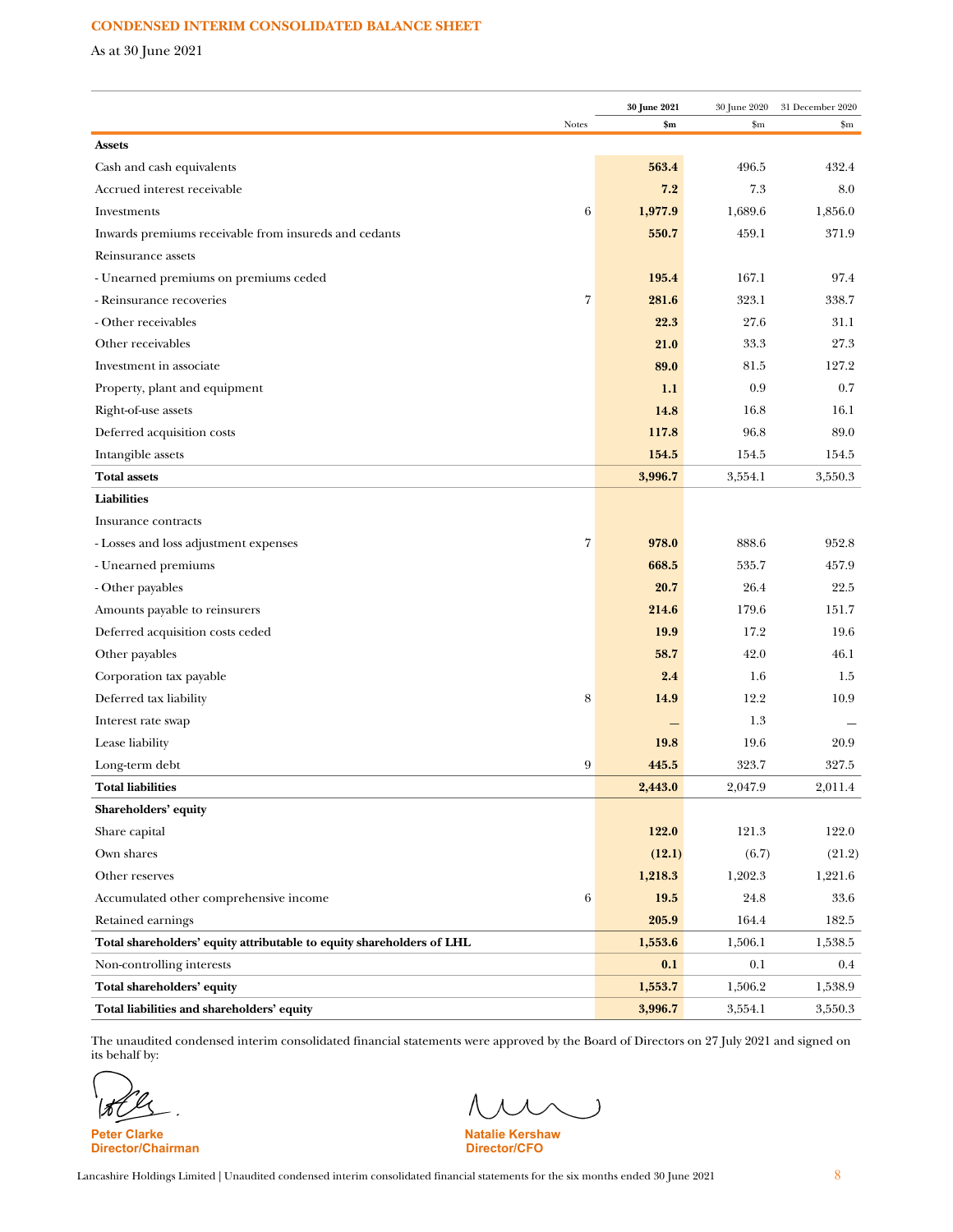# **CONDENSED INTERIM CONSOLIDATED BALANCE SHEET**

As at 30 June 2021

|                                                                       |       | 30 June 2021 | 30 June 2020 | 31 December 2020 |
|-----------------------------------------------------------------------|-------|--------------|--------------|------------------|
| <b>Assets</b>                                                         | Notes | \$m\$        | \$m          | $\mathbf{Sm}$    |
| Cash and cash equivalents                                             |       | 563.4        | 496.5        | 432.4            |
| Accrued interest receivable                                           |       | 7.2          | 7.3          | 8.0              |
| Investments                                                           | 6     | 1,977.9      | 1,689.6      | 1,856.0          |
| Inwards premiums receivable from insureds and cedants                 |       | 550.7        | 459.1        | 371.9            |
| Reinsurance assets                                                    |       |              |              |                  |
| - Unearned premiums on premiums ceded                                 |       | 195.4        | 167.1        | 97.4             |
| - Reinsurance recoveries                                              | 7     | 281.6        | 323.1        | 338.7            |
| - Other receivables                                                   |       | 22.3         | 27.6         | 31.1             |
| Other receivables                                                     |       | 21.0         | 33.3         | 27.3             |
|                                                                       |       | 89.0         | 81.5         | 127.2            |
| Investment in associate                                               |       |              |              |                  |
| Property, plant and equipment                                         |       | 1.1          | 0.9          | 0.7              |
| Right-of-use assets                                                   |       | 14.8         | 16.8         | 16.1             |
| Deferred acquisition costs                                            |       | 117.8        | 96.8         | 89.0             |
| Intangible assets                                                     |       | 154.5        | 154.5        | 154.5            |
| <b>Total assets</b>                                                   |       | 3,996.7      | 3,554.1      | 3,550.3          |
| Liabilities                                                           |       |              |              |                  |
| Insurance contracts                                                   |       |              |              |                  |
| - Losses and loss adjustment expenses                                 | 7     | 978.0        | 888.6        | 952.8            |
| - Unearned premiums                                                   |       | 668.5        | 535.7        | 457.9            |
| - Other payables                                                      |       | 20.7         | 26.4         | 22.5             |
| Amounts payable to reinsurers                                         |       | 214.6        | 179.6        | 151.7            |
| Deferred acquisition costs ceded                                      |       | 19.9         | 17.2         | 19.6             |
| Other payables                                                        |       | 58.7         | 42.0         | 46.1             |
| Corporation tax payable                                               |       | 2.4          | 1.6          | 1.5              |
| Deferred tax liability                                                | 8     | 14.9         | 12.2         | 10.9             |
| Interest rate swap                                                    |       |              | 1.3          |                  |
| Lease liability                                                       |       | 19.8         | 19.6         | 20.9             |
| Long-term debt                                                        | 9     | 445.5        | 323.7        | 327.5            |
| Total liabilities                                                     |       | 2,443.0      | 2,047.9      | 2,011.4          |
| Shareholders' equity                                                  |       |              |              |                  |
| Share capital                                                         |       | 122.0        | 121.3        | 122.0            |
| Own shares                                                            |       | (12.1)       | (6.7)        | (21.2)           |
| Other reserves                                                        |       | 1,218.3      | 1,202.3      | 1,221.6          |
| Accumulated other comprehensive income                                | 6     | 19.5         | 24.8         | 33.6             |
| Retained earnings                                                     |       | 205.9        | 164.4        | 182.5            |
| Total shareholders' equity attributable to equity shareholders of LHL |       | 1,553.6      | 1,506.1      | 1,538.5          |
| Non-controlling interests                                             |       | 0.1          | 0.1          | $0.4\,$          |
| Total shareholders' equity                                            |       | 1,553.7      | 1,506.2      | 1,538.9          |
| Total liabilities and shareholders' equity                            |       | 3,996.7      | 3,554.1      | 3,550.3          |

The unaudited condensed interim consolidated financial statements were approved by the Board of Directors on 27 July 2021 and signed on its behalf by:

**Director/Chairman** 

 $\overline{\phantom{a}}$ 

**Peter Clarke Natalie Kershaw Natalie Kershaw Natalie Kershaw Natalie Kershaw Natalie Kershaw Natalie Kershaw Natalie Kershaw Natalie Kershaw Natalie Kershaw Natalie Kershaw Natalie Kershaw Natalie Kershaw Natalie Kershaw**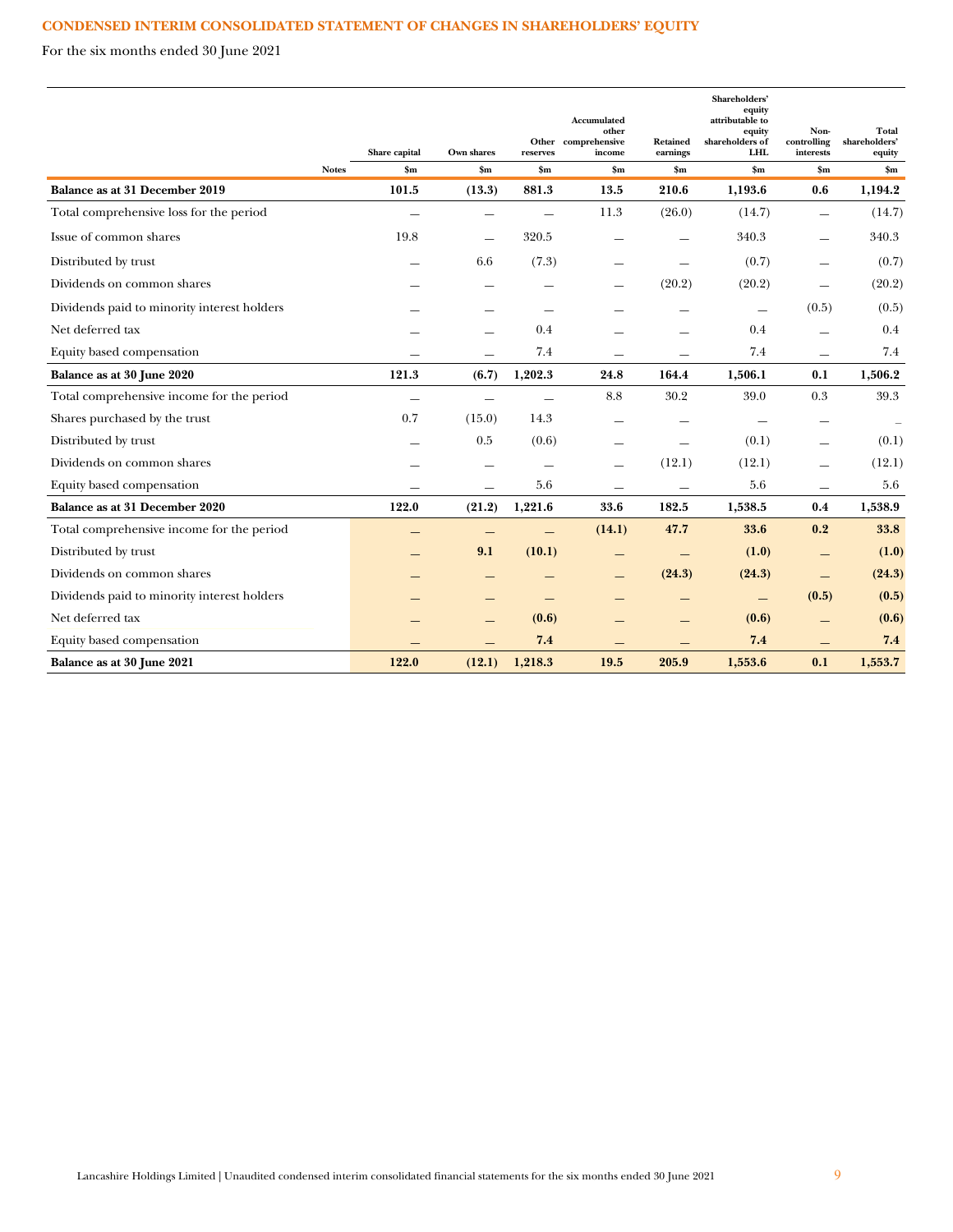# **CONDENSED INTERIM CONSOLIDATED STATEMENT OF CHANGES IN SHAREHOLDERS' EQUITY**

For the six months ended 30 June 2021

|                                             |              |                                 |                             |                          | Accumulated<br>other<br>Other comprehensive | Retained                  | Shareholders'<br>equity<br>attributable to<br>equity<br>shareholders of | Non-<br>controlling      | Total<br>shareholders'  |
|---------------------------------------------|--------------|---------------------------------|-----------------------------|--------------------------|---------------------------------------------|---------------------------|-------------------------------------------------------------------------|--------------------------|-------------------------|
|                                             | <b>Notes</b> | Share capital<br>$\mathbf{\$m}$ | Own shares<br>$\mathbf{Sm}$ | reserves<br>$S_{\rm m}$  | income<br>\$m\$                             | earnings<br>$\mathbf{Sm}$ | <b>LHL</b><br>$\mathbf{Sm}$                                             | interests                | equity<br>$\mathbf{Sm}$ |
| Balance as at 31 December 2019              |              | 101.5                           | (13.3)                      | 881.3                    | 13.5                                        | 210.6                     | 1,193.6                                                                 | \$m\$<br>0.6             | 1,194.2                 |
| Total comprehensive loss for the period     |              |                                 | $\overline{\phantom{a}}$    | $\overline{\phantom{0}}$ | 11.3                                        | (26.0)                    | (14.7)                                                                  | $\equiv$                 | (14.7)                  |
| Issue of common shares                      |              | 19.8                            |                             | 320.5                    |                                             |                           | 340.3                                                                   |                          | 340.3                   |
|                                             |              |                                 | $\sim$                      |                          |                                             |                           |                                                                         |                          |                         |
| Distributed by trust                        |              |                                 | 6.6                         | (7.3)                    |                                             |                           | (0.7)                                                                   | $\overline{\phantom{m}}$ | (0.7)                   |
| Dividends on common shares                  |              |                                 |                             |                          |                                             | (20.2)                    | (20.2)                                                                  |                          | (20.2)                  |
| Dividends paid to minority interest holders |              |                                 |                             |                          |                                             |                           | $\overline{\phantom{m}}$                                                | (0.5)                    | (0.5)                   |
| Net deferred tax                            |              |                                 |                             | 0.4                      |                                             |                           | 0.4                                                                     |                          | 0.4                     |
| Equity based compensation                   |              |                                 |                             | 7.4                      |                                             |                           | 7.4                                                                     | <u>e a</u>               | 7.4                     |
| Balance as at 30 June 2020                  |              | 121.3                           | (6.7)                       | 1,202.3                  | 24.8                                        | 164.4                     | 1,506.1                                                                 | 0.1                      | 1,506.2                 |
| Total comprehensive income for the period   |              |                                 | $\overline{\phantom{0}}$    |                          | 8.8                                         | 30.2                      | 39.0                                                                    | 0.3                      | 39.3                    |
| Shares purchased by the trust               |              | 0.7                             | (15.0)                      | 14.3                     | $\overline{\phantom{0}}$                    | $\overline{\phantom{0}}$  | $\overline{\phantom{m}}$                                                | $\overline{\phantom{m}}$ |                         |
| Distributed by trust                        |              |                                 | 0.5                         | (0.6)                    |                                             |                           | (0.1)                                                                   | $\overline{\phantom{m}}$ | (0.1)                   |
| Dividends on common shares                  |              |                                 |                             |                          | $\overline{\phantom{0}}$                    | (12.1)                    | (12.1)                                                                  | $\equiv$                 | (12.1)                  |
| Equity based compensation                   |              |                                 |                             | 5.6                      |                                             |                           | 5.6                                                                     |                          | 5.6                     |
| Balance as at 31 December 2020              |              | 122.0                           | (21.2)                      | 1,221.6                  | 33.6                                        | 182.5                     | 1,538.5                                                                 | 0.4                      | 1,538.9                 |
| Total comprehensive income for the period   |              |                                 |                             |                          | (14.1)                                      | 47.7                      | 33.6                                                                    | 0.2                      | 33.8                    |
| Distributed by trust                        |              |                                 | 9.1                         | (10.1)                   |                                             | —                         | (1.0)                                                                   | $\overline{\phantom{0}}$ | (1.0)                   |
| Dividends on common shares                  |              |                                 |                             |                          | $\qquad \qquad -$                           | (24.3)                    | (24.3)                                                                  | $\qquad \qquad -$        | (24.3)                  |
| Dividends paid to minority interest holders |              |                                 |                             |                          |                                             |                           | —                                                                       | (0.5)                    | (0.5)                   |
| Net deferred tax                            |              |                                 |                             | (0.6)                    |                                             |                           | (0.6)                                                                   |                          | (0.6)                   |
| Equity based compensation                   |              |                                 |                             | 7.4                      |                                             |                           | 7.4                                                                     |                          | 7.4                     |
| Balance as at 30 June 2021                  |              | 122.0                           | (12.1)                      | 1,218.3                  | 19.5                                        | 205.9                     | 1,553.6                                                                 | 0.1                      | 1,553.7                 |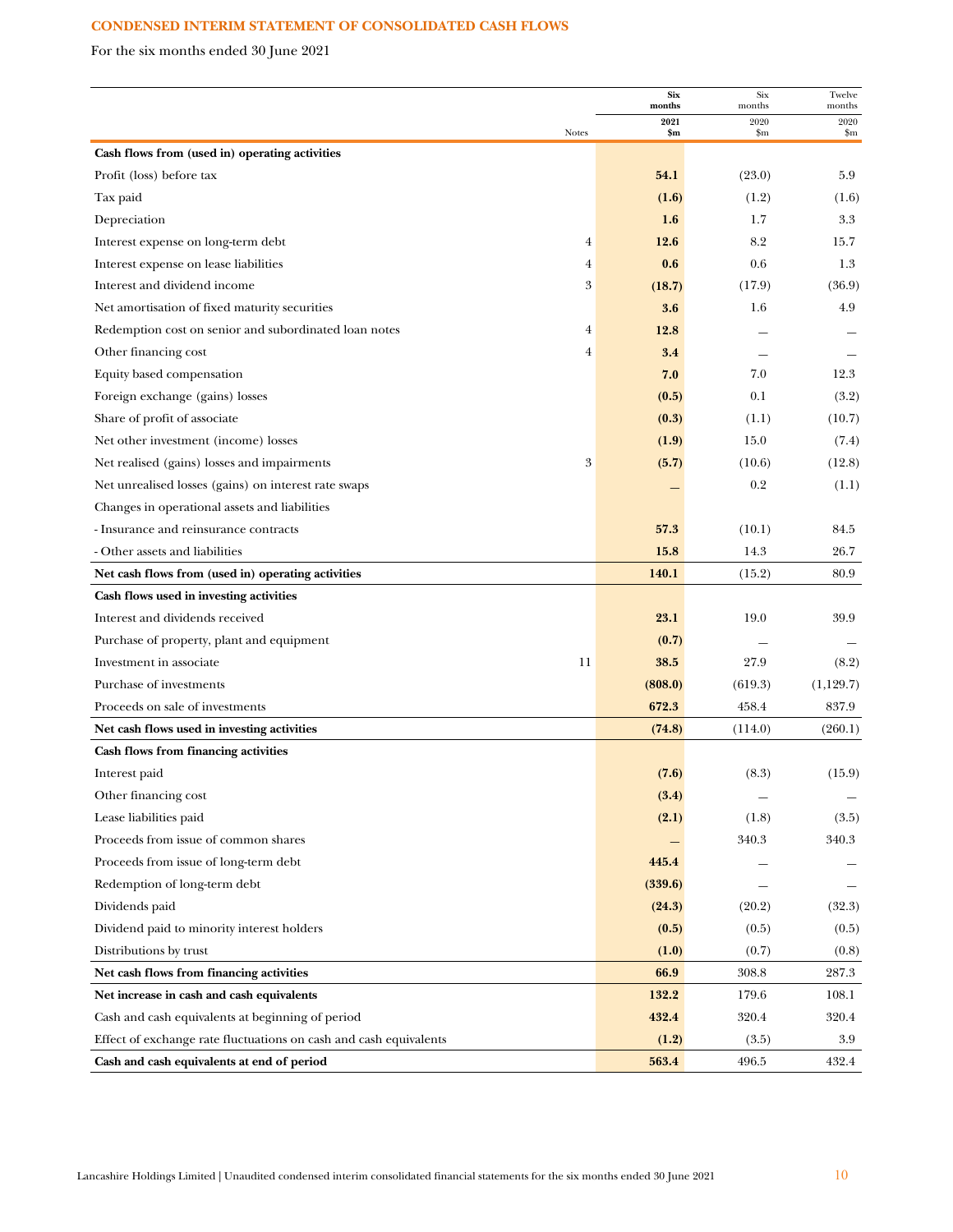# **CONDENSED INTERIM STATEMENT OF CONSOLIDATED CASH FLOWS**

For the six months ended 30 June 2021

|                                                                   | <b>Six</b><br>months | Six<br>months | Twelve<br>months |
|-------------------------------------------------------------------|----------------------|---------------|------------------|
| <b>Notes</b>                                                      | 2021<br>\$m          | 2020<br>\$m   | 2020<br>\$m      |
| Cash flows from (used in) operating activities                    |                      |               |                  |
| Profit (loss) before tax                                          | 54.1                 | (23.0)        | 5.9              |
| Tax paid                                                          | (1.6)                | (1.2)         | (1.6)            |
| Depreciation                                                      | 1.6                  | 1.7           | 3.3              |
| Interest expense on long-term debt<br>4                           | 12.6                 | 8.2           | 15.7             |
| Interest expense on lease liabilities<br>4                        | 0.6                  | 0.6           | 1.3              |
| 3<br>Interest and dividend income                                 | (18.7)               | (17.9)        | (36.9)           |
| Net amortisation of fixed maturity securities                     | 3.6                  | 1.6           | 4.9              |
| Redemption cost on senior and subordinated loan notes<br>4        | 12.8                 |               |                  |
| Other financing cost<br>$\overline{4}$                            | 3.4                  |               |                  |
| Equity based compensation                                         | 7.0                  | 7.0           | 12.3             |
| Foreign exchange (gains) losses                                   | (0.5)                | 0.1           | (3.2)            |
| Share of profit of associate                                      | (0.3)                | (1.1)         | (10.7)           |
| Net other investment (income) losses                              | (1.9)                | 15.0          | (7.4)            |
| $\boldsymbol{3}$<br>Net realised (gains) losses and impairments   | (5.7)                | (10.6)        | (12.8)           |
| Net unrealised losses (gains) on interest rate swaps              |                      | 0.2           | (1.1)            |
| Changes in operational assets and liabilities                     |                      |               |                  |
| - Insurance and reinsurance contracts                             | 57.3                 | (10.1)        | 84.5             |
| - Other assets and liabilities                                    | 15.8                 | 14.3          | 26.7             |
| Net cash flows from (used in) operating activities                | 140.1                | (15.2)        | 80.9             |
| Cash flows used in investing activities                           |                      |               |                  |
| Interest and dividends received                                   | 23.1                 | 19.0          | 39.9             |
| Purchase of property, plant and equipment                         | (0.7)                |               |                  |
| Investment in associate<br>11                                     | 38.5                 | 27.9          | (8.2)            |
| Purchase of investments                                           | (808.0)              | (619.3)       | (1,129.7)        |
| Proceeds on sale of investments                                   | 672.3                | 458.4         | 837.9            |
| Net cash flows used in investing activities                       | (74.8)               | (114.0)       | (260.1)          |
| Cash flows from financing activities                              |                      |               |                  |
| Interest paid                                                     | (7.6)                | (8.3)         | (15.9)           |
| Other financing cost                                              | (3.4)                |               |                  |
| Lease liabilities paid                                            | (2.1)                | (1.8)         | (3.5)            |
| Proceeds from issue of common shares                              |                      | 340.3         | 340.3            |
| Proceeds from issue of long-term debt                             | 445.4                |               |                  |
| Redemption of long-term debt                                      | (339.6)              |               |                  |
| Dividends paid                                                    | (24.3)               | (20.2)        | (32.3)           |
| Dividend paid to minority interest holders                        | (0.5)                | (0.5)         | (0.5)            |
| Distributions by trust                                            | (1.0)                | (0.7)         | (0.8)            |
| Net cash flows from financing activities                          | 66.9                 | 308.8         | 287.3            |
| Net increase in cash and cash equivalents                         | 132.2                | 179.6         | 108.1            |
| Cash and cash equivalents at beginning of period                  | 432.4                | 320.4         | 320.4            |
| Effect of exchange rate fluctuations on cash and cash equivalents | (1.2)                | (3.5)         | 3.9              |
| Cash and cash equivalents at end of period                        | 563.4                | 496.5         | 432.4            |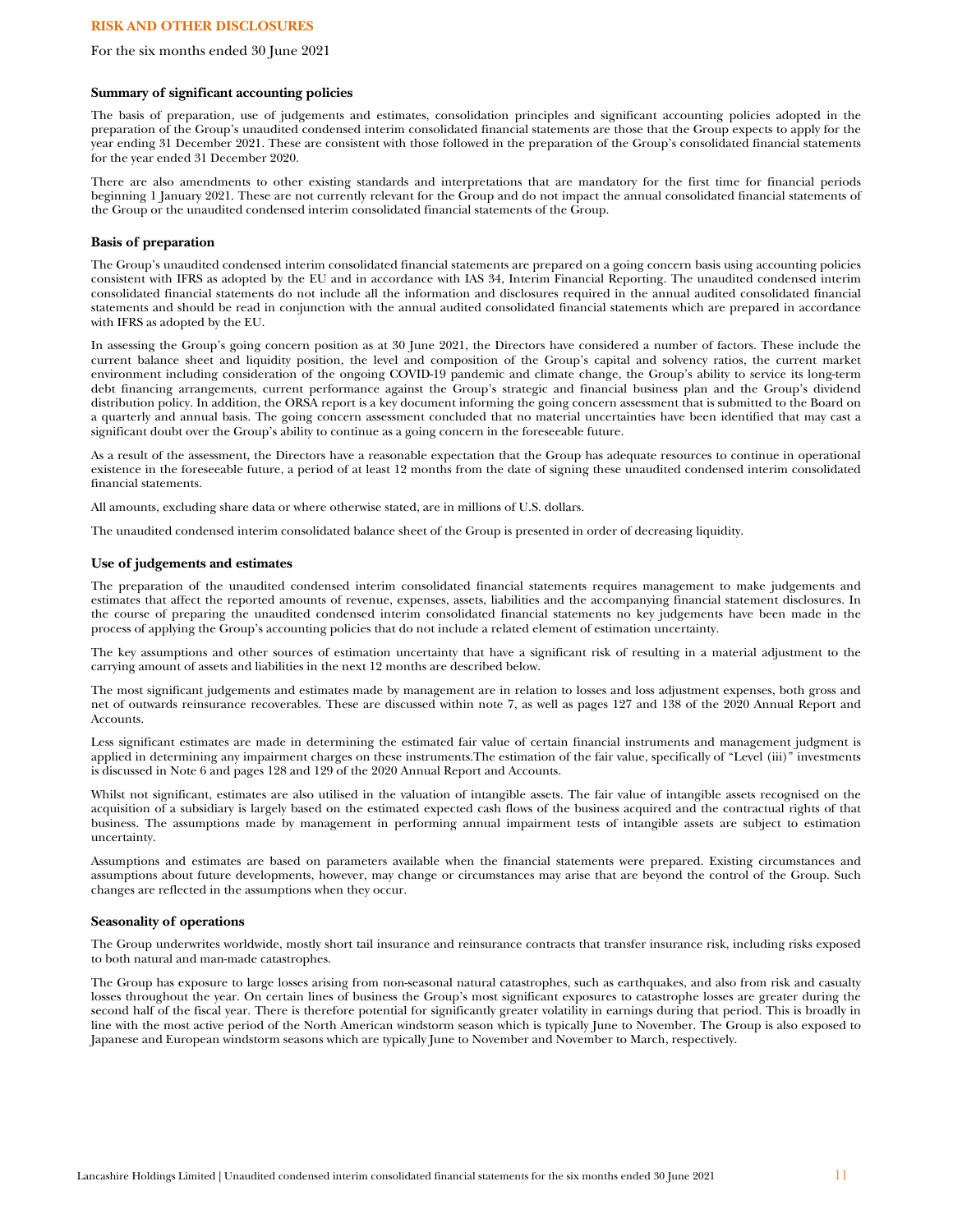# **RISK AND OTHER DISCLOSURES**

#### For the six months ended 30 June 2021

#### **Summary of significant accounting policies**

The basis of preparation, use of judgements and estimates, consolidation principles and significant accounting policies adopted in the preparation of the Group's unaudited condensed interim consolidated financial statements are those that the Group expects to apply for the year ending 31 December 2021. These are consistent with those followed in the preparation of the Group's consolidated financial statements for the year ended 31 December 2020.

There are also amendments to other existing standards and interpretations that are mandatory for the first time for financial periods beginning 1 January 2021. These are not currently relevant for the Group and do not impact the annual consolidated financial statements of the Group or the unaudited condensed interim consolidated financial statements of the Group.

#### **Basis of preparation**

The Group's unaudited condensed interim consolidated financial statements are prepared on a going concern basis using accounting policies consistent with IFRS as adopted by the EU and in accordance with IAS 34, Interim Financial Reporting. The unaudited condensed interim consolidated financial statements do not include all the information and disclosures required in the annual audited consolidated financial statements and should be read in conjunction with the annual audited consolidated financial statements which are prepared in accordance with IFRS as adopted by the EU.

In assessing the Group's going concern position as at 30 June 2021, the Directors have considered a number of factors. These include the current balance sheet and liquidity position, the level and composition of the Group's capital and solvency ratios, the current market environment including consideration of the ongoing COVID-19 pandemic and climate change, the Group's ability to service its long-term debt financing arrangements, current performance against the Group's strategic and financial business plan and the Group's dividend distribution policy. In addition, the ORSA report is a key document informing the going concern assessment that is submitted to the Board on a quarterly and annual basis. The going concern assessment concluded that no material uncertainties have been identified that may cast a significant doubt over the Group's ability to continue as a going concern in the foreseeable future.

As a result of the assessment, the Directors have a reasonable expectation that the Group has adequate resources to continue in operational existence in the foreseeable future, a period of at least 12 months from the date of signing these unaudited condensed interim consolidated financial statements.

All amounts, excluding share data or where otherwise stated, are in millions of U.S. dollars.

The unaudited condensed interim consolidated balance sheet of the Group is presented in order of decreasing liquidity.

## **Use of judgements and estimates**

The preparation of the unaudited condensed interim consolidated financial statements requires management to make judgements and estimates that affect the reported amounts of revenue, expenses, assets, liabilities and the accompanying financial statement disclosures. In the course of preparing the unaudited condensed interim consolidated financial statements no key judgements have been made in the process of applying the Group's accounting policies that do not include a related element of estimation uncertainty.

The key assumptions and other sources of estimation uncertainty that have a significant risk of resulting in a material adjustment to the carrying amount of assets and liabilities in the next 12 months are described below.

The most significant judgements and estimates made by management are in relation to losses and loss adjustment expenses, both gross and net of outwards reinsurance recoverables. These are discussed within note 7, as well as pages 127 and 138 of the 2020 Annual Report and Accounts.

Less significant estimates are made in determining the estimated fair value of certain financial instruments and management judgment is applied in determining any impairment charges on these instruments.The estimation of the fair value, specifically of "Level (iii)" investments is discussed in Note 6 and pages 128 and 129 of the 2020 Annual Report and Accounts.

Whilst not significant, estimates are also utilised in the valuation of intangible assets. The fair value of intangible assets recognised on the acquisition of a subsidiary is largely based on the estimated expected cash flows of the business acquired and the contractual rights of that business. The assumptions made by management in performing annual impairment tests of intangible assets are subject to estimation uncertainty.

Assumptions and estimates are based on parameters available when the financial statements were prepared. Existing circumstances and assumptions about future developments, however, may change or circumstances may arise that are beyond the control of the Group. Such changes are reflected in the assumptions when they occur.

#### **Seasonality of operations**

The Group underwrites worldwide, mostly short tail insurance and reinsurance contracts that transfer insurance risk, including risks exposed to both natural and man-made catastrophes.

The Group has exposure to large losses arising from non-seasonal natural catastrophes, such as earthquakes, and also from risk and casualty losses throughout the year. On certain lines of business the Group's most significant exposures to catastrophe losses are greater during the second half of the fiscal year. There is therefore potential for significantly greater volatility in earnings during that period. This is broadly in line with the most active period of the North American windstorm season which is typically June to November. The Group is also exposed to Japanese and European windstorm seasons which are typically June to November and November to March, respectively.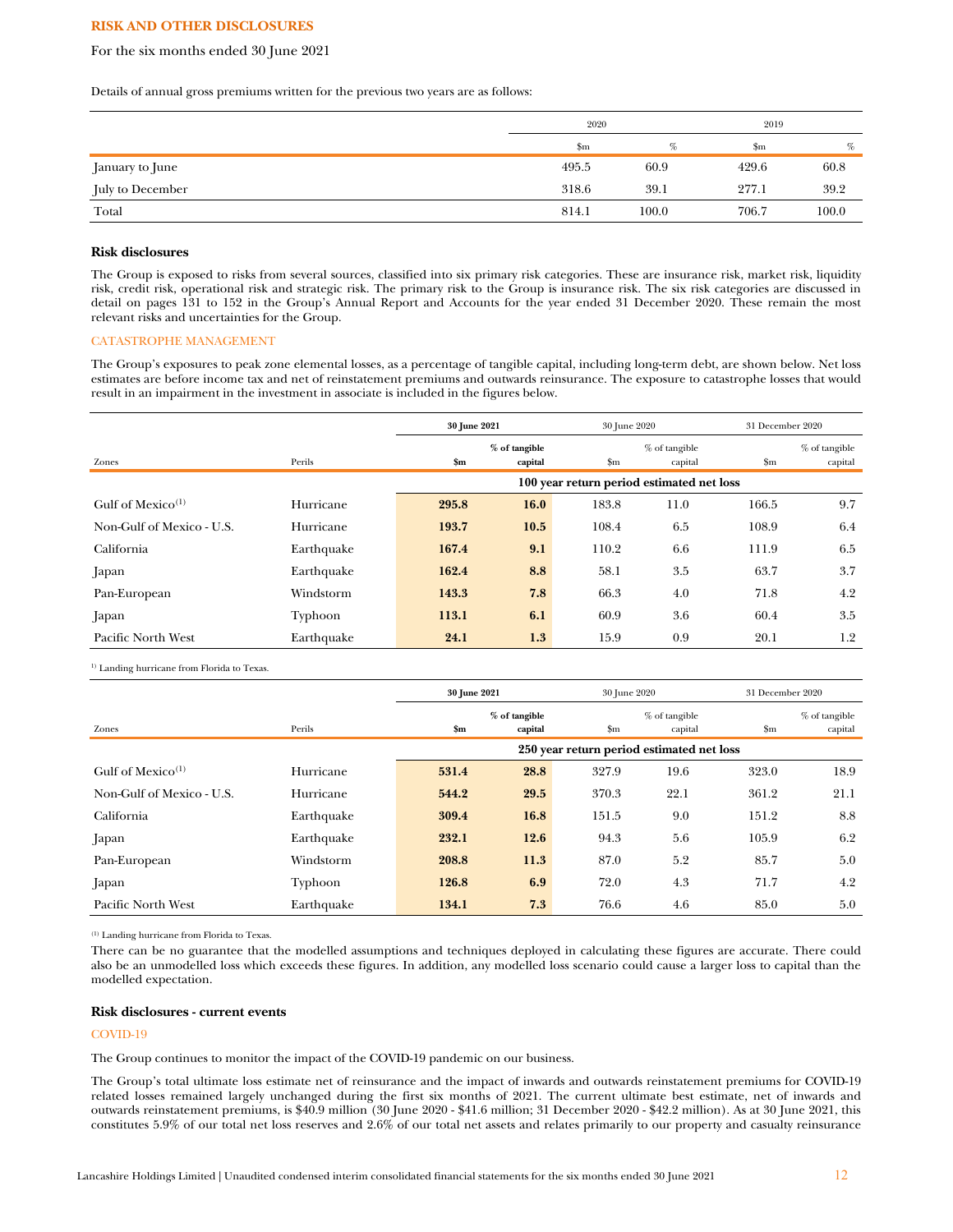## **RISK AND OTHER DISCLOSURES**

## For the six months ended 30 June 2021

Details of annual gross premiums written for the previous two years are as follows:

|                  | 2020  |       | 2019  |       |
|------------------|-------|-------|-------|-------|
|                  | \$m   | %     | \$m   | %     |
| January to June  | 495.5 | 60.9  | 429.6 | 60.8  |
| July to December | 318.6 | 39.1  | 277.1 | 39.2  |
| Total            | 814.1 | 100.0 | 706.7 | 100.0 |

#### **Risk disclosures**

The Group is exposed to risks from several sources, classified into six primary risk categories. These are insurance risk, market risk, liquidity risk, credit risk, operational risk and strategic risk. The primary risk to the Group is insurance risk. The six risk categories are discussed in detail on pages 131 to 152 in the Group's Annual Report and Accounts for the year ended 31 December 2020. These remain the most relevant risks and uncertainties for the Group.

## CATASTROPHE MANAGEMENT

The Group's exposures to peak zone elemental losses, as a percentage of tangible capital, including long-term debt, are shown below. Net loss estimates are before income tax and net of reinstatement premiums and outwards reinsurance. The exposure to catastrophe losses that would result in an impairment in the investment in associate is included in the figures below.

|                               |            | 30 June 2021                              |                          |               | 30 June 2020             |               | 31 December 2020           |
|-------------------------------|------------|-------------------------------------------|--------------------------|---------------|--------------------------|---------------|----------------------------|
| Zones                         | Perils     | \$m\$                                     | % of tangible<br>capital | $\mathbf{Sm}$ | % of tangible<br>capital | $\mathbf{Sm}$ | $%$ of tangible<br>capital |
|                               |            | 100 year return period estimated net loss |                          |               |                          |               |                            |
| Gulf of Mexico <sup>(1)</sup> | Hurricane  | 295.8                                     | 16.0                     | 183.8         | 11.0                     | 166.5         | 9.7                        |
| Non-Gulf of Mexico - U.S.     | Hurricane  | 193.7                                     | 10.5                     | 108.4         | 6.5                      | 108.9         | 6.4                        |
| California                    | Earthquake | 167.4                                     | 9.1                      | 110.2         | 6.6                      | 111.9         | 6.5                        |
| Japan                         | Earthquake | 162.4                                     | 8.8                      | 58.1          | 3.5                      | 63.7          | 3.7                        |
| Pan-European                  | Windstorm  | 143.3                                     | 7.8                      | 66.3          | 4.0                      | 71.8          | 4.2                        |
| Japan                         | Typhoon    | 113.1                                     | 6.1                      | 60.9          | 3.6                      | 60.4          | 3.5                        |
| Pacific North West            | Earthquake | 24.1                                      | 1.3                      | 15.9          | 0.9                      | 20.1          | 1.2                        |

<sup>1)</sup> Landing hurricane from Florida to Texas.

|                               |            | 30 June 2021                              |                          |               | 30 June 2020               |               | 31 December 2020           |
|-------------------------------|------------|-------------------------------------------|--------------------------|---------------|----------------------------|---------------|----------------------------|
| Zones                         | Perils     | \$m\$                                     | % of tangible<br>capital | $\mathbf{Sm}$ | $%$ of tangible<br>capital | $\mathbf{Sm}$ | $%$ of tangible<br>capital |
|                               |            | 250 year return period estimated net loss |                          |               |                            |               |                            |
| Gulf of Mexico <sup>(1)</sup> | Hurricane  | 531.4                                     | 28.8                     | 327.9         | 19.6                       | 323.0         | 18.9                       |
| Non-Gulf of Mexico - U.S.     | Hurricane  | 544.2                                     | 29.5                     | 370.3         | 22.1                       | 361.2         | 21.1                       |
| California                    | Earthquake | 309.4                                     | 16.8                     | 151.5         | 9.0                        | 151.2         | 8.8                        |
| Japan                         | Earthquake | 232.1                                     | 12.6                     | 94.3          | 5.6                        | 105.9         | 6.2                        |
| Pan-European                  | Windstorm  | 208.8                                     | 11.3                     | 87.0          | 5.2                        | 85.7          | 5.0                        |
| Japan                         | Typhoon    | 126.8                                     | 6.9                      | 72.0          | 4.3                        | 71.7          | 4.2                        |
| Pacific North West            | Earthquake | 134.1                                     | 7.3                      | 76.6          | 4.6                        | 85.0          | 5.0                        |

(1) Landing hurricane from Florida to Texas.

There can be no guarantee that the modelled assumptions and techniques deployed in calculating these figures are accurate. There could also be an unmodelled loss which exceeds these figures. In addition, any modelled loss scenario could cause a larger loss to capital than the modelled expectation.

#### **Risk disclosures - current events**

### COVID-19

The Group continues to monitor the impact of the COVID-19 pandemic on our business.

The Group's total ultimate loss estimate net of reinsurance and the impact of inwards and outwards reinstatement premiums for COVID-19 related losses remained largely unchanged during the first six months of 2021. The current ultimate best estimate, net of inwards and outwards reinstatement premiums, is \$40.9 million (30 June 2020 - \$41.6 million; 31 December 2020 - \$42.2 million). As at 30 June 2021, this constitutes 5.9% of our total net loss reserves and 2.6% of our total net assets and relates primarily to our property and casualty reinsurance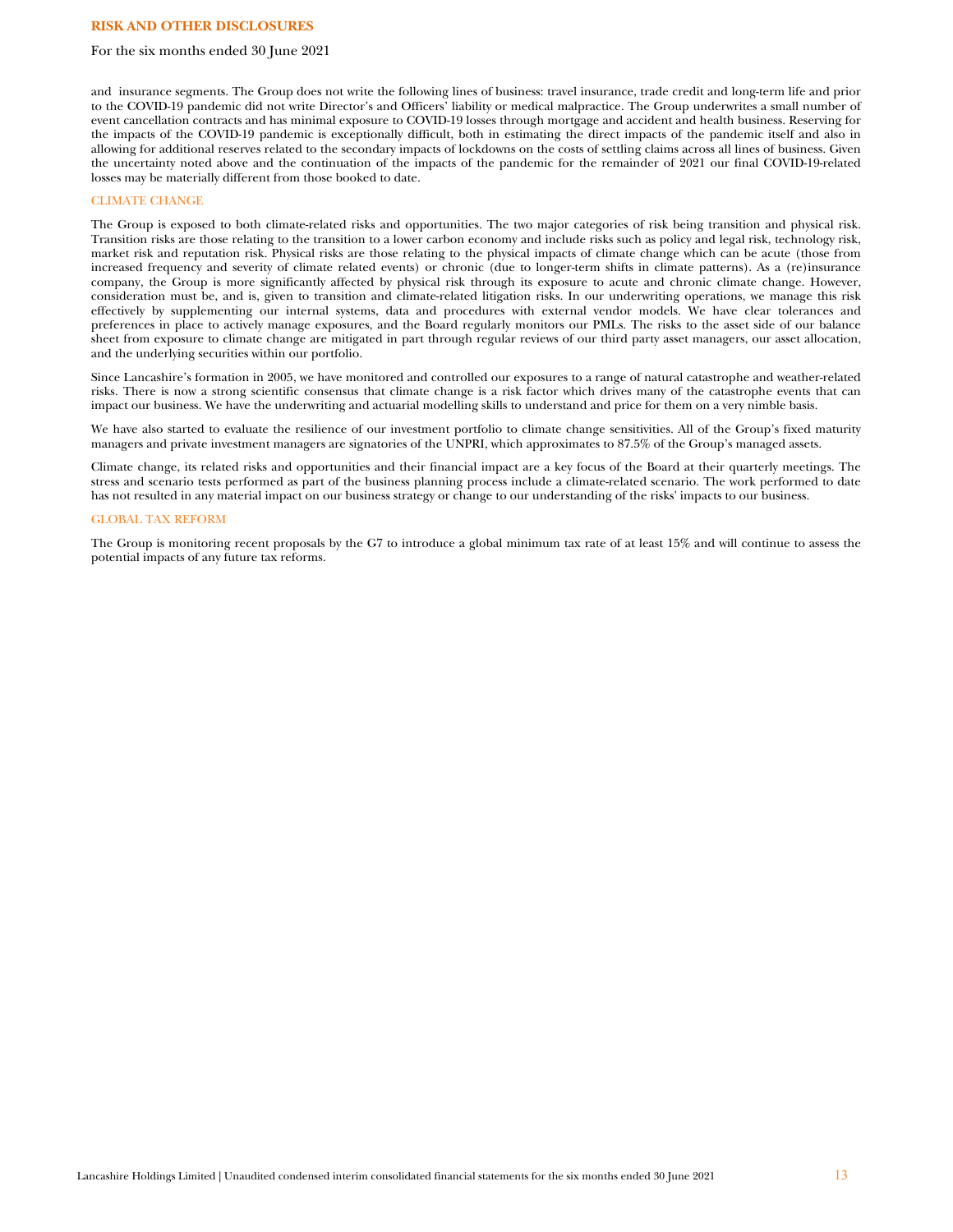## **RISK AND OTHER DISCLOSURES**

## For the six months ended 30 June 2021

and insurance segments. The Group does not write the following lines of business: travel insurance, trade credit and long-term life and prior to the COVID-19 pandemic did not write Director's and Officers' liability or medical malpractice. The Group underwrites a small number of event cancellation contracts and has minimal exposure to COVID-19 losses through mortgage and accident and health business. Reserving for the impacts of the COVID-19 pandemic is exceptionally difficult, both in estimating the direct impacts of the pandemic itself and also in allowing for additional reserves related to the secondary impacts of lockdowns on the costs of settling claims across all lines of business. Given the uncertainty noted above and the continuation of the impacts of the pandemic for the remainder of 2021 our final COVID-19-related losses may be materially different from those booked to date.

#### CLIMATE CHANGE

The Group is exposed to both climate-related risks and opportunities. The two major categories of risk being transition and physical risk. Transition risks are those relating to the transition to a lower carbon economy and include risks such as policy and legal risk, technology risk, market risk and reputation risk. Physical risks are those relating to the physical impacts of climate change which can be acute (those from increased frequency and severity of climate related events) or chronic (due to longer-term shifts in climate patterns). As a (re)insurance company, the Group is more significantly affected by physical risk through its exposure to acute and chronic climate change. However, consideration must be, and is, given to transition and climate-related litigation risks. In our underwriting operations, we manage this risk effectively by supplementing our internal systems, data and procedures with external vendor models. We have clear tolerances and preferences in place to actively manage exposures, and the Board regularly monitors our PMLs. The risks to the asset side of our balance sheet from exposure to climate change are mitigated in part through regular reviews of our third party asset managers, our asset allocation, and the underlying securities within our portfolio.

Since Lancashire's formation in 2005, we have monitored and controlled our exposures to a range of natural catastrophe and weather-related risks. There is now a strong scientific consensus that climate change is a risk factor which drives many of the catastrophe events that can impact our business. We have the underwriting and actuarial modelling skills to understand and price for them on a very nimble basis.

We have also started to evaluate the resilience of our investment portfolio to climate change sensitivities. All of the Group's fixed maturity managers and private investment managers are signatories of the UNPRI, which approximates to 87.5% of the Group's managed assets.

Climate change, its related risks and opportunities and their financial impact are a key focus of the Board at their quarterly meetings. The stress and scenario tests performed as part of the business planning process include a climate-related scenario. The work performed to date has not resulted in any material impact on our business strategy or change to our understanding of the risks' impacts to our business.

#### GLOBAL TAX REFORM

The Group is monitoring recent proposals by the G7 to introduce a global minimum tax rate of at least 15% and will continue to assess the potential impacts of any future tax reforms.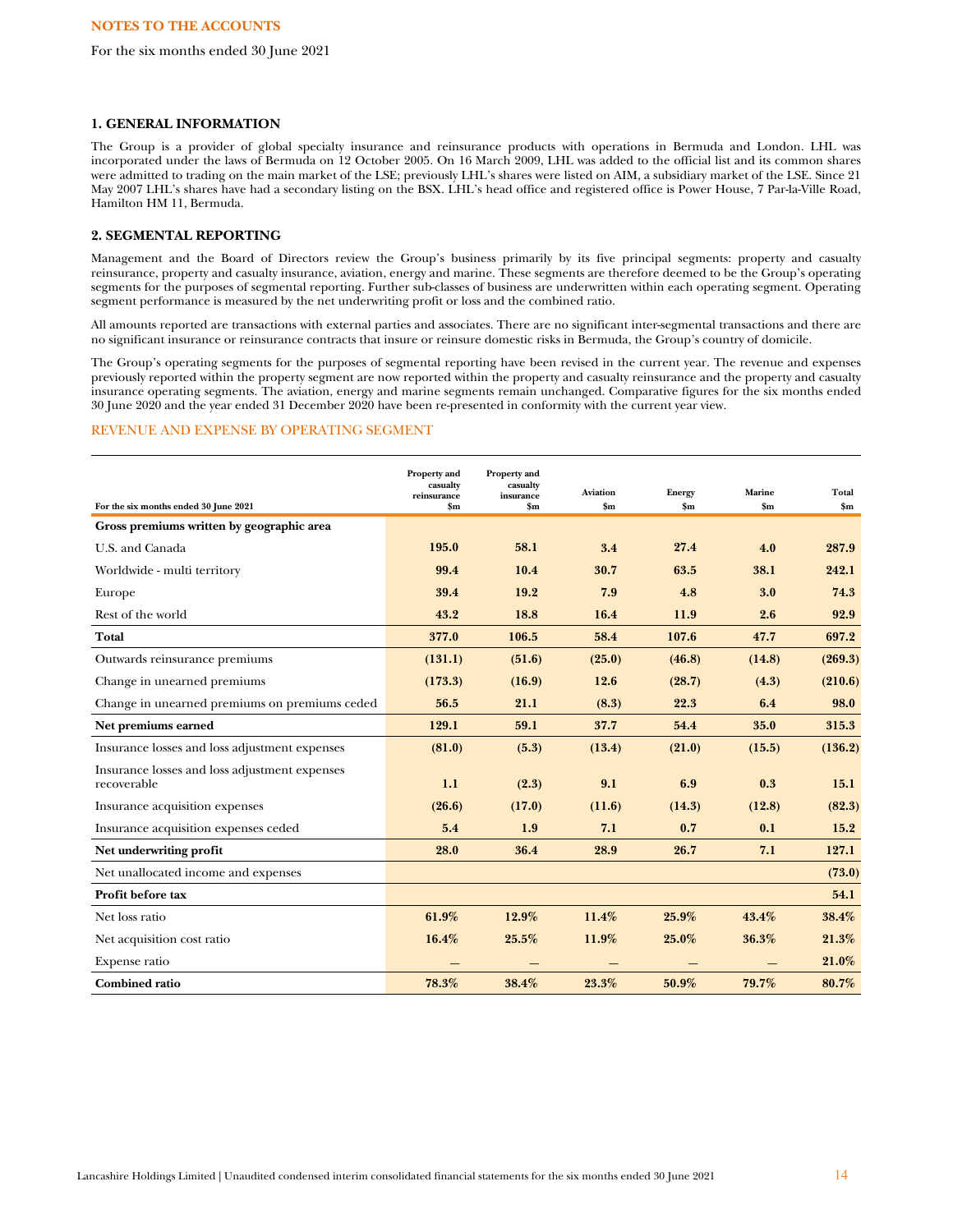#### **1. GENERAL INFORMATION**

The Group is a provider of global specialty insurance and reinsurance products with operations in Bermuda and London. LHL was incorporated under the laws of Bermuda on 12 October 2005. On 16 March 2009, LHL was added to the official list and its common shares were admitted to trading on the main market of the LSE; previously LHL's shares were listed on AIM, a subsidiary market of the LSE. Since 21 May 2007 LHL's shares have had a secondary listing on the BSX. LHL's head office and registered office is Power House, 7 Par-la-Ville Road, Hamilton HM 11, Bermuda.

# **2. SEGMENTAL REPORTING**

Management and the Board of Directors review the Group's business primarily by its five principal segments: property and casualty reinsurance, property and casualty insurance, aviation, energy and marine. These segments are therefore deemed to be the Group's operating segments for the purposes of segmental reporting. Further sub-classes of business are underwritten within each operating segment. Operating segment performance is measured by the net underwriting profit or loss and the combined ratio.

All amounts reported are transactions with external parties and associates. There are no significant inter-segmental transactions and there are no significant insurance or reinsurance contracts that insure or reinsure domestic risks in Bermuda, the Group's country of domicile.

The Group's operating segments for the purposes of segmental reporting have been revised in the current year. The revenue and expenses previously reported within the property segment are now reported within the property and casualty reinsurance and the property and casualty insurance operating segments. The aviation, energy and marine segments remain unchanged. Comparative figures for the six months ended 30 June 2020 and the year ended 31 December 2020 have been re-presented in conformity with the current year view.

# REVENUE AND EXPENSE BY OPERATING SEGMENT

| For the six months ended 30 June 2021                        | Property and<br>casualty<br>reinsurance<br>$\mathbf{Sm}$ | Property and<br>casualty<br>insurance<br>$\mathbf{Sm}$ | <b>Aviation</b><br>$\mathbf{Sm}$ | <b>Energy</b><br>$\mathbf{Sm}$ | Marine<br>$\mathbf{Sm}$ | Total<br>$S_{\bf m}$ |
|--------------------------------------------------------------|----------------------------------------------------------|--------------------------------------------------------|----------------------------------|--------------------------------|-------------------------|----------------------|
| Gross premiums written by geographic area                    |                                                          |                                                        |                                  |                                |                         |                      |
| U.S. and Canada                                              | 195.0                                                    | 58.1                                                   | 3.4                              | 27.4                           | 4.0                     | 287.9                |
| Worldwide - multi territory                                  | 99.4                                                     | 10.4                                                   | 30.7                             | 63.5                           | 38.1                    | 242.1                |
| Europe                                                       | 39.4                                                     | 19.2                                                   | 7.9                              | 4.8                            | 3.0                     | 74.3                 |
| Rest of the world                                            | 43.2                                                     | 18.8                                                   | 16.4                             | 11.9                           | 2.6                     | 92.9                 |
| Total                                                        | 377.0                                                    | 106.5                                                  | 58.4                             | 107.6                          | 47.7                    | 697.2                |
| Outwards reinsurance premiums                                | (131.1)                                                  | (51.6)                                                 | (25.0)                           | (46.8)                         | (14.8)                  | (269.3)              |
| Change in unearned premiums                                  | (173.3)                                                  | (16.9)                                                 | 12.6                             | (28.7)                         | (4.3)                   | (210.6)              |
| Change in unearned premiums on premiums ceded                | 56.5                                                     | 21.1                                                   | (8.3)                            | 22.3                           | 6.4                     | 98.0                 |
| Net premiums earned                                          | 129.1                                                    | 59.1                                                   | 37.7                             | 54.4                           | 35.0                    | 315.3                |
| Insurance losses and loss adjustment expenses                | (81.0)                                                   | (5.3)                                                  | (13.4)                           | (21.0)                         | (15.5)                  | (136.2)              |
| Insurance losses and loss adjustment expenses<br>recoverable | 1.1                                                      | (2.3)                                                  | 9.1                              | 6.9                            | 0.3                     | 15.1                 |
| Insurance acquisition expenses                               | (26.6)                                                   | (17.0)                                                 | (11.6)                           | (14.3)                         | (12.8)                  | (82.3)               |
| Insurance acquisition expenses ceded                         | 5.4                                                      | 1.9                                                    | 7.1                              | 0.7                            | 0.1                     | 15.2                 |
| Net underwriting profit                                      | 28.0                                                     | 36.4                                                   | 28.9                             | 26.7                           | 7.1                     | 127.1                |
| Net unallocated income and expenses                          |                                                          |                                                        |                                  |                                |                         | (73.0)               |
| Profit before tax                                            |                                                          |                                                        |                                  |                                |                         | 54.1                 |
| Net loss ratio                                               | 61.9%                                                    | 12.9%                                                  | 11.4%                            | 25.9%                          | 43.4%                   | 38.4%                |
| Net acquisition cost ratio                                   | 16.4%                                                    | 25.5%                                                  | 11.9%                            | 25.0%                          | 36.3%                   | 21.3%                |
| Expense ratio                                                |                                                          | —                                                      | —                                | —                              |                         | 21.0%                |
| <b>Combined ratio</b>                                        | 78.3%                                                    | 38.4%                                                  | 23.3%                            | 50.9%                          | 79.7%                   | 80.7%                |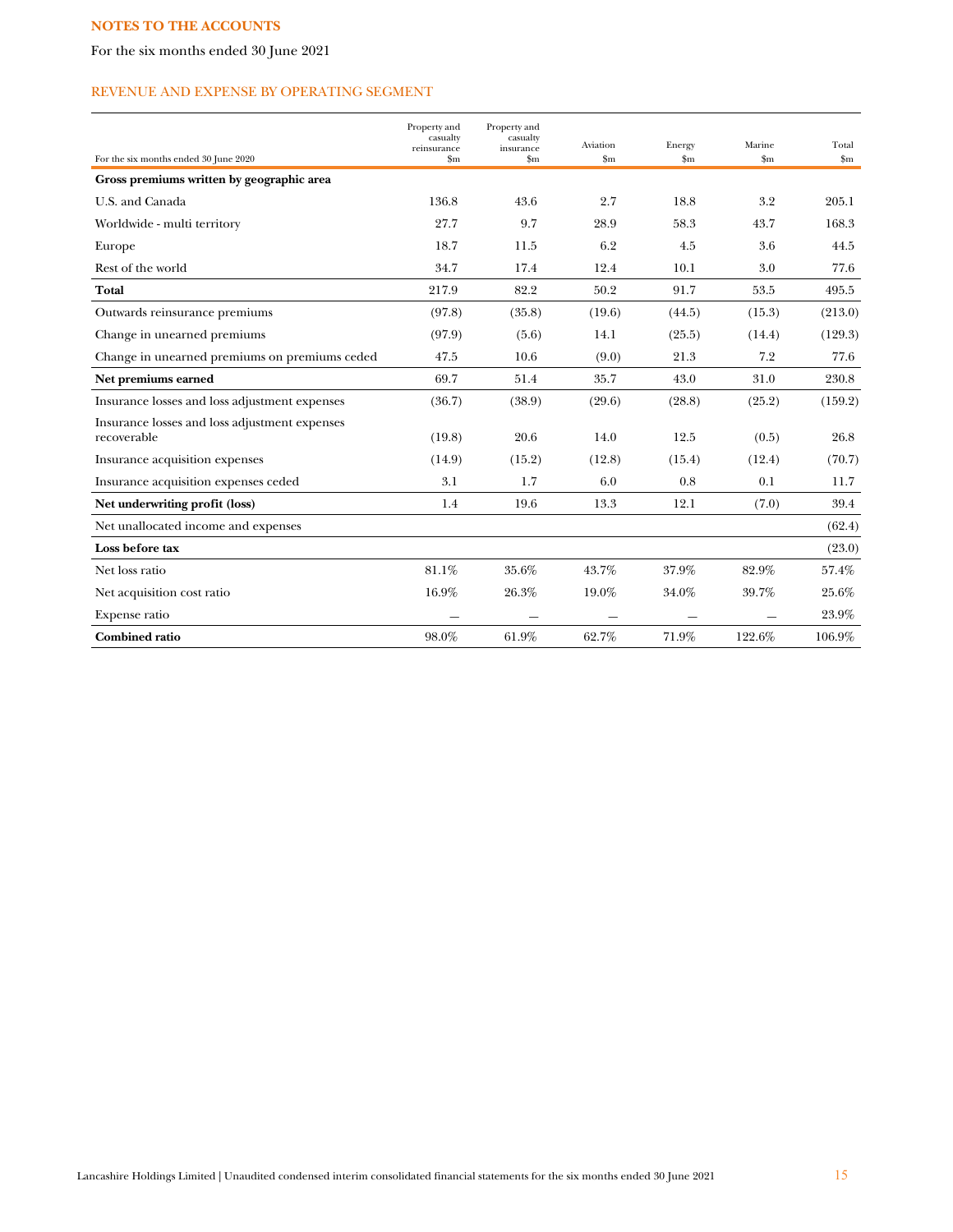For the six months ended 30 June 2021

# REVENUE AND EXPENSE BY OPERATING SEGMENT

| For the six months ended 30 June 2020                        | Property and<br>casualty<br>reinsurance<br>$_{\rm Sm}$ | Property and<br>casualty<br>insurance<br>$\mathbf{Sm}$ | Aviation<br>$\mathbf{Sm}$ | Energy<br>$\mathbf{Sm}$ | Marine<br>$\mathbf{Sm}$ | Total<br>$\mathbf{Sm}$ |
|--------------------------------------------------------------|--------------------------------------------------------|--------------------------------------------------------|---------------------------|-------------------------|-------------------------|------------------------|
| Gross premiums written by geographic area                    |                                                        |                                                        |                           |                         |                         |                        |
| U.S. and Canada                                              | 136.8                                                  | 43.6                                                   | 2.7                       | 18.8                    | 3.2                     | 205.1                  |
| Worldwide - multi territory                                  | 27.7                                                   | 9.7                                                    | 28.9                      | 58.3                    | 43.7                    | 168.3                  |
| Europe                                                       | 18.7                                                   | 11.5                                                   | 6.2                       | 4.5                     | 3.6                     | 44.5                   |
| Rest of the world                                            | 34.7                                                   | 17.4                                                   | 12.4                      | 10.1                    | 3.0                     | 77.6                   |
| Total                                                        | 217.9                                                  | 82.2                                                   | 50.2                      | 91.7                    | 53.5                    | 495.5                  |
| Outwards reinsurance premiums                                | (97.8)                                                 | (35.8)                                                 | (19.6)                    | (44.5)                  | (15.3)                  | (213.0)                |
| Change in unearned premiums                                  | (97.9)                                                 | (5.6)                                                  | 14.1                      | (25.5)                  | (14.4)                  | (129.3)                |
| Change in unearned premiums on premiums ceded                | 47.5                                                   | 10.6                                                   | (9.0)                     | 21.3                    | 7.2                     | 77.6                   |
| Net premiums earned                                          | 69.7                                                   | 51.4                                                   | 35.7                      | 43.0                    | 31.0                    | 230.8                  |
| Insurance losses and loss adjustment expenses                | (36.7)                                                 | (38.9)                                                 | (29.6)                    | (28.8)                  | (25.2)                  | (159.2)                |
| Insurance losses and loss adjustment expenses<br>recoverable | (19.8)                                                 | 20.6                                                   | 14.0                      | 12.5                    | (0.5)                   | 26.8                   |
| Insurance acquisition expenses                               | (14.9)                                                 | (15.2)                                                 | (12.8)                    | (15.4)                  | (12.4)                  | (70.7)                 |
| Insurance acquisition expenses ceded                         | 3.1                                                    | 1.7                                                    | 6.0                       | 0.8                     | 0.1                     | 11.7                   |
| Net underwriting profit (loss)                               | 1.4                                                    | 19.6                                                   | 13.3                      | 12.1                    | (7.0)                   | 39.4                   |
| Net unallocated income and expenses                          |                                                        |                                                        |                           |                         |                         | (62.4)                 |
| Loss before tax                                              |                                                        |                                                        |                           |                         |                         | (23.0)                 |
| Net loss ratio                                               | 81.1%                                                  | 35.6%                                                  | 43.7%                     | 37.9%                   | 82.9%                   | 57.4%                  |
| Net acquisition cost ratio                                   | 16.9%                                                  | 26.3%                                                  | 19.0%                     | 34.0%                   | 39.7%                   | 25.6%                  |
| Expense ratio                                                |                                                        |                                                        |                           |                         |                         | $23.9\%$               |
| <b>Combined ratio</b>                                        | 98.0%                                                  | 61.9%                                                  | 62.7%                     | 71.9%                   | 122.6%                  | 106.9%                 |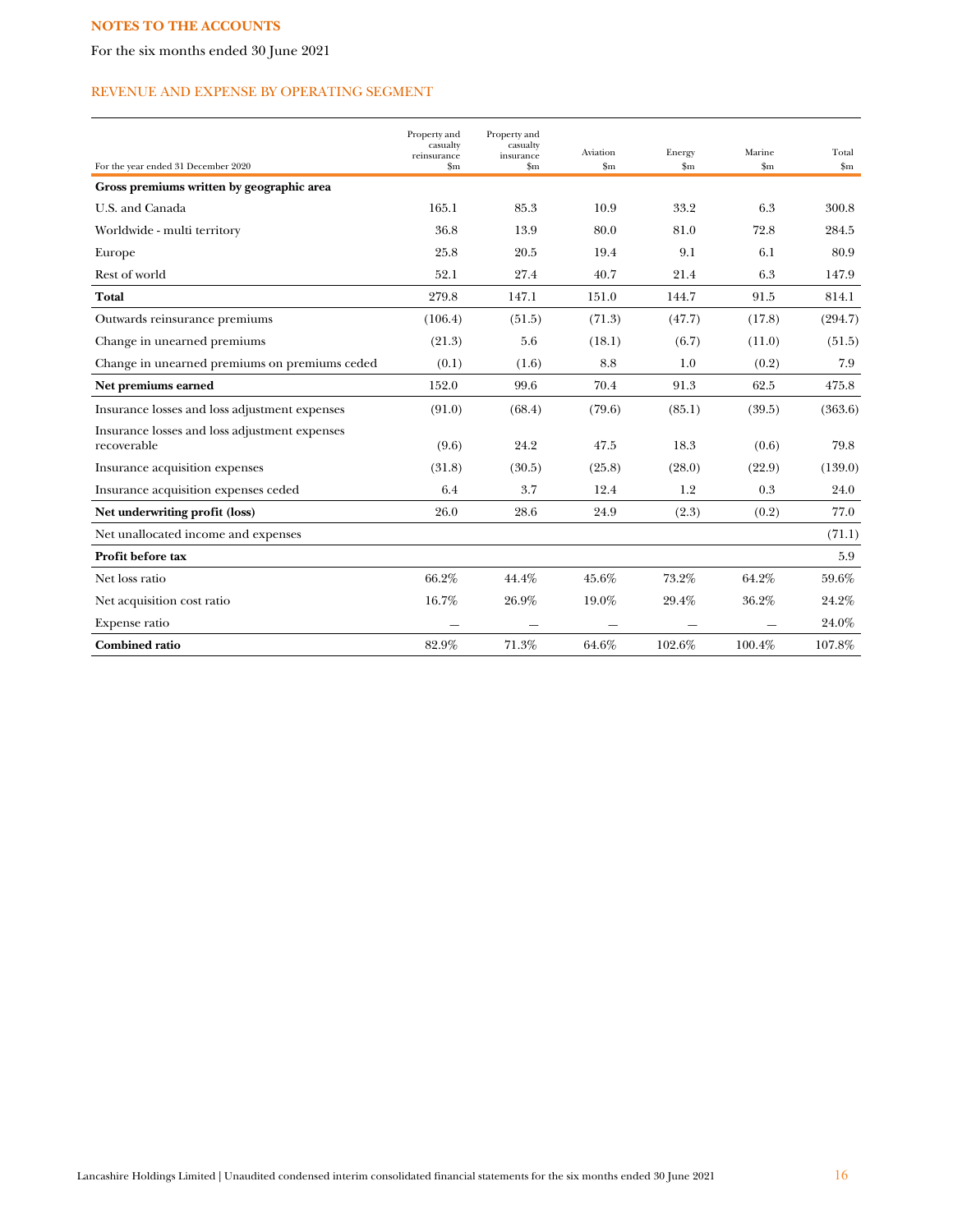For the six months ended 30 June 2021

# REVENUE AND EXPENSE BY OPERATING SEGMENT

| For the year ended 31 December 2020                          | Property and<br>casualty<br>reinsurance<br>$_{\rm Sm}$ | Property and<br>casualty<br>insurance<br>$\mathbf{Sm}$ | Aviation<br>\$m | Energy<br>\$m\$ | Marine<br>$\mathbf{Sm}$ | Total<br>$\mathbf{Sm}$ |
|--------------------------------------------------------------|--------------------------------------------------------|--------------------------------------------------------|-----------------|-----------------|-------------------------|------------------------|
| Gross premiums written by geographic area                    |                                                        |                                                        |                 |                 |                         |                        |
| U.S. and Canada                                              | 165.1                                                  | 85.3                                                   | 10.9            | 33.2            | 6.3                     | 300.8                  |
| Worldwide - multi territory                                  | 36.8                                                   | 13.9                                                   | 80.0            | 81.0            | 72.8                    | 284.5                  |
| Europe                                                       | 25.8                                                   | 20.5                                                   | 19.4            | 9.1             | 6.1                     | 80.9                   |
| Rest of world                                                | 52.1                                                   | 27.4                                                   | 40.7            | 21.4            | 6.3                     | 147.9                  |
| <b>Total</b>                                                 | 279.8                                                  | 147.1                                                  | 151.0           | 144.7           | 91.5                    | 814.1                  |
| Outwards reinsurance premiums                                | (106.4)                                                | (51.5)                                                 | (71.3)          | (47.7)          | (17.8)                  | (294.7)                |
| Change in unearned premiums                                  | (21.3)                                                 | 5.6                                                    | (18.1)          | (6.7)           | (11.0)                  | (51.5)                 |
| Change in unearned premiums on premiums ceded                | (0.1)                                                  | (1.6)                                                  | 8.8             | 1.0             | (0.2)                   | 7.9                    |
| Net premiums earned                                          | 152.0                                                  | 99.6                                                   | 70.4            | 91.3            | 62.5                    | 475.8                  |
| Insurance losses and loss adjustment expenses                | (91.0)                                                 | (68.4)                                                 | (79.6)          | (85.1)          | (39.5)                  | (363.6)                |
| Insurance losses and loss adjustment expenses<br>recoverable | (9.6)                                                  | 24.2                                                   | 47.5            | 18.3            | (0.6)                   | 79.8                   |
| Insurance acquisition expenses                               | (31.8)                                                 | (30.5)                                                 | (25.8)          | (28.0)          | (22.9)                  | (139.0)                |
| Insurance acquisition expenses ceded                         | 6.4                                                    | 3.7                                                    | 12.4            | 1.2             | 0.3                     | 24.0                   |
| Net underwriting profit (loss)                               | 26.0                                                   | 28.6                                                   | 24.9            | (2.3)           | (0.2)                   | 77.0                   |
| Net unallocated income and expenses                          |                                                        |                                                        |                 |                 |                         | (71.1)                 |
| Profit before tax                                            |                                                        |                                                        |                 |                 |                         | 5.9                    |
| Net loss ratio                                               | 66.2%                                                  | 44.4%                                                  | 45.6%           | 73.2%           | 64.2%                   | 59.6%                  |
| Net acquisition cost ratio                                   | 16.7%                                                  | 26.9%                                                  | 19.0%           | 29.4%           | 36.2%                   | 24.2%                  |
| Expense ratio                                                |                                                        |                                                        |                 |                 |                         | 24.0%                  |
| <b>Combined ratio</b>                                        | 82.9%                                                  | 71.3%                                                  | 64.6%           | 102.6%          | 100.4%                  | 107.8%                 |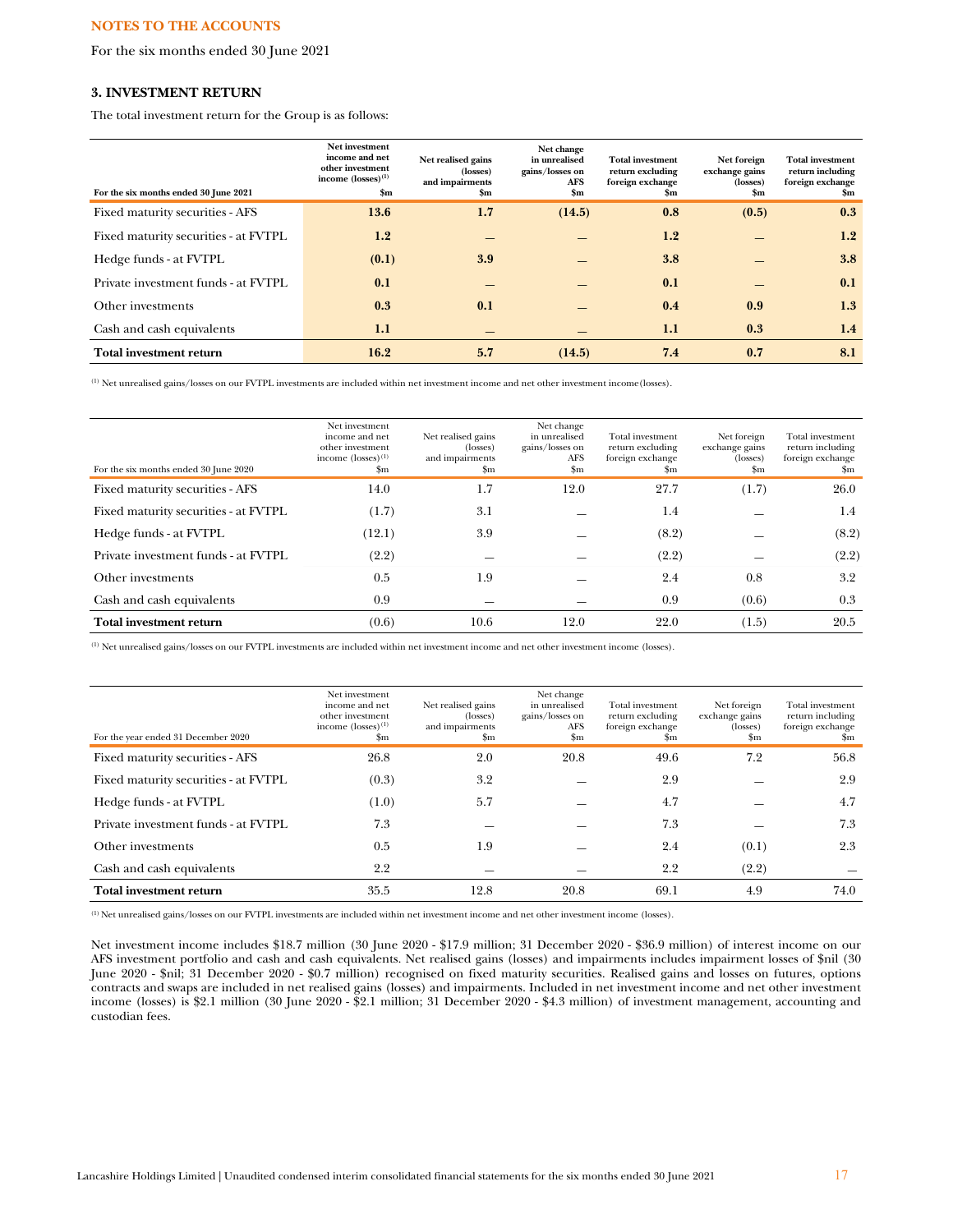For the six months ended 30 June 2021

## **3. INVESTMENT RETURN**

The total investment return for the Group is as follows:

| For the six months ended 30 June 2021 | Net investment<br>income and net<br>other investment<br>income $(losses)^{(1)}$<br>$\mathbf{Sm}$ | Net realised gains<br>(losses)<br>and impairments<br>Sm | Net change<br>in unrealised<br>gains/losses on<br>AFS<br>$\mathbf{Sm}$ | <b>Total investment</b><br>return excluding<br>foreign exchange<br>Sm | Net foreign<br>exchange gains<br>(losses)<br>$\mathbf{Sm}$ | <b>Total investment</b><br>return including<br>foreign exchange<br>\$m |
|---------------------------------------|--------------------------------------------------------------------------------------------------|---------------------------------------------------------|------------------------------------------------------------------------|-----------------------------------------------------------------------|------------------------------------------------------------|------------------------------------------------------------------------|
| Fixed maturity securities - AFS       | 13.6                                                                                             | 1.7                                                     | (14.5)                                                                 | 0.8                                                                   | (0.5)                                                      | 0.3                                                                    |
| Fixed maturity securities - at FVTPL  | 1.2                                                                                              |                                                         |                                                                        | 1.2                                                                   |                                                            | 1.2                                                                    |
| Hedge funds - at FVTPL                | (0.1)                                                                                            | 3.9                                                     |                                                                        | 3.8                                                                   |                                                            | 3.8                                                                    |
| Private investment funds - at FVTPL   | 0.1                                                                                              |                                                         |                                                                        | 0.1                                                                   |                                                            | 0.1                                                                    |
| Other investments                     | 0.3                                                                                              | 0.1                                                     |                                                                        | 0.4                                                                   | 0.9                                                        | 1.3                                                                    |
| Cash and cash equivalents             | 1.1                                                                                              |                                                         |                                                                        | 1.1                                                                   | 0.3                                                        | 1.4                                                                    |
| Total investment return               | 16.2                                                                                             | 5.7                                                     | (14.5)                                                                 | 7.4                                                                   | 0.7                                                        | 8.1                                                                    |

 $<sup>(1)</sup>$  Net unrealised gains/losses on our FVTPL investments are included within net investment income and net other investment income (losses).</sup>

| For the six months ended 30 June 2020 | Net investment<br>income and net<br>other investment<br>income $(losses)^{(1)}$<br>\$m | Net realised gains<br>(losses)<br>and impairments<br>$_{\rm Sm}$ | Net change<br>in unrealised<br>gains/losses on<br>AFS<br>$_{\rm Sm}$ | Total investment<br>return excluding<br>foreign exchange<br>\$m | Net foreign<br>exchange gains<br>$(\text{losses})$<br>$_{\rm Sm}$ | Total investment<br>return including<br>foreign exchange<br>\$m |
|---------------------------------------|----------------------------------------------------------------------------------------|------------------------------------------------------------------|----------------------------------------------------------------------|-----------------------------------------------------------------|-------------------------------------------------------------------|-----------------------------------------------------------------|
| Fixed maturity securities - AFS       | 14.0                                                                                   | $1.7\,$                                                          | 12.0                                                                 | 27.7                                                            | (1.7)                                                             | 26.0                                                            |
| Fixed maturity securities - at FVTPL  | (1.7)                                                                                  | 3.1                                                              |                                                                      | 1.4                                                             |                                                                   | $1.4\,$                                                         |
| Hedge funds - at FVTPL                | (12.1)                                                                                 | 3.9                                                              |                                                                      | (8.2)                                                           |                                                                   | (8.2)                                                           |
| Private investment funds - at FVTPL   | (2.2)                                                                                  |                                                                  |                                                                      | (2.2)                                                           |                                                                   | (2.2)                                                           |
| Other investments                     | 0.5                                                                                    | 1.9                                                              |                                                                      | 2.4                                                             | 0.8                                                               | 3.2                                                             |
| Cash and cash equivalents             | 0.9                                                                                    |                                                                  |                                                                      | 0.9                                                             | (0.6)                                                             | 0.3                                                             |
| <b>Total investment return</b>        | (0.6)                                                                                  | 10.6                                                             | 12.0                                                                 | 22.0                                                            | (1.5)                                                             | 20.5                                                            |

(1) Net unrealised gains/losses on our FVTPL investments are included within net investment income and net other investment income (losses).

| For the year ended 31 December 2020  | Net investment<br>income and net<br>other investment<br>income $(losses)^{(1)}$<br>\$m | Net realised gains<br>(losses)<br>and impairments<br>$_{\rm Sm}$ | Net change<br>in unrealised<br>gains/losses on<br>AFS<br>$_{\rm sm}$ | Total investment<br>return excluding<br>foreign exchange<br>\$m | Net foreign<br>exchange gains<br>(losses)<br>$_{\rm Sm}$ | Total investment<br>return including<br>foreign exchange<br>Sm |
|--------------------------------------|----------------------------------------------------------------------------------------|------------------------------------------------------------------|----------------------------------------------------------------------|-----------------------------------------------------------------|----------------------------------------------------------|----------------------------------------------------------------|
| Fixed maturity securities - AFS      | 26.8                                                                                   | 2.0                                                              | 20.8                                                                 | 49.6                                                            | 7.2                                                      | 56.8                                                           |
| Fixed maturity securities - at FVTPL | (0.3)                                                                                  | 3.2                                                              |                                                                      | 2.9                                                             |                                                          | 2.9                                                            |
| Hedge funds - at FVTPL               | (1.0)                                                                                  | 5.7                                                              |                                                                      | 4.7                                                             |                                                          | 4.7                                                            |
| Private investment funds - at FVTPL  | 7.3                                                                                    |                                                                  |                                                                      | 7.3                                                             |                                                          | 7.3                                                            |
| Other investments                    | 0.5                                                                                    | 1.9                                                              |                                                                      | 2.4                                                             | (0.1)                                                    | 2.3                                                            |
| Cash and cash equivalents            | 2.2                                                                                    |                                                                  |                                                                      | 2.2                                                             | (2.2)                                                    |                                                                |
| <b>Total investment return</b>       | 35.5                                                                                   | 12.8                                                             | 20.8                                                                 | 69.1                                                            | 4.9                                                      | 74.0                                                           |

(1) Net unrealised gains/losses on our FVTPL investments are included within net investment income and net other investment income (losses).

Net investment income includes \$18.7 million (30 June 2020 - \$17.9 million; 31 December 2020 - \$36.9 million) of interest income on our AFS investment portfolio and cash and cash equivalents. Net realised gains (losses) and impairments includes impairment losses of \$nil (30 June 2020 - \$nil; 31 December 2020 - \$0.7 million) recognised on fixed maturity securities. Realised gains and losses on futures, options contracts and swaps are included in net realised gains (losses) and impairments. Included in net investment income and net other investment income (losses) is \$2.1 million (30 June 2020 - \$2.1 million; 31 December 2020 - \$4.3 million) of investment management, accounting and custodian fees.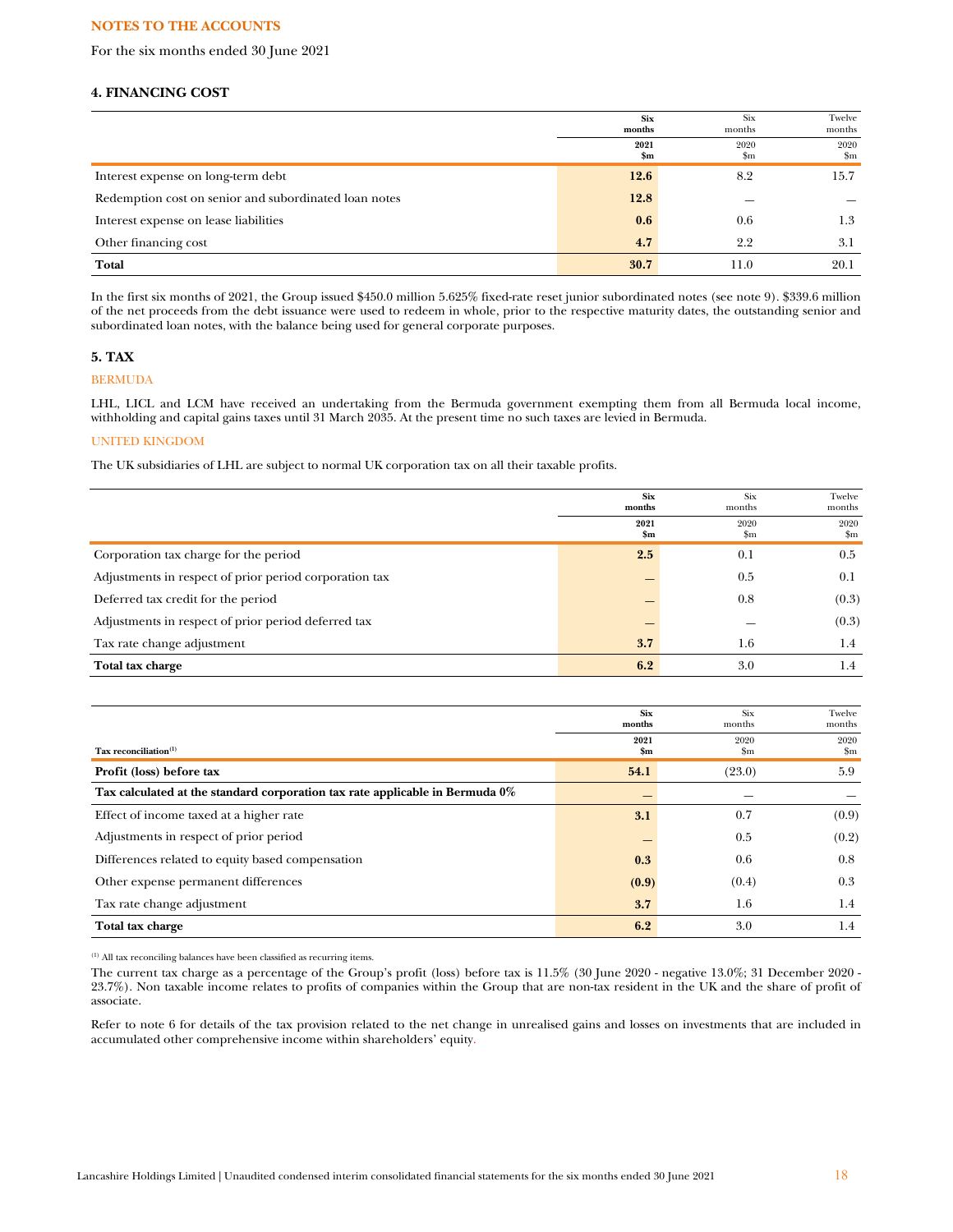For the six months ended 30 June 2021

# **4. FINANCING COST**

|                                                       | <b>Six</b><br>months | Six<br>months | Twelve<br>months    |
|-------------------------------------------------------|----------------------|---------------|---------------------|
|                                                       | 2021<br>\$m          | 2020<br>\$m   | 2020<br>$_{\rm Sm}$ |
| Interest expense on long-term debt                    | 12.6                 | 8.2           | 15.7                |
| Redemption cost on senior and subordinated loan notes | 12.8                 |               |                     |
| Interest expense on lease liabilities                 | 0.6                  | 0.6           | 1.3                 |
| Other financing cost                                  | 4.7                  | 2.2           | 3.1                 |
| Total                                                 | 30.7                 | 11.0          | 20.1                |

In the first six months of 2021, the Group issued \$450.0 million 5.625% fixed-rate reset junior subordinated notes (see note 9). \$339.6 million of the net proceeds from the debt issuance were used to redeem in whole, prior to the respective maturity dates, the outstanding senior and subordinated loan notes, with the balance being used for general corporate purposes.

## **5. TAX**

## BERMUDA

LHL, LICL and LCM have received an undertaking from the Bermuda government exempting them from all Bermuda local income, withholding and capital gains taxes until 31 March 2035. At the present time no such taxes are levied in Bermuda.

## UNITED KINGDOM

The UK subsidiaries of LHL are subject to normal UK corporation tax on all their taxable profits.

|                                                        | <b>Six</b><br>months  | Six<br>months       | Twelve<br>months      |
|--------------------------------------------------------|-----------------------|---------------------|-----------------------|
|                                                        | 2021<br>$\mathbf{Sm}$ | 2020<br>$_{\rm Sm}$ | 2020<br>$\mathbf{Sm}$ |
| Corporation tax charge for the period                  | 2.5                   | 0.1                 | 0.5                   |
| Adjustments in respect of prior period corporation tax |                       | 0.5                 | 0.1                   |
| Deferred tax credit for the period                     |                       | 0.8                 | (0.3)                 |
| Adjustments in respect of prior period deferred tax    |                       |                     | (0.3)                 |
| Tax rate change adjustment                             | 3.7                   | $1.6\,$             | 1.4                   |
| Total tax charge                                       | 6.2                   | 3.0                 | 1.4                   |

|                                                                              | <b>Six</b><br>months  | Six<br>months       | Twelve<br>months      |
|------------------------------------------------------------------------------|-----------------------|---------------------|-----------------------|
| Tax reconciliation <sup>(1)</sup>                                            | 2021<br>$\mathbf{Sm}$ | 2020<br>$_{\rm Sm}$ | 2020<br>$\mathbf{Sm}$ |
| Profit (loss) before tax                                                     | 54.1                  | (23.0)              | 5.9                   |
| Tax calculated at the standard corporation tax rate applicable in Bermuda 0% |                       |                     |                       |
| Effect of income taxed at a higher rate                                      | 3.1                   | 0.7                 | (0.9)                 |
| Adjustments in respect of prior period                                       |                       | 0.5                 | (0.2)                 |
| Differences related to equity based compensation                             | 0.3                   | 0.6                 | 0.8                   |
| Other expense permanent differences                                          | (0.9)                 | (0.4)               | 0.3                   |
| Tax rate change adjustment                                                   | 3.7                   | 1.6                 | 1.4                   |
| Total tax charge                                                             | 6.2                   | 3.0                 | 1.4                   |

(1) All tax reconciling balances have been classified as recurring items.

The current tax charge as a percentage of the Group's profit (loss) before tax is 11.5% (30 June 2020 - negative 13.0%; 31 December 2020 - 23.7%). Non taxable income relates to profits of companies within the Group that are non-tax resident in the UK and the share of profit of associate.

Refer to note 6 for details of the tax provision related to the net change in unrealised gains and losses on investments that are included in accumulated other comprehensive income within shareholders' equity.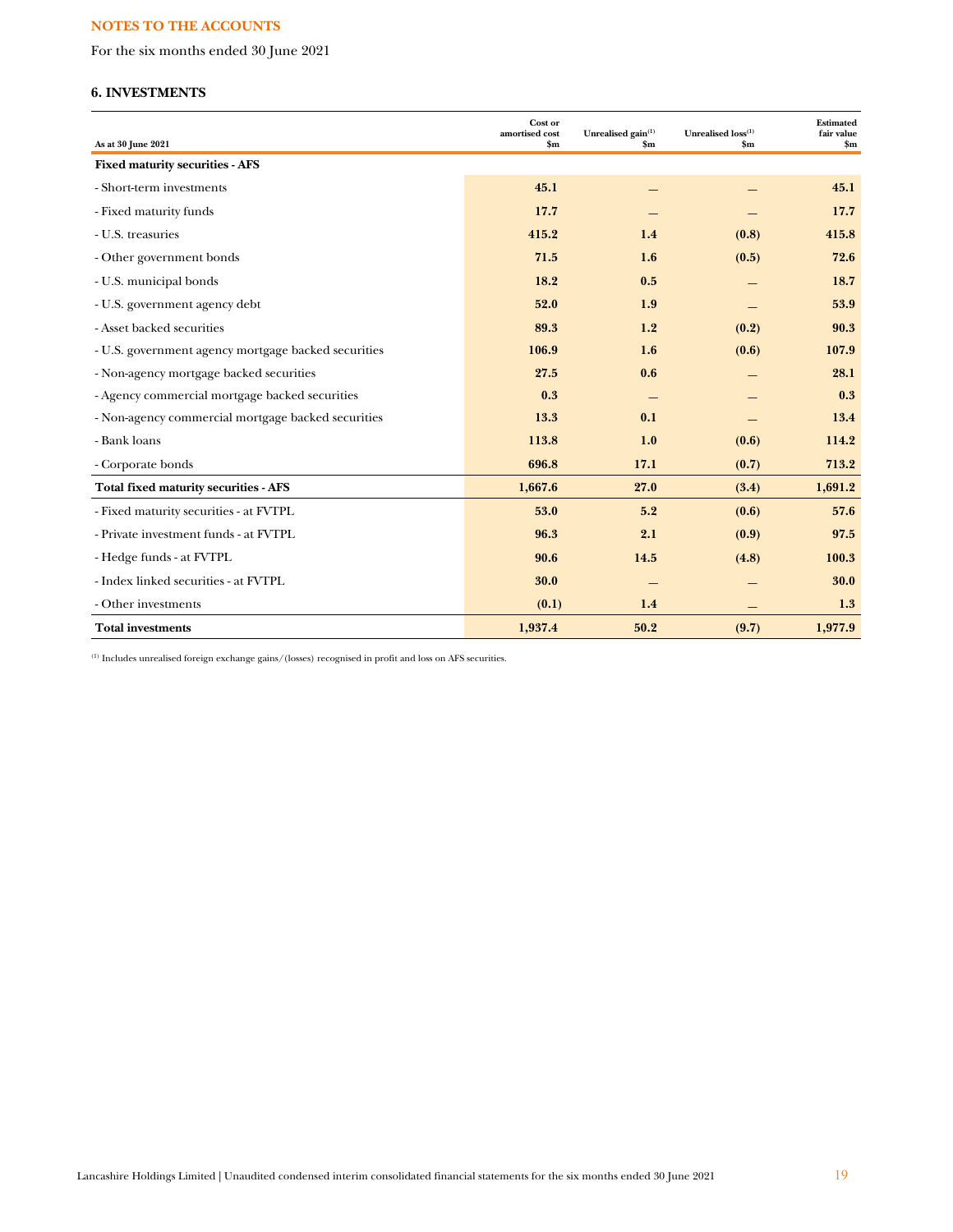For the six months ended 30 June 2021

# **6. INVESTMENTS**

| As at 30 June 2021                                  | Cost or<br>amortised cost<br>$\mathbf{Sm}$ | Unrealised gain <sup>(1)</sup><br>$\mathbf{Sm}$ | Unrealised loss(1)<br>$\mathbf{Sm}$ | <b>Estimated</b><br>fair value<br>$\mathbf{Sm}$ |
|-----------------------------------------------------|--------------------------------------------|-------------------------------------------------|-------------------------------------|-------------------------------------------------|
| <b>Fixed maturity securities - AFS</b>              |                                            |                                                 |                                     |                                                 |
| - Short-term investments                            | 45.1                                       |                                                 |                                     | 45.1                                            |
| - Fixed maturity funds                              | 17.7                                       |                                                 |                                     | 17.7                                            |
| - U.S. treasuries                                   | 415.2                                      | 1.4                                             | (0.8)                               | 415.8                                           |
| - Other government bonds                            | 71.5                                       | 1.6                                             | (0.5)                               | 72.6                                            |
| - U.S. municipal bonds                              | 18.2                                       | 0.5                                             |                                     | 18.7                                            |
| - U.S. government agency debt                       | 52.0                                       | 1.9                                             |                                     | 53.9                                            |
| - Asset backed securities                           | 89.3                                       | 1.2                                             | (0.2)                               | 90.3                                            |
| - U.S. government agency mortgage backed securities | 106.9                                      | 1.6                                             | (0.6)                               | 107.9                                           |
| - Non-agency mortgage backed securities             | 27.5                                       | 0.6                                             |                                     | 28.1                                            |
| - Agency commercial mortgage backed securities      | 0.3                                        |                                                 |                                     | 0.3                                             |
| - Non-agency commercial mortgage backed securities  | 13.3                                       | 0.1                                             |                                     | 13.4                                            |
| - Bank loans                                        | 113.8                                      | 1.0                                             | (0.6)                               | 114.2                                           |
| - Corporate bonds                                   | 696.8                                      | 17.1                                            | (0.7)                               | 713.2                                           |
| <b>Total fixed maturity securities - AFS</b>        | 1,667.6                                    | 27.0                                            | (3.4)                               | 1,691.2                                         |
| - Fixed maturity securities - at FVTPL              | 53.0                                       | 5.2                                             | (0.6)                               | 57.6                                            |
| - Private investment funds - at FVTPL               | 96.3                                       | 2.1                                             | (0.9)                               | 97.5                                            |
| - Hedge funds - at FVTPL                            | 90.6                                       | 14.5                                            | (4.8)                               | 100.3                                           |
| - Index linked securities - at FVTPL                | 30.0                                       |                                                 |                                     | 30.0                                            |
| - Other investments                                 | (0.1)                                      | 1.4                                             |                                     | 1.3                                             |
| <b>Total investments</b>                            | 1,937.4                                    | 50.2                                            | (9.7)                               | 1,977.9                                         |

 $^{\rm (1)}$  Includes unrealised foreign exchange gains/(losses) recognised in profit and loss on AFS securities.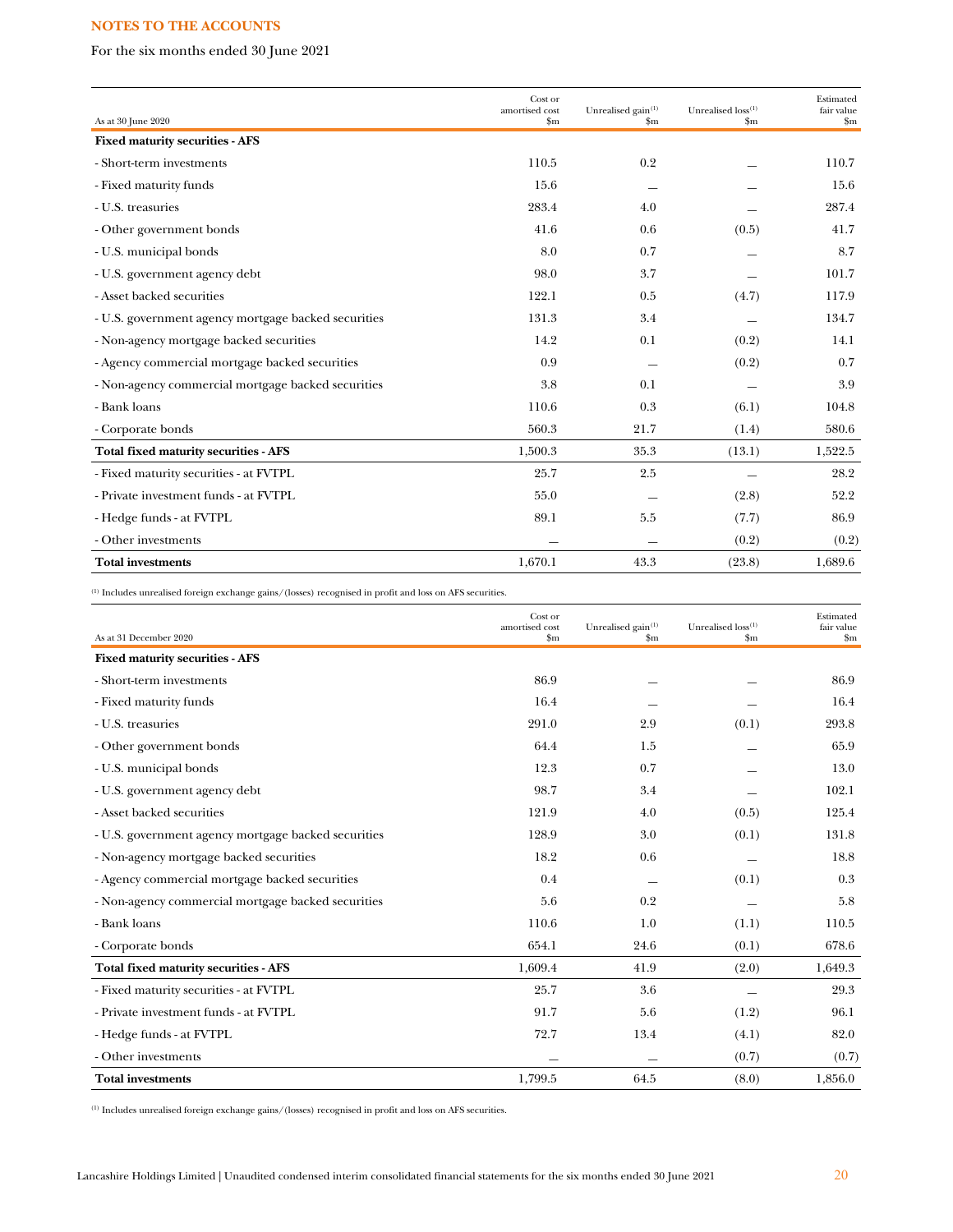For the six months ended 30 June 2021

|                                                     | Cost or<br>amortised cost | Unrealised gain <sup>(1)</sup> | Unrealised loss <sup>(1)</sup> | Estimated<br>fair value |
|-----------------------------------------------------|---------------------------|--------------------------------|--------------------------------|-------------------------|
| As at 30 June 2020                                  | $\mathbf{Sm}$             | \$m                            | $\mathbf{Sm}$                  | $\mathbf{Sm}$           |
| <b>Fixed maturity securities - AFS</b>              |                           |                                |                                |                         |
| - Short-term investments                            | 110.5                     | 0.2                            |                                | 110.7                   |
| - Fixed maturity funds                              | 15.6                      |                                |                                | 15.6                    |
| - U.S. treasuries                                   | 283.4                     | 4.0                            |                                | 287.4                   |
| - Other government bonds                            | 41.6                      | 0.6                            | (0.5)                          | 41.7                    |
| - U.S. municipal bonds                              | 8.0                       | 0.7                            |                                | 8.7                     |
| - U.S. government agency debt                       | 98.0                      | 3.7                            |                                | 101.7                   |
| - Asset backed securities                           | 122.1                     | 0.5                            | (4.7)                          | 117.9                   |
| - U.S. government agency mortgage backed securities | 131.3                     | 3.4                            |                                | 134.7                   |
| - Non-agency mortgage backed securities             | 14.2                      | 0.1                            | (0.2)                          | 14.1                    |
| - Agency commercial mortgage backed securities      | 0.9                       |                                | (0.2)                          | 0.7                     |
| - Non-agency commercial mortgage backed securities  | 3.8                       | 0.1                            |                                | 3.9                     |
| - Bank loans                                        | 110.6                     | 0.3                            | (6.1)                          | 104.8                   |
| - Corporate bonds                                   | 560.3                     | 21.7                           | (1.4)                          | 580.6                   |
| <b>Total fixed maturity securities - AFS</b>        | 1,500.3                   | 35.3                           | (13.1)                         | 1,522.5                 |
| - Fixed maturity securities - at FVTPL              | 25.7                      | 2.5                            |                                | 28.2                    |
| - Private investment funds - at FVTPL               | 55.0                      |                                | (2.8)                          | 52.2                    |
| - Hedge funds - at FVTPL                            | 89.1                      | 5.5                            | (7.7)                          | 86.9                    |
| - Other investments                                 |                           |                                | (0.2)                          | (0.2)                   |
| <b>Total investments</b>                            | 1,670.1                   | 43.3                           | (23.8)                         | 1,689.6                 |

 $^{\rm (1)}$  Includes unrealised foreign exchange gains/(losses) recognised in profit and loss on AFS securities.

|                                                     | Cost or<br>amortised cost | Unrealised gain <sup>(1)</sup> | Unrealised loss(1) | Estimated<br>fair value |
|-----------------------------------------------------|---------------------------|--------------------------------|--------------------|-------------------------|
| As at 31 December 2020                              | \$m                       | \$m\$                          | $\mathbf{Sm}$      | $\mathbf{Sm}$           |
| <b>Fixed maturity securities - AFS</b>              |                           |                                |                    |                         |
| - Short-term investments                            | 86.9                      |                                |                    | 86.9                    |
| - Fixed maturity funds                              | 16.4                      |                                |                    | 16.4                    |
| - U.S. treasuries                                   | 291.0                     | 2.9                            | (0.1)              | 293.8                   |
| - Other government bonds                            | 64.4                      | 1.5                            |                    | 65.9                    |
| - U.S. municipal bonds                              | 12.3                      | 0.7                            |                    | 13.0                    |
| - U.S. government agency debt                       | 98.7                      | 3.4                            |                    | 102.1                   |
| - Asset backed securities                           | 121.9                     | 4.0                            | (0.5)              | 125.4                   |
| - U.S. government agency mortgage backed securities | 128.9                     | 3.0                            | (0.1)              | 131.8                   |
| - Non-agency mortgage backed securities             | 18.2                      | 0.6                            |                    | 18.8                    |
| - Agency commercial mortgage backed securities      | 0.4                       |                                | (0.1)              | 0.3                     |
| - Non-agency commercial mortgage backed securities  | 5.6                       | 0.2                            |                    | 5.8                     |
| - Bank loans                                        | 110.6                     | 1.0                            | (1.1)              | 110.5                   |
| - Corporate bonds                                   | 654.1                     | 24.6                           | (0.1)              | 678.6                   |
| Total fixed maturity securities - AFS               | 1,609.4                   | 41.9                           | (2.0)              | 1,649.3                 |
| - Fixed maturity securities - at FVTPL              | 25.7                      | 3.6                            |                    | 29.3                    |
| - Private investment funds - at FVTPL               | 91.7                      | 5.6                            | (1.2)              | 96.1                    |
| - Hedge funds - at FVTPL                            | 72.7                      | 13.4                           | (4.1)              | 82.0                    |
| - Other investments                                 |                           |                                | (0.7)              | (0.7)                   |
| <b>Total investments</b>                            | 1,799.5                   | 64.5                           | (8.0)              | 1,856.0                 |

 $^{\rm (1)}$  Includes unrealised foreign exchange gains/(losses) recognised in profit and loss on AFS securities.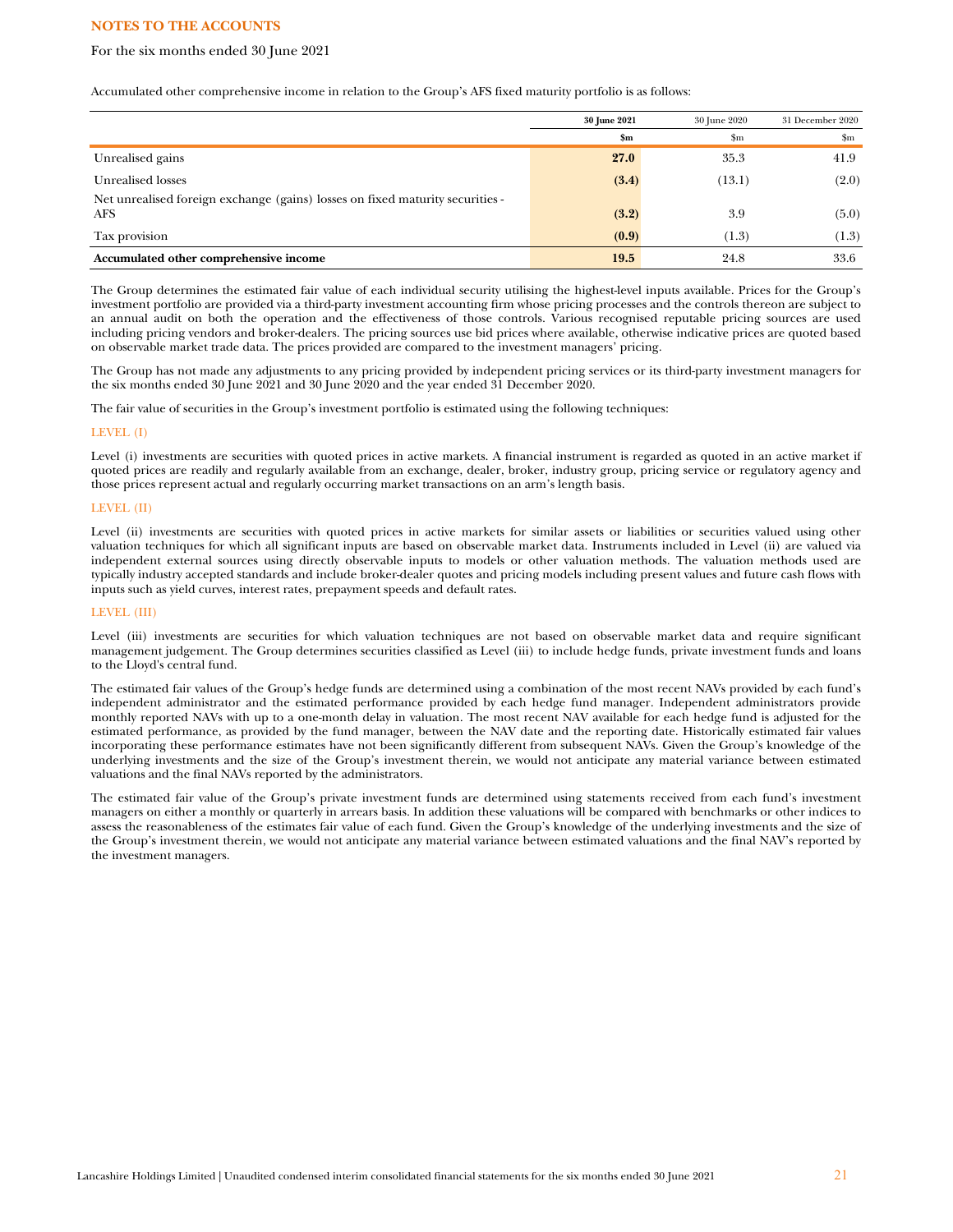#### For the six months ended 30 June 2021

Accumulated other comprehensive income in relation to the Group's AFS fixed maturity portfolio is as follows:

|                                                                                             | 30 June 2021  | 30 June 2020 | 31 December 2020 |
|---------------------------------------------------------------------------------------------|---------------|--------------|------------------|
|                                                                                             | $\mathbf{Sm}$ | \$m          | $\mathbf{Sm}$    |
| Unrealised gains                                                                            | 27.0          | 35.3         | 41.9             |
| Unrealised losses                                                                           | (3.4)         | (13.1)       | (2.0)            |
| Net unrealised foreign exchange (gains) losses on fixed maturity securities -<br><b>AFS</b> | (3.2)         | 3.9          | (5.0)            |
| Tax provision                                                                               | (0.9)         | (1.3)        | (1.3)            |
| Accumulated other comprehensive income                                                      | 19.5          | 24.8         | 33.6             |

The Group determines the estimated fair value of each individual security utilising the highest-level inputs available. Prices for the Group's investment portfolio are provided via a third-party investment accounting firm whose pricing processes and the controls thereon are subject to an annual audit on both the operation and the effectiveness of those controls. Various recognised reputable pricing sources are used including pricing vendors and broker-dealers. The pricing sources use bid prices where available, otherwise indicative prices are quoted based on observable market trade data. The prices provided are compared to the investment managers' pricing.

The Group has not made any adjustments to any pricing provided by independent pricing services or its third-party investment managers for the six months ended 30 June 2021 and 30 June 2020 and the year ended 31 December 2020.

The fair value of securities in the Group's investment portfolio is estimated using the following techniques:

#### LEVEL (I)

Level (i) investments are securities with quoted prices in active markets. A financial instrument is regarded as quoted in an active market if quoted prices are readily and regularly available from an exchange, dealer, broker, industry group, pricing service or regulatory agency and those prices represent actual and regularly occurring market transactions on an arm's length basis.

#### LEVEL (II)

Level (ii) investments are securities with quoted prices in active markets for similar assets or liabilities or securities valued using other valuation techniques for which all significant inputs are based on observable market data. Instruments included in Level (ii) are valued via independent external sources using directly observable inputs to models or other valuation methods. The valuation methods used are typically industry accepted standards and include broker-dealer quotes and pricing models including present values and future cash flows with inputs such as yield curves, interest rates, prepayment speeds and default rates.

#### LEVEL (III)

Level (iii) investments are securities for which valuation techniques are not based on observable market data and require significant management judgement. The Group determines securities classified as Level (iii) to include hedge funds, private investment funds and loans to the Lloyd's central fund.

The estimated fair values of the Group's hedge funds are determined using a combination of the most recent NAVs provided by each fund's independent administrator and the estimated performance provided by each hedge fund manager. Independent administrators provide monthly reported NAVs with up to a one-month delay in valuation. The most recent NAV available for each hedge fund is adjusted for the estimated performance, as provided by the fund manager, between the NAV date and the reporting date. Historically estimated fair values incorporating these performance estimates have not been significantly different from subsequent NAVs. Given the Group's knowledge of the underlying investments and the size of the Group's investment therein, we would not anticipate any material variance between estimated valuations and the final NAVs reported by the administrators.

The estimated fair value of the Group's private investment funds are determined using statements received from each fund's investment managers on either a monthly or quarterly in arrears basis. In addition these valuations will be compared with benchmarks or other indices to assess the reasonableness of the estimates fair value of each fund. Given the Group's knowledge of the underlying investments and the size of the Group's investment therein, we would not anticipate any material variance between estimated valuations and the final NAV's reported by the investment managers.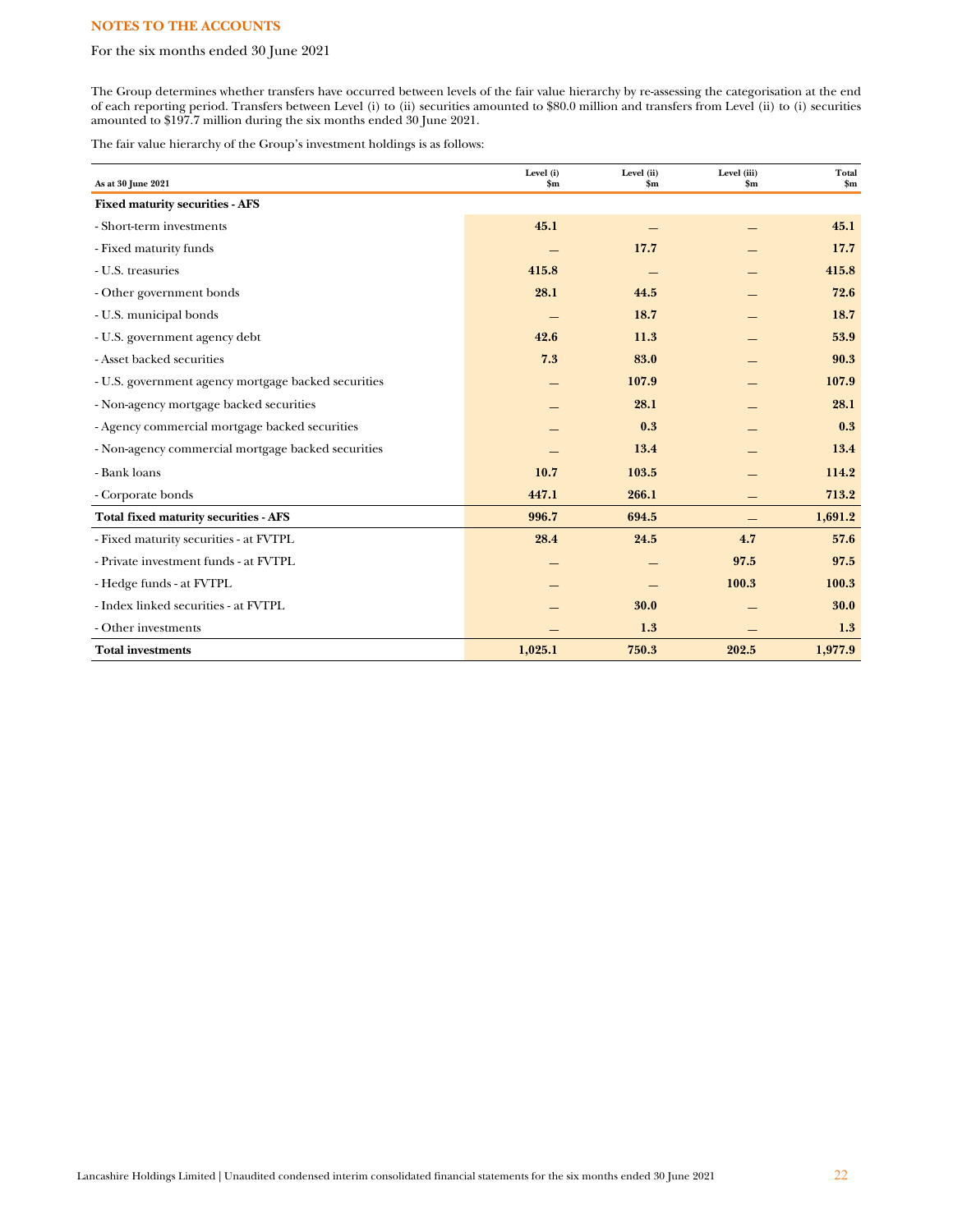# For the six months ended 30 June 2021

The Group determines whether transfers have occurred between levels of the fair value hierarchy by re-assessing the categorisation at the end of each reporting period. Transfers between Level (i) to (ii) securities amounted to \$80.0 million and transfers from Level (ii) to (i) securities amounted to \$197.7 million during the six months ended 30 June 2021.

The fair value hierarchy of the Group's investment holdings is as follows:

| As at 30 June 2021                                  | Level (i)<br>$\mathbf{Sm}$ | Level (ii)<br>$\mathbf{Sm}$ | Level (iii)<br>$\mathbf{Sm}$ | Total<br>$\mathbf{Sm}$ |
|-----------------------------------------------------|----------------------------|-----------------------------|------------------------------|------------------------|
| <b>Fixed maturity securities - AFS</b>              |                            |                             |                              |                        |
| - Short-term investments                            | 45.1                       |                             |                              | 45.1                   |
| - Fixed maturity funds                              |                            | 17.7                        |                              | 17.7                   |
| - U.S. treasuries                                   | 415.8                      |                             |                              | 415.8                  |
| - Other government bonds                            | 28.1                       | 44.5                        |                              | 72.6                   |
| - U.S. municipal bonds                              |                            | 18.7                        |                              | 18.7                   |
| - U.S. government agency debt                       | 42.6                       | 11.3                        |                              | 53.9                   |
| - Asset backed securities                           | 7.3                        | 83.0                        |                              | 90.3                   |
| - U.S. government agency mortgage backed securities |                            | 107.9                       |                              | 107.9                  |
| - Non-agency mortgage backed securities             |                            | 28.1                        |                              | 28.1                   |
| - Agency commercial mortgage backed securities      |                            | 0.3                         |                              | 0.3                    |
| - Non-agency commercial mortgage backed securities  |                            | 13.4                        |                              | 13.4                   |
| - Bank loans                                        | 10.7                       | 103.5                       |                              | 114.2                  |
| - Corporate bonds                                   | 447.1                      | 266.1                       |                              | 713.2                  |
| <b>Total fixed maturity securities - AFS</b>        | 996.7                      | 694.5                       |                              | 1,691.2                |
| - Fixed maturity securities - at FVTPL              | 28.4                       | 24.5                        | 4.7                          | 57.6                   |
| - Private investment funds - at FVTPL               |                            |                             | 97.5                         | 97.5                   |
| - Hedge funds - at FVTPL                            |                            |                             | 100.3                        | 100.3                  |
| - Index linked securities - at FVTPL                |                            | 30.0                        |                              | 30.0                   |
| - Other investments                                 |                            | 1.3                         |                              | 1.3                    |
| <b>Total investments</b>                            | 1,025.1                    | 750.3                       | 202.5                        | 1,977.9                |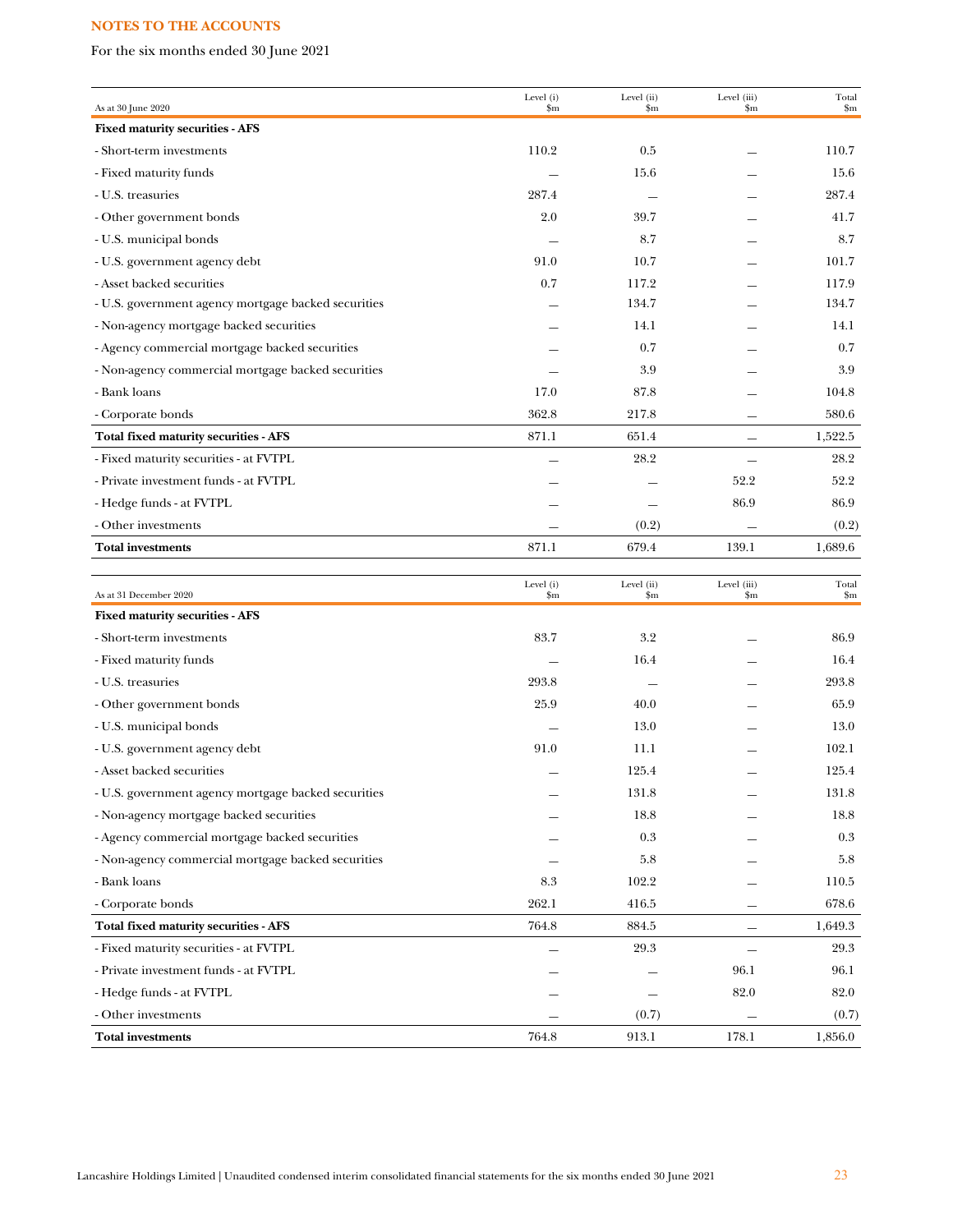For the six months ended 30 June 2021

| As at 30 June 2020                                  | Level (i)<br>\$m | Level (ii)<br>$\mathbf{Sm}$ | Level (iii)<br>$\mathbf{S}_{\mathbf{m}}$ | Total<br>$\mathbf{Sm}$ |
|-----------------------------------------------------|------------------|-----------------------------|------------------------------------------|------------------------|
| <b>Fixed maturity securities - AFS</b>              |                  |                             |                                          |                        |
| - Short-term investments                            | 110.2            | 0.5                         |                                          | 110.7                  |
| - Fixed maturity funds                              |                  | 15.6                        |                                          | 15.6                   |
| - U.S. treasuries                                   | 287.4            |                             |                                          | 287.4                  |
| - Other government bonds                            | 2.0              | 39.7                        |                                          | 41.7                   |
| - U.S. municipal bonds                              |                  | 8.7                         |                                          | 8.7                    |
| - U.S. government agency debt                       | 91.0             | 10.7                        |                                          | 101.7                  |
| - Asset backed securities                           | 0.7              | 117.2                       |                                          | 117.9                  |
| - U.S. government agency mortgage backed securities |                  | 134.7                       |                                          | 134.7                  |
| - Non-agency mortgage backed securities             |                  | 14.1                        |                                          | 14.1                   |
| - Agency commercial mortgage backed securities      |                  | 0.7                         |                                          | 0.7                    |
| - Non-agency commercial mortgage backed securities  |                  | 3.9                         |                                          | 3.9                    |
| - Bank loans                                        | 17.0             | 87.8                        |                                          | 104.8                  |
| - Corporate bonds                                   | 362.8            | 217.8                       |                                          | 580.6                  |
| Total fixed maturity securities - AFS               | 871.1            | 651.4                       | —                                        | 1,522.5                |
| - Fixed maturity securities - at FVTPL              |                  | 28.2                        | $\overline{\phantom{0}}$                 | 28.2                   |
| - Private investment funds - at FVTPL               |                  |                             | 52.2                                     | 52.2                   |
| - Hedge funds - at FVTPL                            |                  |                             | 86.9                                     | 86.9                   |
| - Other investments                                 |                  | (0.2)                       |                                          | (0.2)                  |
| <b>Total investments</b>                            | 871.1            | 679.4                       | 139.1                                    | 1,689.6                |
|                                                     |                  |                             |                                          |                        |
| As at 31 December 2020                              | Level (i)<br>\$m | Level (ii)<br>\$m           | Level (iii)<br>$_{\rm sm}$               | Total<br>$\mathbf{Sm}$ |
| Fixed maturity securities - AFS                     |                  |                             |                                          |                        |
| - Short-term investments                            | 83.7             | 3.2                         |                                          | 86.9                   |
| - Fixed maturity funds                              |                  | 16.4                        |                                          | 16.4                   |
| - U.S. treasuries                                   | 293.8            |                             |                                          | 293.8                  |
| - Other government bonds                            | 25.9             | 40.0                        |                                          | 65.9                   |
| - U.S. municipal bonds                              |                  | 13.0                        |                                          | 13.0                   |
| - U.S. government agency debt                       | 91.0             | 11.1                        |                                          | 102.1                  |
| - Asset backed securities                           |                  | 125.4                       |                                          | 125.4                  |
| - U.S. government agency mortgage backed securities |                  | 131.8                       |                                          | 131.8                  |
| - Non-agency mortgage backed securities             |                  | 18.8                        |                                          | 18.8                   |
| - Agency commercial mortgage backed securities      |                  | 0.3                         |                                          | 0.3                    |
| - Non-agency commercial mortgage backed securities  |                  | 5.8                         |                                          | 5.8                    |
| - Bank loans                                        | 8.3              | 102.2                       |                                          | 110.5                  |
| - Corporate bonds                                   | 262.1            | 416.5                       |                                          | 678.6                  |
| Total fixed maturity securities - AFS               | 764.8            | 884.5                       |                                          | 1,649.3                |
| - Fixed maturity securities - at FVTPL              |                  | 29.3                        |                                          | 29.3                   |
| - Private investment funds - at FVTPL               |                  |                             | 96.1                                     | 96.1                   |
| - Hedge funds - at FVTPL                            |                  |                             | 82.0                                     | 82.0                   |
| - Other investments                                 |                  | (0.7)                       |                                          | (0.7)                  |
| <b>Total investments</b>                            | 764.8            | 913.1                       | 178.1                                    | 1,856.0                |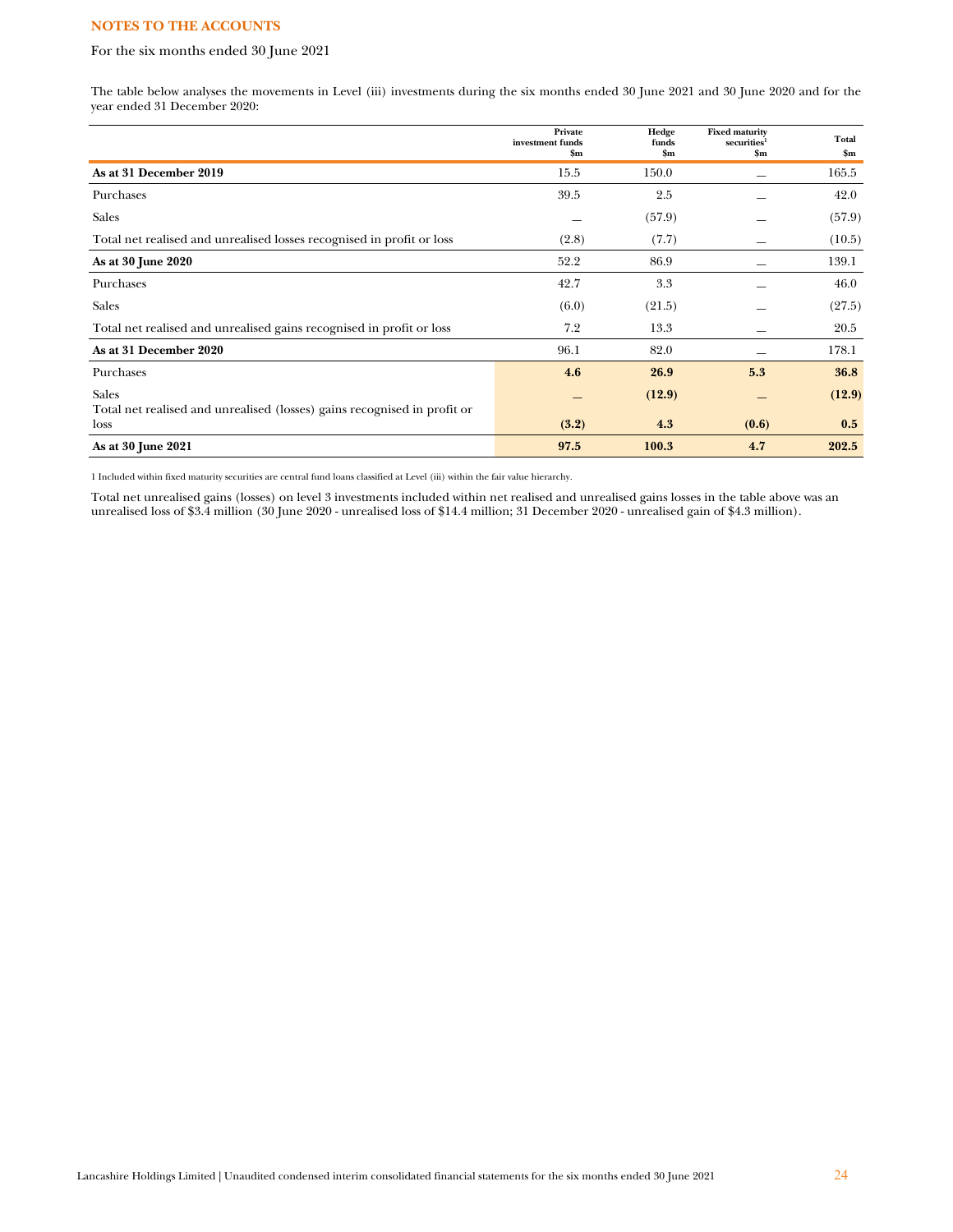# For the six months ended 30 June 2021

The table below analyses the movements in Level (iii) investments during the six months ended 30 June 2021 and 30 June 2020 and for the year ended 31 December 2020:

|                                                                                  | Private<br>investment funds<br>\$m\$ | Hedge<br>funds<br>\$m\$ | <b>Fixed maturity</b><br>securities <sup>1</sup><br>\$m\$ | Total<br>\$m |
|----------------------------------------------------------------------------------|--------------------------------------|-------------------------|-----------------------------------------------------------|--------------|
| As at 31 December 2019                                                           | 15.5                                 | 150.0                   |                                                           | 165.5        |
| Purchases                                                                        | 39.5                                 | 2.5                     |                                                           | 42.0         |
| <b>Sales</b>                                                                     |                                      | (57.9)                  |                                                           | (57.9)       |
| Total net realised and unrealised losses recognised in profit or loss            | (2.8)                                | (7.7)                   |                                                           | (10.5)       |
| As at 30 June 2020                                                               | 52.2                                 | 86.9                    |                                                           | 139.1        |
| Purchases                                                                        | 42.7                                 | 3.3                     |                                                           | 46.0         |
| <b>Sales</b>                                                                     | (6.0)                                | (21.5)                  |                                                           | (27.5)       |
| Total net realised and unrealised gains recognised in profit or loss             | 7.2                                  | 13.3                    |                                                           | 20.5         |
| As at 31 December 2020                                                           | 96.1                                 | 82.0                    |                                                           | 178.1        |
| Purchases                                                                        | 4.6                                  | 26.9                    | 5.3                                                       | 36.8         |
| <b>Sales</b>                                                                     |                                      | (12.9)                  |                                                           | (12.9)       |
| Total net realised and unrealised (losses) gains recognised in profit or<br>loss | (3.2)                                | 4.3                     | (0.6)                                                     | 0.5          |
| As at 30 June 2021                                                               | 97.5                                 | 100.3                   | 4.7                                                       | 202.5        |

1 Included within fixed maturity securities are central fund loans classified at Level (iii) within the fair value hierarchy.

Total net unrealised gains (losses) on level 3 investments included within net realised and unrealised gains losses in the table above was an unrealised loss of \$3.4 million (30 June 2020 - unrealised loss of \$14.4 million; 31 December 2020 - unrealised gain of \$4.3 million).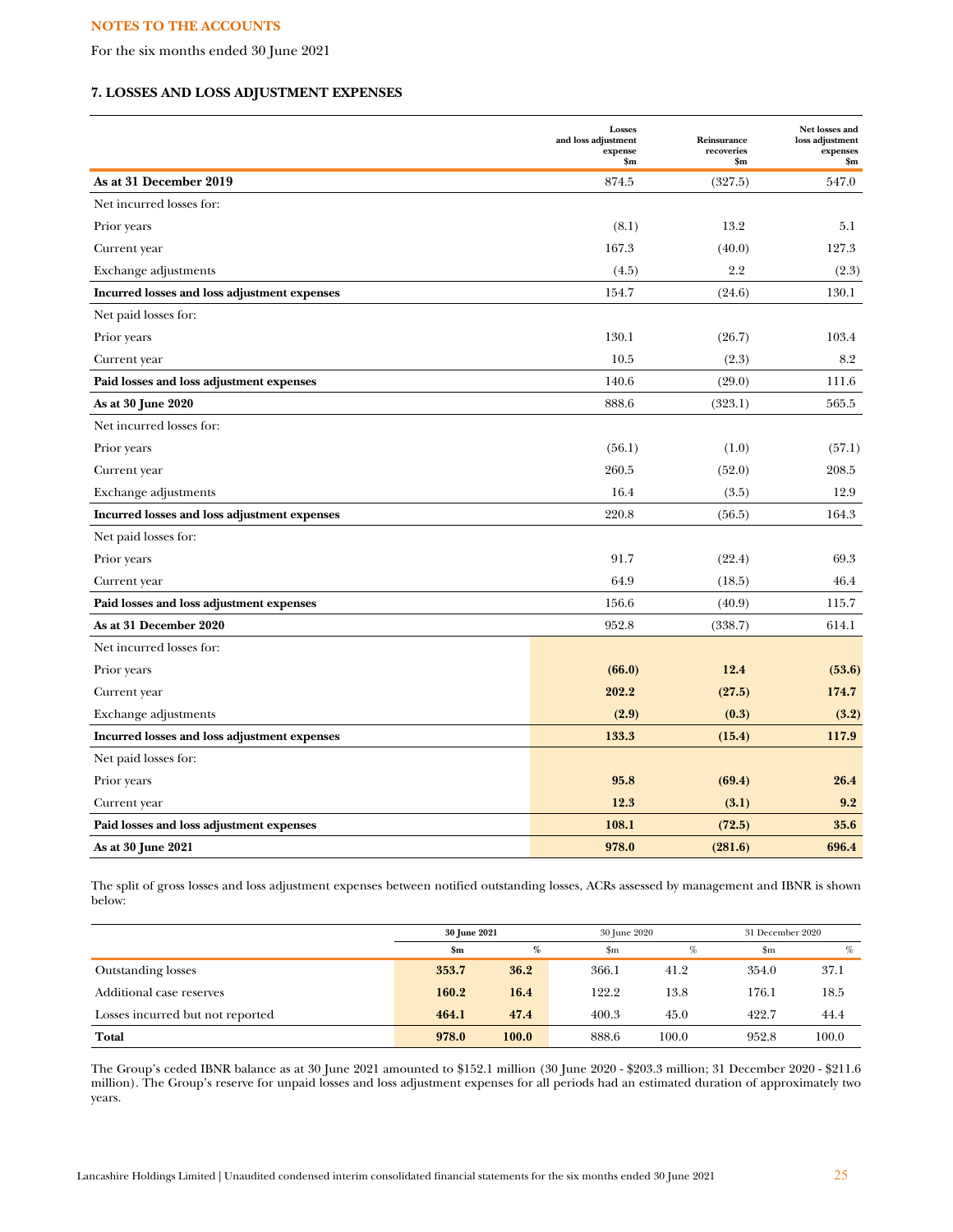For the six months ended 30 June 2021

# **7. LOSSES AND LOSS ADJUSTMENT EXPENSES**

|                                              | <b>Losses</b><br>and loss adjustment<br>expense<br>\$m | Reinsurance<br>recoveries<br>\$m\$ | Net losses and<br>loss adjustment<br>expenses<br>$\mathbf{S}_{\mathbf{m}}$ |
|----------------------------------------------|--------------------------------------------------------|------------------------------------|----------------------------------------------------------------------------|
| As at 31 December 2019                       | 874.5                                                  | (327.5)                            | 547.0                                                                      |
| Net incurred losses for:                     |                                                        |                                    |                                                                            |
| Prior years                                  | (8.1)                                                  | 13.2                               | 5.1                                                                        |
| Current year                                 | 167.3                                                  | (40.0)                             | 127.3                                                                      |
| Exchange adjustments                         | (4.5)                                                  | 2.2                                | (2.3)                                                                      |
| Incurred losses and loss adjustment expenses | 154.7                                                  | (24.6)                             | 130.1                                                                      |
| Net paid losses for:                         |                                                        |                                    |                                                                            |
| Prior years                                  | 130.1                                                  | (26.7)                             | 103.4                                                                      |
| Current year                                 | 10.5                                                   | (2.3)                              | 8.2                                                                        |
| Paid losses and loss adjustment expenses     | 140.6                                                  | (29.0)                             | 111.6                                                                      |
| As at 30 June 2020                           | 888.6                                                  | (323.1)                            | 565.5                                                                      |
| Net incurred losses for:                     |                                                        |                                    |                                                                            |
| Prior years                                  | (56.1)                                                 | (1.0)                              | (57.1)                                                                     |
| Current year                                 | 260.5                                                  | (52.0)                             | 208.5                                                                      |
| Exchange adjustments                         | 16.4                                                   | (3.5)                              | 12.9                                                                       |
| Incurred losses and loss adjustment expenses | 220.8                                                  | (56.5)                             | 164.3                                                                      |
| Net paid losses for:                         |                                                        |                                    |                                                                            |
| Prior years                                  | 91.7                                                   | (22.4)                             | 69.3                                                                       |
| Current year                                 | 64.9                                                   | (18.5)                             | 46.4                                                                       |
| Paid losses and loss adjustment expenses     | 156.6                                                  | (40.9)                             | 115.7                                                                      |
| As at 31 December 2020                       | 952.8                                                  | (338.7)                            | 614.1                                                                      |
| Net incurred losses for:                     |                                                        |                                    |                                                                            |
| Prior years                                  | (66.0)                                                 | 12.4                               | (53.6)                                                                     |
| Current year                                 | 202.2                                                  | (27.5)                             | 174.7                                                                      |
| Exchange adjustments                         | (2.9)                                                  | (0.3)                              | (3.2)                                                                      |
| Incurred losses and loss adjustment expenses | 133.3                                                  | (15.4)                             | 117.9                                                                      |
| Net paid losses for:                         |                                                        |                                    |                                                                            |
| Prior years                                  | 95.8                                                   | (69.4)                             | 26.4                                                                       |
| Current year                                 | 12.3                                                   | (3.1)                              | 9.2                                                                        |
| Paid losses and loss adjustment expenses     | 108.1                                                  | (72.5)                             | 35.6                                                                       |
| As at 30 June 2021                           | 978.0                                                  | (281.6)                            | 696.4                                                                      |

The split of gross losses and loss adjustment expenses between notified outstanding losses, ACRs assessed by management and IBNR is shown below:

|                                  | 30 June 2021  |       |             | 30 June 2020 |       | 31 December 2020 |  |
|----------------------------------|---------------|-------|-------------|--------------|-------|------------------|--|
|                                  | $\mathbf{Sm}$ | %     | $_{\rm sm}$ | %            | \$m   | $\%$             |  |
| <b>Outstanding losses</b>        | 353.7         | 36.2  | 366.1       | 41.2         | 354.0 | 37.1             |  |
| Additional case reserves         | 160.2         | 16.4  | 122.2       | 13.8         | 176.1 | 18.5             |  |
| Losses incurred but not reported | 464.1         | 47.4  | 400.3       | 45.0         | 422.7 | 44.4             |  |
| Total                            | 978.0         | 100.0 | 888.6       | 100.0        | 952.8 | 100.0            |  |

The Group's ceded IBNR balance as at 30 June 2021 amounted to \$152.1 million (30 June 2020 - \$203.3 million; 31 December 2020 - \$211.6 million). The Group's reserve for unpaid losses and loss adjustment expenses for all periods had an estimated duration of approximately two years.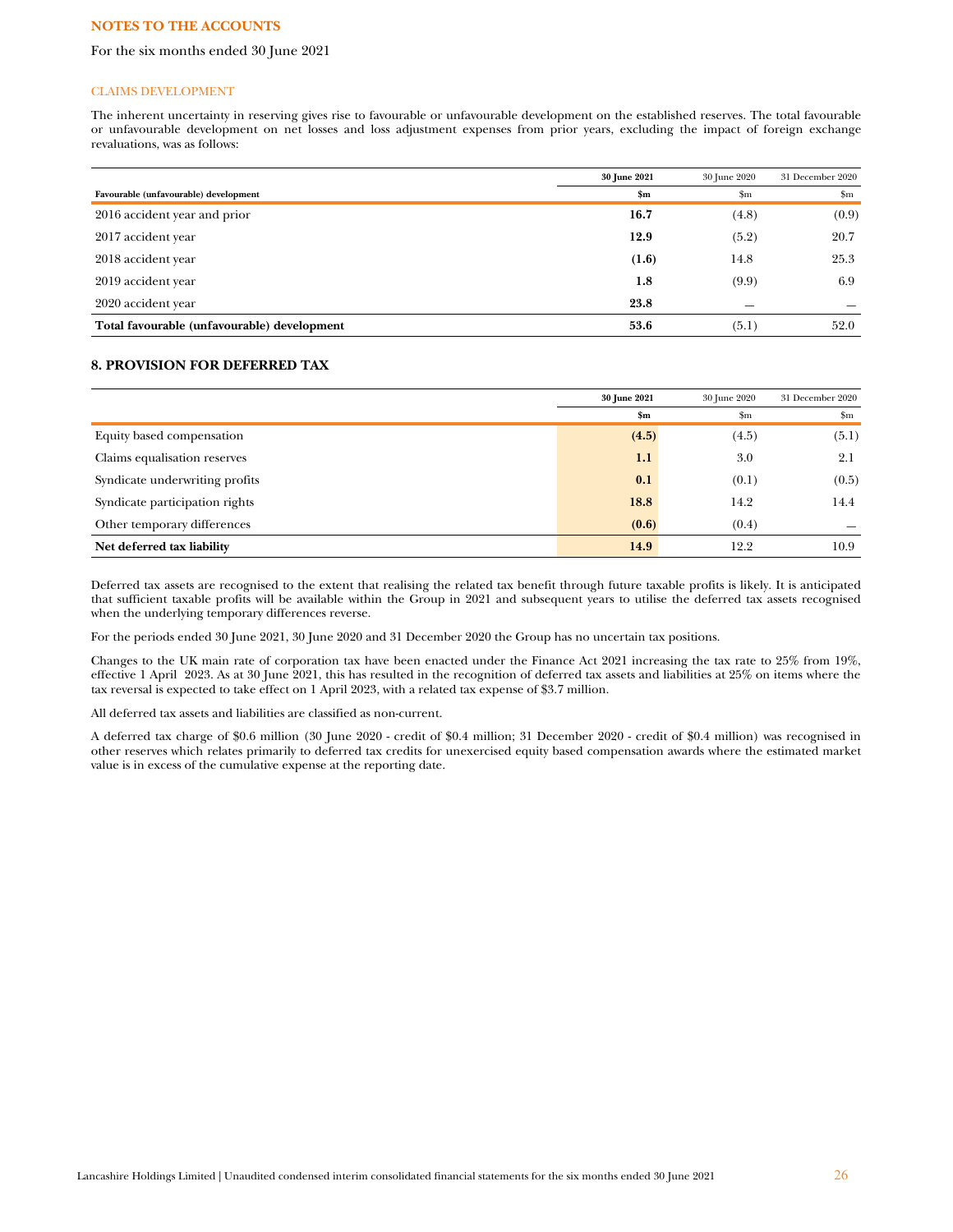#### For the six months ended 30 June 2021

#### CLAIMS DEVELOPMENT

The inherent uncertainty in reserving gives rise to favourable or unfavourable development on the established reserves. The total favourable or unfavourable development on net losses and loss adjustment expenses from prior years, excluding the impact of foreign exchange revaluations, was as follows:

|                                             | 30 June 2021 | 30 June 2020 | 31 December 2020 |
|---------------------------------------------|--------------|--------------|------------------|
| Favourable (unfavourable) development       | \$m\$        | $_{\rm Sm}$  | $\mathbf{Sm}$    |
| 2016 accident year and prior                | 16.7         | (4.8)        | (0.9)            |
| 2017 accident year                          | 12.9         | (5.2)        | 20.7             |
| 2018 accident year                          | (1.6)        | 14.8         | 25.3             |
| 2019 accident year                          | 1.8          | (9.9)        | 6.9              |
| 2020 accident year                          | 23.8         |              |                  |
| Total favourable (unfavourable) development | 53.6         | (5.1)        | 52.0             |

#### **8. PROVISION FOR DEFERRED TAX**

|                                | 30 June 2021  | 30 June 2020  | 31 December 2020 |
|--------------------------------|---------------|---------------|------------------|
|                                | $\mathbf{Sm}$ | $\mathbf{Sm}$ | $\mathbf{Sm}$    |
| Equity based compensation      | (4.5)         | (4.5)         | (5.1)            |
| Claims equalisation reserves   | 1.1           | 3.0           | 2.1              |
| Syndicate underwriting profits | 0.1           | (0.1)         | (0.5)            |
| Syndicate participation rights | 18.8          | 14.2          | 14.4             |
| Other temporary differences    | (0.6)         | (0.4)         |                  |
| Net deferred tax liability     | 14.9          | 12.2          | 10.9             |

Deferred tax assets are recognised to the extent that realising the related tax benefit through future taxable profits is likely. It is anticipated that sufficient taxable profits will be available within the Group in 2021 and subsequent years to utilise the deferred tax assets recognised when the underlying temporary differences reverse.

For the periods ended 30 June 2021, 30 June 2020 and 31 December 2020 the Group has no uncertain tax positions.

Changes to the UK main rate of corporation tax have been enacted under the Finance Act 2021 increasing the tax rate to 25% from 19%, effective 1 April 2023. As at 30 June 2021, this has resulted in the recognition of deferred tax assets and liabilities at 25% on items where the tax reversal is expected to take effect on 1 April 2023, with a related tax expense of \$3.7 million.

All deferred tax assets and liabilities are classified as non-current.

A deferred tax charge of \$0.6 million (30 June 2020 - credit of \$0.4 million; 31 December 2020 - credit of \$0.4 million) was recognised in other reserves which relates primarily to deferred tax credits for unexercised equity based compensation awards where the estimated market value is in excess of the cumulative expense at the reporting date.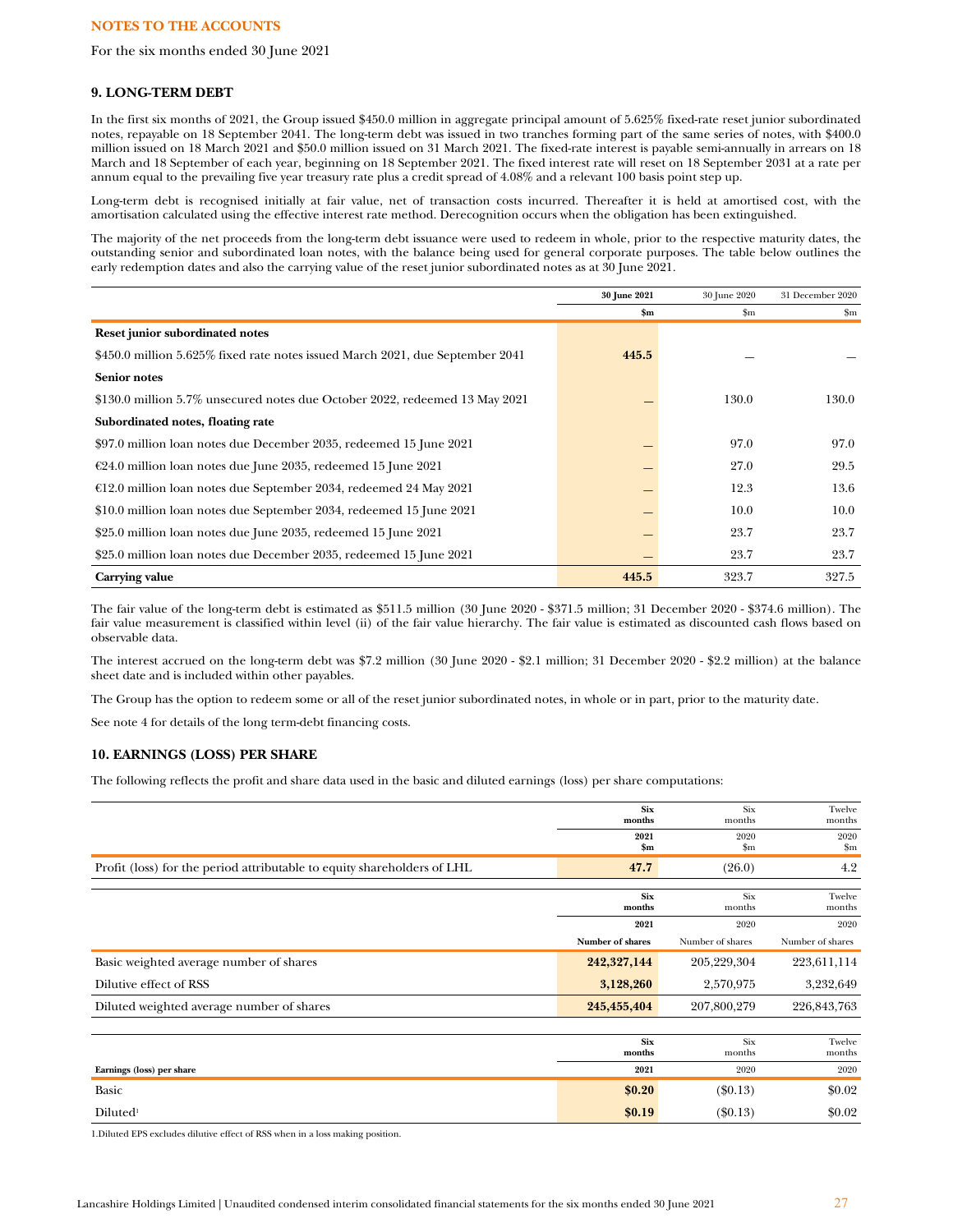For the six months ended 30 June 2021

## **9. LONG-TERM DEBT**

In the first six months of 2021, the Group issued \$450.0 million in aggregate principal amount of 5.625% fixed-rate reset junior subordinated notes, repayable on 18 September 2041. The long-term debt was issued in two tranches forming part of the same series of notes, with \$400.0 million issued on 18 March 2021 and \$50.0 million issued on 31 March 2021. The fixed-rate interest is payable semi-annually in arrears on 18 March and 18 September of each year, beginning on 18 September 2021. The fixed interest rate will reset on 18 September 2031 at a rate per annum equal to the prevailing five year treasury rate plus a credit spread of 4.08% and a relevant 100 basis point step up.

Long-term debt is recognised initially at fair value, net of transaction costs incurred. Thereafter it is held at amortised cost, with the amortisation calculated using the effective interest rate method. Derecognition occurs when the obligation has been extinguished.

The majority of the net proceeds from the long-term debt issuance were used to redeem in whole, prior to the respective maturity dates, the outstanding senior and subordinated loan notes, with the balance being used for general corporate purposes. The table below outlines the early redemption dates and also the carrying value of the reset junior subordinated notes as at 30 June 2021.

|                                                                               | 30 June 2021  | 30 June 2020  | 31 December 2020 |
|-------------------------------------------------------------------------------|---------------|---------------|------------------|
|                                                                               | $\mathbf{Sm}$ | $\mathbf{Sm}$ | \$m              |
| Reset junior subordinated notes                                               |               |               |                  |
| \$450.0 million 5.625% fixed rate notes issued March 2021, due September 2041 | 445.5         |               |                  |
| <b>Senior notes</b>                                                           |               |               |                  |
| \$130.0 million 5.7% unsecured notes due October 2022, redeemed 13 May 2021   |               | 130.0         | 130.0            |
| Subordinated notes, floating rate                                             |               |               |                  |
| \$97.0 million loan notes due December 2035, redeemed 15 June 2021            |               | 97.0          | 97.0             |
| $\epsilon$ 24.0 million loan notes due June 2035, redeemed 15 June 2021       |               | 27.0          | 29.5             |
| €12.0 million loan notes due September 2034, redeemed 24 May 2021             |               | 12.3          | 13.6             |
| \$10.0 million loan notes due September 2034, redeemed 15 June 2021           |               | 10.0          | 10.0             |
| \$25.0 million loan notes due June 2035, redeemed 15 June 2021                |               | 23.7          | 23.7             |
| \$25.0 million loan notes due December 2035, redeemed 15 June 2021            |               | 23.7          | 23.7             |
| Carrying value                                                                | 445.5         | 323.7         | 327.5            |

The fair value of the long-term debt is estimated as \$511.5 million (30 June 2020 - \$371.5 million; 31 December 2020 - \$374.6 million). The fair value measurement is classified within level (ii) of the fair value hierarchy. The fair value is estimated as discounted cash flows based on observable data.

The interest accrued on the long-term debt was \$7.2 million (30 June 2020 - \$2.1 million; 31 December 2020 - \$2.2 million) at the balance sheet date and is included within other payables.

The Group has the option to redeem some or all of the reset junior subordinated notes, in whole or in part, prior to the maturity date.

See note 4 for details of the long term-debt financing costs.

# **10. EARNINGS (LOSS) PER SHARE**

The following reflects the profit and share data used in the basic and diluted earnings (loss) per share computations:

|                                                                         | <b>Six</b><br>months  | <b>Six</b><br>months | Twelve<br>months      |
|-------------------------------------------------------------------------|-----------------------|----------------------|-----------------------|
|                                                                         | 2021<br>$\mathbf{Sm}$ | 2020<br>$_{\rm Sm}$  | 2020<br>$\mathbf{Sm}$ |
| Profit (loss) for the period attributable to equity shareholders of LHL | 47.7                  | (26.0)               | 4.2                   |
|                                                                         | <b>Six</b><br>months  | <b>Six</b><br>months | Twelve<br>months      |
|                                                                         | 2021                  | 2020                 | 2020                  |
|                                                                         | Number of shares      | Number of shares     | Number of shares      |
| Basic weighted average number of shares                                 | 242,327,144           | 205,229,304          | 223,611,114           |
| Dilutive effect of RSS                                                  | 3,128,260             | 2,570,975            | 3,232,649             |
| Diluted weighted average number of shares                               | 245,455,404           | 207,800,279          | 226,843,763           |
|                                                                         |                       |                      |                       |
|                                                                         | <b>Six</b><br>months  | <b>Six</b><br>months | Twelve<br>months      |
| Earnings (loss) per share                                               | 2021                  | 2020                 | 2020                  |
| <b>Basic</b>                                                            | \$0.20                | $(\$0.13)$           | \$0.02                |
| Diluted <sup>1</sup>                                                    | \$0.19                | $(\$0.13)$           | \$0.02                |

1.Diluted EPS excludes dilutive effect of RSS when in a loss making position.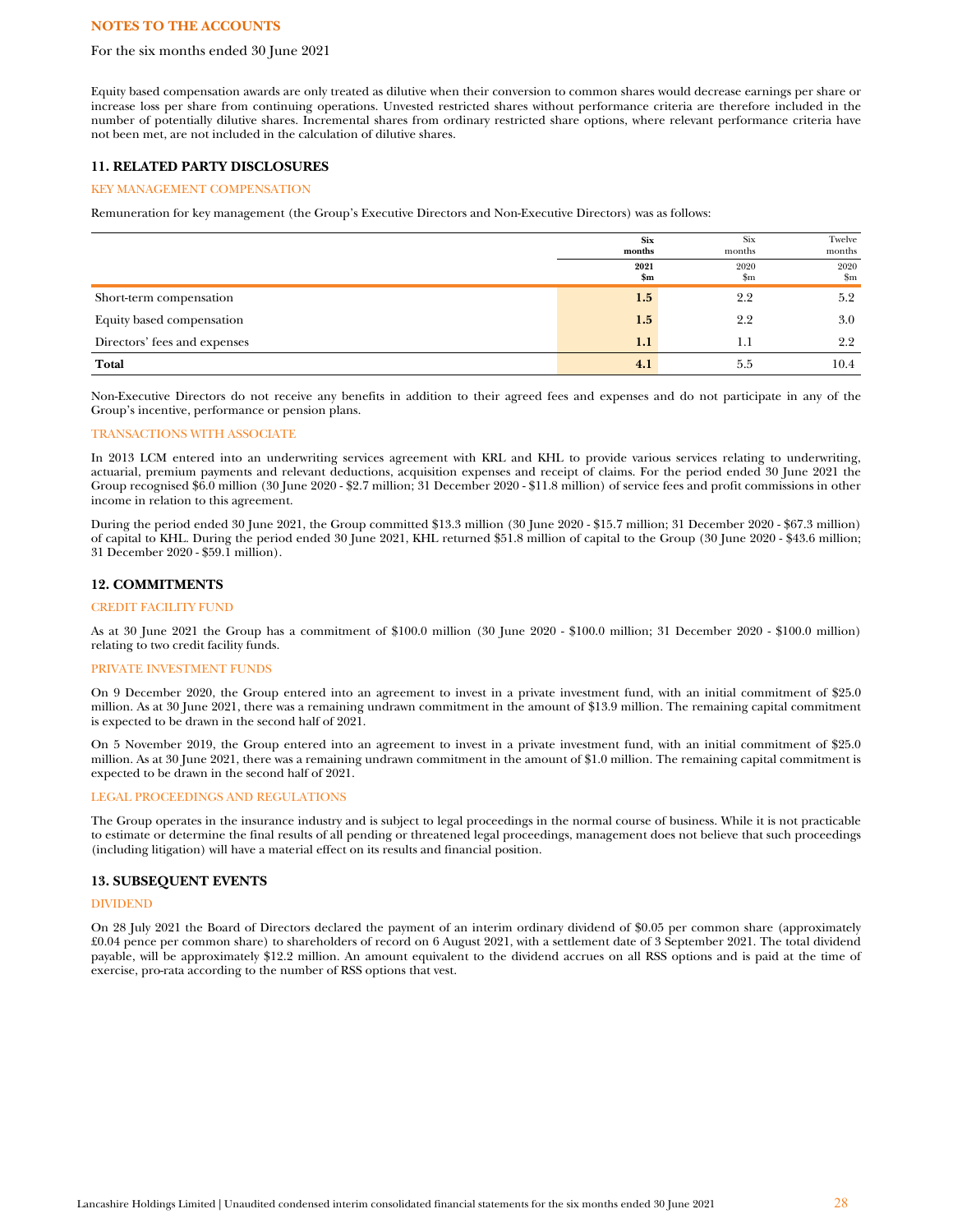#### For the six months ended 30 June 2021

Equity based compensation awards are only treated as dilutive when their conversion to common shares would decrease earnings per share or increase loss per share from continuing operations. Unvested restricted shares without performance criteria are therefore included in the number of potentially dilutive shares. Incremental shares from ordinary restricted share options, where relevant performance criteria have not been met, are not included in the calculation of dilutive shares.

## **11. RELATED PARTY DISCLOSURES**

## KEY MANAGEMENT COMPENSATION

Remuneration for key management (the Group's Executive Directors and Non-Executive Directors) was as follows:

|                              | <b>Six</b><br>months | Six<br>months | Twelve<br>months      |
|------------------------------|----------------------|---------------|-----------------------|
|                              | 2021<br>\$m          | 2020<br>\$m   | 2020<br>$\mathbf{Sm}$ |
| Short-term compensation      | 1.5                  | 2.2           | 5.2                   |
| Equity based compensation    | 1.5                  | 2.2           | 3.0                   |
| Directors' fees and expenses | 1.1                  | 1.1           | 2.2                   |
| Total                        | 4.1                  | 5.5           | 10.4                  |

Non-Executive Directors do not receive any benefits in addition to their agreed fees and expenses and do not participate in any of the Group's incentive, performance or pension plans.

#### TRANSACTIONS WITH ASSOCIATE

In 2013 LCM entered into an underwriting services agreement with KRL and KHL to provide various services relating to underwriting, actuarial, premium payments and relevant deductions, acquisition expenses and receipt of claims. For the period ended 30 June 2021 the Group recognised \$6.0 million (30 June 2020 - \$2.7 million; 31 December 2020 - \$11.8 million) of service fees and profit commissions in other income in relation to this agreement.

During the period ended 30 June 2021, the Group committed \$13.3 million (30 June 2020 - \$15.7 million; 31 December 2020 - \$67.3 million) of capital to KHL. During the period ended 30 June 2021, KHL returned \$51.8 million of capital to the Group (30 June 2020 - \$43.6 million; 31 December 2020 - \$59.1 million).

#### **12. COMMITMENTS**

## CREDIT FACILITY FUND

As at 30 June 2021 the Group has a commitment of \$100.0 million (30 June 2020 - \$100.0 million; 31 December 2020 - \$100.0 million) relating to two credit facility funds.

#### PRIVATE INVESTMENT FUNDS

On 9 December 2020, the Group entered into an agreement to invest in a private investment fund, with an initial commitment of \$25.0 million. As at 30 June 2021, there was a remaining undrawn commitment in the amount of \$13.9 million. The remaining capital commitment is expected to be drawn in the second half of 2021.

On 5 November 2019, the Group entered into an agreement to invest in a private investment fund, with an initial commitment of \$25.0 million. As at 30 June 2021, there was a remaining undrawn commitment in the amount of \$1.0 million. The remaining capital commitment is expected to be drawn in the second half of 2021.

#### LEGAL PROCEEDINGS AND REGULATIONS

The Group operates in the insurance industry and is subject to legal proceedings in the normal course of business. While it is not practicable to estimate or determine the final results of all pending or threatened legal proceedings, management does not believe that such proceedings (including litigation) will have a material effect on its results and financial position.

#### **13. SUBSEQUENT EVENTS**

#### DIVIDEND

On 28 July 2021 the Board of Directors declared the payment of an interim ordinary dividend of \$0.05 per common share (approximately £0.04 pence per common share) to shareholders of record on 6 August 2021, with a settlement date of 3 September 2021. The total dividend payable, will be approximately \$12.2 million. An amount equivalent to the dividend accrues on all RSS options and is paid at the time of exercise, pro-rata according to the number of RSS options that vest.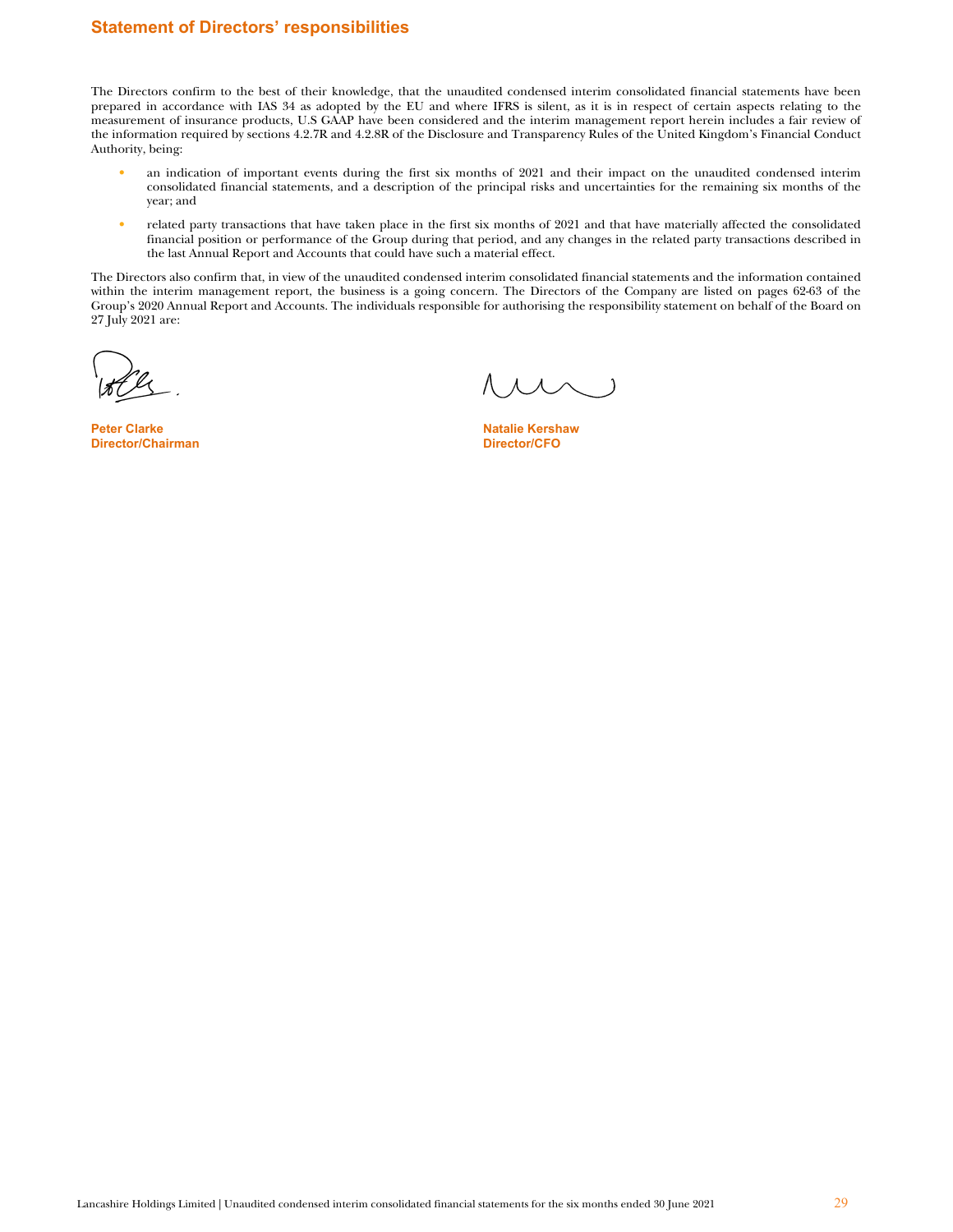# **Statement of Directors' responsibilities**

The Directors confirm to the best of their knowledge, that the unaudited condensed interim consolidated financial statements have been prepared in accordance with IAS 34 as adopted by the EU and where IFRS is silent, as it is in respect of certain aspects relating to the measurement of insurance products, U.S GAAP have been considered and the interim management report herein includes a fair review of the information required by sections 4.2.7R and 4.2.8R of the Disclosure and Transparency Rules of the United Kingdom's Financial Conduct Authority, being:

- an indication of important events during the first six months of 2021 and their impact on the unaudited condensed interim consolidated financial statements, and a description of the principal risks and uncertainties for the remaining six months of the year; and
- related party transactions that have taken place in the first six months of 2021 and that have materially affected the consolidated financial position or performance of the Group during that period, and any changes in the related party transactions described in the last Annual Report and Accounts that could have such a material effect.

The Directors also confirm that, in view of the unaudited condensed interim consolidated financial statements and the information contained within the interim management report, the business is a going concern. The Directors of the Company are listed on pages 62-63 of the Group's 2020 Annual Report and Accounts. The individuals responsible for authorising the responsibility statement on behalf of the Board on 27 July 2021 are:

Peter Clarke Natalie Kershaw Natalie Kershaw Natalie Kershaw Natalie Kershaw Natalie Kershaw Natalie Kershaw Na<br>Natalie Kershawa Natalie Albert Natalie Albert Natalie Kershaw Natalie Kershaw Natalie Kershaw Natalie Kershaw **Director/Chairman**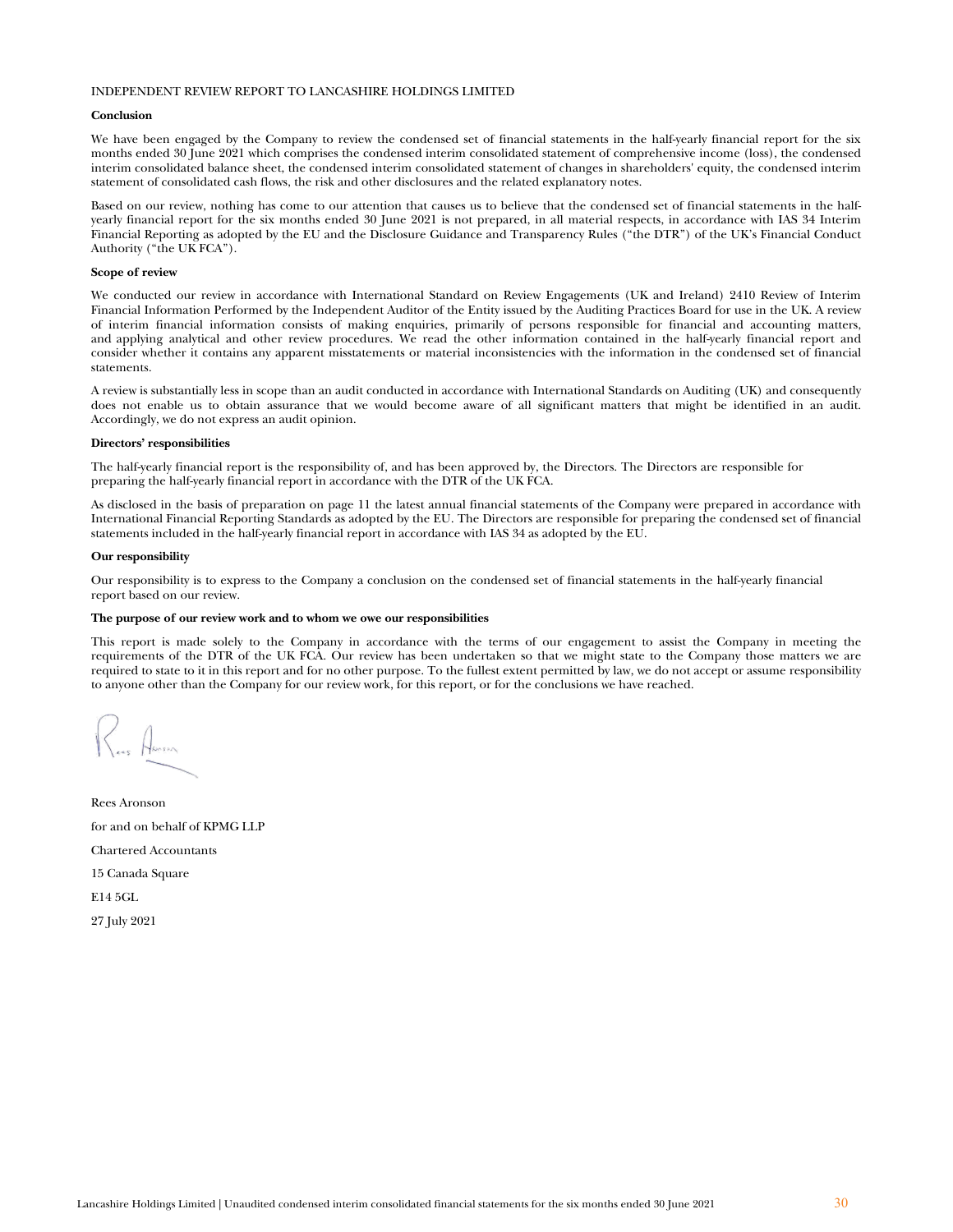#### INDEPENDENT REVIEW REPORT TO LANCASHIRE HOLDINGS LIMITED

#### **Conclusion**

We have been engaged by the Company to review the condensed set of financial statements in the half-yearly financial report for the six months ended 30 June 2021 which comprises the condensed interim consolidated statement of comprehensive income (loss), the condensed interim consolidated balance sheet, the condensed interim consolidated statement of changes in shareholders' equity, the condensed interim statement of consolidated cash flows, the risk and other disclosures and the related explanatory notes.

Based on our review, nothing has come to our attention that causes us to believe that the condensed set of financial statements in the halfyearly financial report for the six months ended 30 June 2021 is not prepared, in all material respects, in accordance with IAS 34 Interim Financial Reporting as adopted by the EU and the Disclosure Guidance and Transparency Rules ("the DTR") of the UK's Financial Conduct Authority ("the UK FCA").

#### **Scope of review**

We conducted our review in accordance with International Standard on Review Engagements (UK and Ireland) 2410 Review of Interim Financial Information Performed by the Independent Auditor of the Entity issued by the Auditing Practices Board for use in the UK. A review of interim financial information consists of making enquiries, primarily of persons responsible for financial and accounting matters, and applying analytical and other review procedures. We read the other information contained in the half-yearly financial report and consider whether it contains any apparent misstatements or material inconsistencies with the information in the condensed set of financial statements.

A review is substantially less in scope than an audit conducted in accordance with International Standards on Auditing (UK) and consequently does not enable us to obtain assurance that we would become aware of all significant matters that might be identified in an audit. Accordingly, we do not express an audit opinion.

#### **Directors' responsibilities**

The half-yearly financial report is the responsibility of, and has been approved by, the Directors. The Directors are responsible for preparing the half-yearly financial report in accordance with the DTR of the UK FCA.

As disclosed in the basis of preparation on page 11 the latest annual financial statements of the Company were prepared in accordance with International Financial Reporting Standards as adopted by the EU. The Directors are responsible for preparing the condensed set of financial statements included in the half-yearly financial report in accordance with IAS 34 as adopted by the EU.

#### **Our responsibility**

Our responsibility is to express to the Company a conclusion on the condensed set of financial statements in the half-yearly financial report based on our review.

#### **The purpose of our review work and to whom we owe our responsibilities**

This report is made solely to the Company in accordance with the terms of our engagement to assist the Company in meeting the requirements of the DTR of the UK FCA. Our review has been undertaken so that we might state to the Company those matters we are required to state to it in this report and for no other purpose. To the fullest extent permitted by law, we do not accept or assume responsibility to anyone other than the Company for our review work, for this report, or for the conclusions we have reached.

Rees Aronson for and on behalf of KPMG LLP Chartered Accountants 15 Canada Square E14 5GL 27 July 2021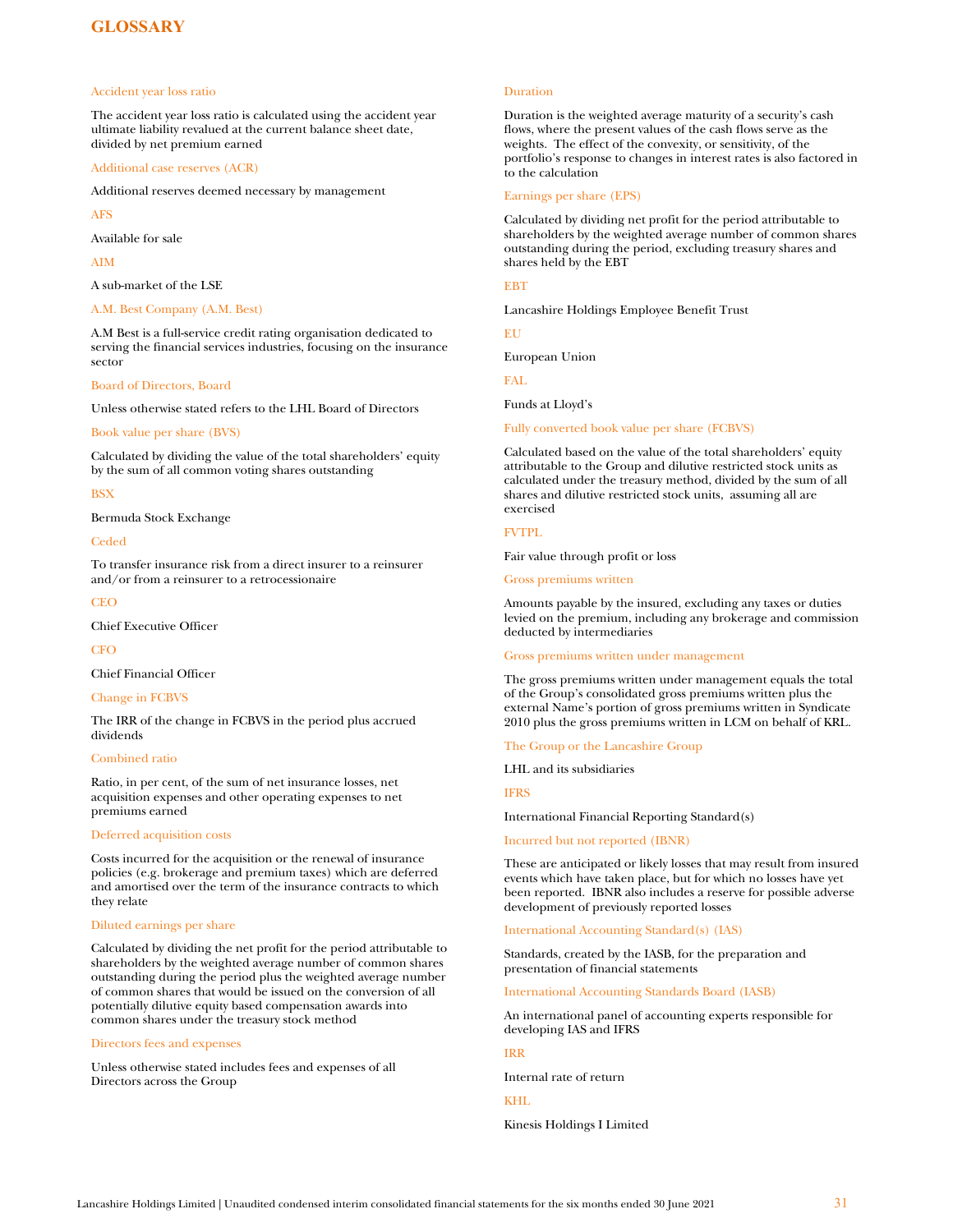# <span id="page-31-0"></span>**GLOSSARY**

#### Accident year loss ratio

The accident year loss ratio is calculated using the accident year ultimate liability revalued at the current balance sheet date, divided by net premium earned

Additional case reserves (ACR)

Additional reserves deemed necessary by management

AFS

Available for sale

AIM

A sub-market of the LSE

#### A.M. Best Company (A.M. Best)

A.M Best is a full-service credit rating organisation dedicated to serving the financial services industries, focusing on the insurance sector

#### Board of Directors, Board

Unless otherwise stated refers to the LHL Board of Directors

#### Book value per share (BVS)

Calculated by dividing the value of the total shareholders' equity by the sum of all common voting shares outstanding

#### **BSX**

Bermuda Stock Exchange

#### Ceded

To transfer insurance risk from a direct insurer to a reinsurer and/or from a reinsurer to a retrocessionaire

#### **CEO**

Chief Executive Officer

**CFO** 

Chief Financial Officer

#### Change in FCBVS

The IRR of the change in FCBVS in the period plus accrued dividends

#### Combined ratio

Ratio, in per cent, of the sum of net insurance losses, net acquisition expenses and other operating expenses to net premiums earned

#### Deferred acquisition costs

Costs incurred for the acquisition or the renewal of insurance policies (e.g. brokerage and premium taxes) which are deferred and amortised over the term of the insurance contracts to which they relate

## Diluted earnings per share

Calculated by dividing the net profit for the period attributable to shareholders by the weighted average number of common shares outstanding during the period plus the weighted average number of common shares that would be issued on the conversion of all potentially dilutive equity based compensation awards into common shares under the treasury stock method

#### Directors fees and expenses

Unless otherwise stated includes fees and expenses of all Directors across the Group

#### Duration

Duration is the weighted average maturity of a security's cash flows, where the present values of the cash flows serve as the weights. The effect of the convexity, or sensitivity, of the portfolio's response to changes in interest rates is also factored in to the calculation

#### Earnings per share (EPS)

Calculated by dividing net profit for the period attributable to shareholders by the weighted average number of common shares outstanding during the period, excluding treasury shares and shares held by the EBT

#### **EBT**

Lancashire Holdings Employee Benefit Trust

EU

European Union

FAL

Funds at Lloyd's

Fully converted book value per share (FCBVS)

Calculated based on the value of the total shareholders' equity attributable to the Group and dilutive restricted stock units as calculated under the treasury method, divided by the sum of all shares and dilutive restricted stock units, assuming all are exercised

## FVTPL

Fair value through profit or loss

Gross premiums written

Amounts payable by the insured, excluding any taxes or duties levied on the premium, including any brokerage and commission deducted by intermediaries

#### Gross premiums written under management

The gross premiums written under management equals the total of the Group's consolidated gross premiums written plus the external Name's portion of gross premiums written in Syndicate 2010 plus the gross premiums written in LCM on behalf of KRL.

#### The Group or the Lancashire Group

LHL and its subsidiaries

IFRS

#### International Financial Reporting Standard(s)

Incurred but not reported (IBNR)

These are anticipated or likely losses that may result from insured events which have taken place, but for which no losses have yet been reported. IBNR also includes a reserve for possible adverse development of previously reported losses

#### International Accounting Standard(s) (IAS)

[Standards,](http://www.businessdictionary.com/definition/standards.html) created by the IASB, for the [preparation](http://www.businessdictionary.com/definition/preparation.html) and [presentation](http://www.businessdictionary.com/definition/presentation.html) of [financial statements](http://www.businessdictionary.com/definition/financial-statement.html)

[International Accounting Standards Board \(IASB\)](http://www.businessdictionary.com/definition/International-Accounting-Standards-Committee-IASC.html) 

An international panel of accounting experts responsible for developing IAS and IFRS

#### IRR

Internal rate of return

## KHL

Kinesis Holdings I Limited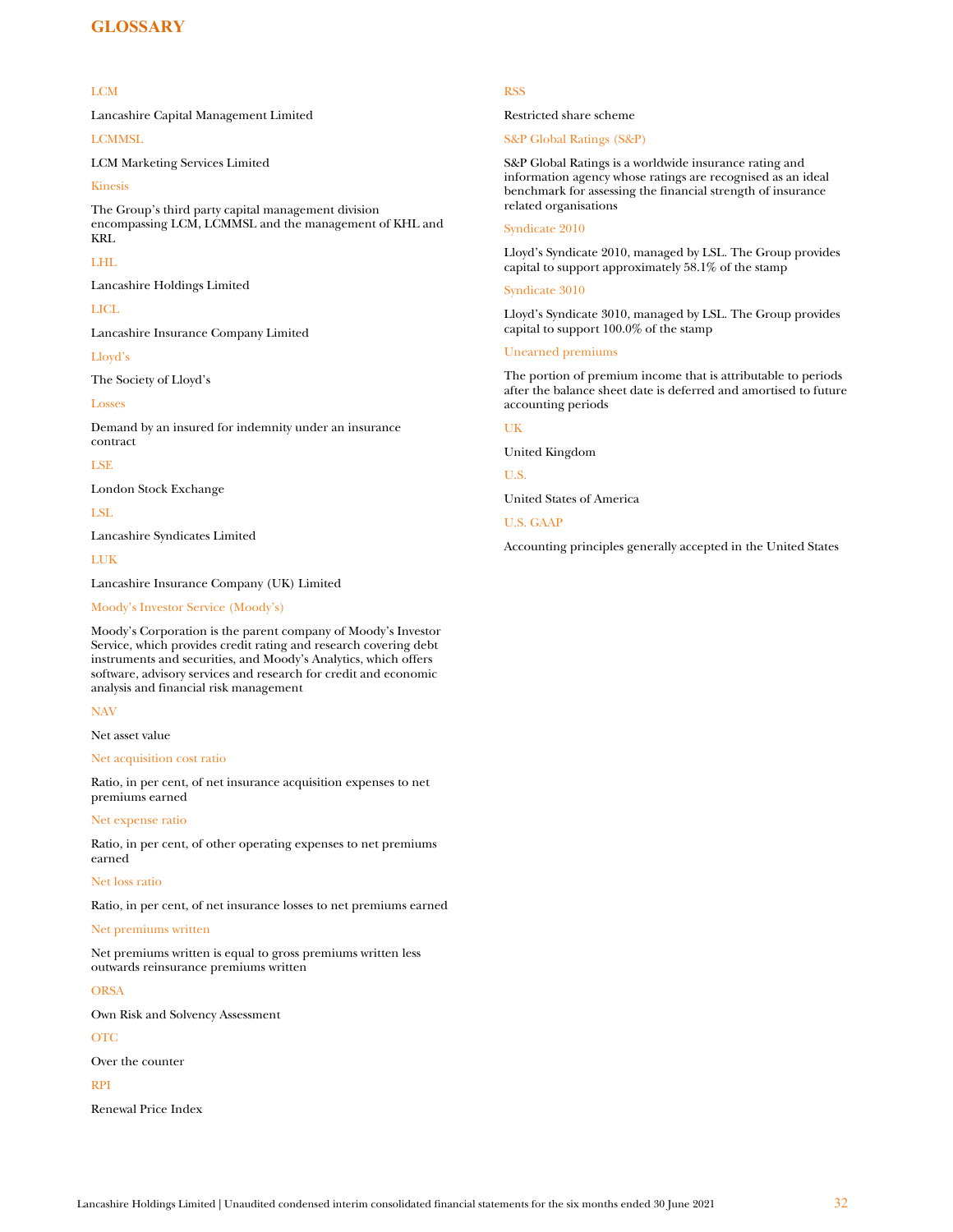# **GLOSSARY**

#### LCM

Lancashire Capital Management Limited

LCMMSL

LCM Marketing Services Limited

## Kinesis

The Group's third party capital management division encompassing LCM, LCMMSL and the management of KHL and KRL

#### LHL

Lancashire Holdings Limited

# LICL

Lancashire Insurance Company Limited

#### Lloyd's

The Society of Lloyd's

#### Losses

Demand by an insured for indemnity under an insurance contract

#### LSE

London Stock Exchange

LSL

Lancashire Syndicates Limited

# LUK

Lancashire Insurance Company (UK) Limited

## Moody's Investor Service (Moody's)

Moody's Corporation is the parent company of Moody's Investor Service, which provides credit rating and research covering debt instruments and securities, and Moody's Analytics, which offers software, advisory services and research for credit and economic analysis and financial risk management

## NAV

Net asset value

#### Net acquisition cost ratio

Ratio, in per cent, of net insurance acquisition expenses to net premiums earned

#### Net expense ratio

Ratio, in per cent, of other operating expenses to net premiums earned

#### Net loss ratio

Ratio, in per cent, of net insurance losses to net premiums earned

#### Net premiums written

Net premiums written is equal to gross premiums written less outwards reinsurance premiums written

#### ORSA

Own Risk and Solvency Assessment

#### OTC

Over the counter

## RPI

Renewal Price Index

### RSS

Restricted share scheme

# S&P Global Ratings (S&P)

S&P Global Ratings is a worldwide insurance rating and information agency whose ratings are recognised as an ideal benchmark for assessing the financial strength of insurance related organisations

#### Syndicate 2010

Lloyd's Syndicate 2010, managed by LSL. The Group provides capital to support approximately 58.1% of the stamp

#### Syndicate 3010

Lloyd's Syndicate 3010, managed by LSL. The Group provides capital to support 100.0% of the stamp

#### Unearned premiums

The portion of premium income that is attributable to periods after the balance sheet date is deferred and amortised to future accounting periods

## UK

United Kingdom

U.S.

United States of America

## U.S. GAAP

Accounting principles generally accepted in the United States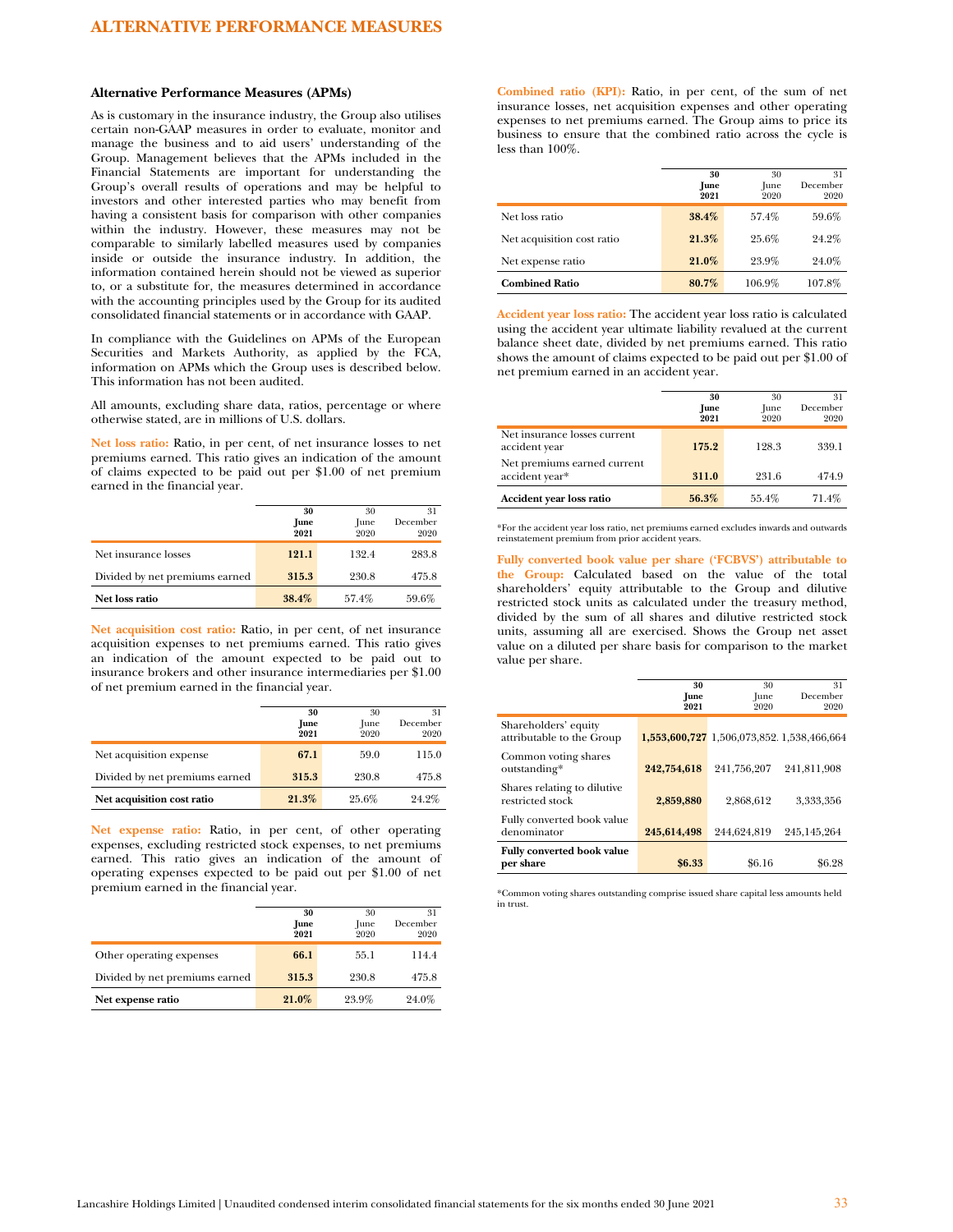#### **Alternative Performance Measures (APMs)**

As is customary in the insurance industry, the Group also utilises certain non-GAAP measures in order to evaluate, monitor and manage the business and to aid users' understanding of the Group. Management believes that the APMs included in the Financial Statements are important for understanding the Group's overall results of operations and may be helpful to investors and other interested parties who may benefit from having a consistent basis for comparison with other companies within the industry. However, these measures may not be comparable to similarly labelled measures used by companies inside or outside the insurance industry. In addition, the information contained herein should not be viewed as superior to, or a substitute for, the measures determined in accordance with the accounting principles used by the Group for its audited consolidated financial statements or in accordance with GAAP.

In compliance with the Guidelines on APMs of the European Securities and Markets Authority, as applied by the FCA, information on APMs which the Group uses is described below. This information has not been audited.

All amounts, excluding share data, ratios, percentage or where otherwise stated, are in millions of U.S. dollars.

**Net loss ratio:** Ratio, in per cent, of net insurance losses to net premiums earned. This ratio gives an indication of the amount of claims expected to be paid out per \$1.00 of net premium earned in the financial year.

|                                | 30<br>June<br>2021 | 30<br>June<br>2020 | 31<br>December<br>2020 |
|--------------------------------|--------------------|--------------------|------------------------|
| Net insurance losses           | 121.1              | 132.4              | 283.8                  |
| Divided by net premiums earned | 315.3              | 230.8              | 475.8                  |
| Net loss ratio                 | 38.4%              | 57.4%              | 59.6%                  |

**Net acquisition cost ratio:** Ratio, in per cent, of net insurance acquisition expenses to net premiums earned. This ratio gives an indication of the amount expected to be paid out to insurance brokers and other insurance intermediaries per \$1.00 of net premium earned in the financial year.

|                                | 30<br>June<br>2021 | 30<br>June<br>2020 | 31<br>December<br>2020 |
|--------------------------------|--------------------|--------------------|------------------------|
| Net acquisition expense        | 67.1               | 59.0               | 115.0                  |
| Divided by net premiums earned | 315.3              | 230.8              | 475.8                  |
| Net acquisition cost ratio     | 21.3%              | 25.6%              | 24.2%                  |

**Net expense ratio:** Ratio, in per cent, of other operating expenses, excluding restricted stock expenses, to net premiums earned. This ratio gives an indication of the amount of operating expenses expected to be paid out per \$1.00 of net premium earned in the financial year.

|                                | 30<br>June<br>2021 | 30<br>June<br>2020 | 31<br>December<br>2020 |
|--------------------------------|--------------------|--------------------|------------------------|
| Other operating expenses       | 66.1               | 55.1               | 114.4                  |
| Divided by net premiums earned | 315.3              | 230.8              | 475.8                  |
| Net expense ratio              | 21.0%              | 23.9%              | 24.0%                  |

**Combined ratio (KPI):** Ratio, in per cent, of the sum of net insurance losses, net acquisition expenses and other operating expenses to net premiums earned. The Group aims to price its business to ensure that the combined ratio across the cycle is less than 100%.

|                            | 30<br>June<br>2021 | 30<br>June<br>2020 | 31<br>December<br>2020 |
|----------------------------|--------------------|--------------------|------------------------|
| Net loss ratio             | 38.4%              | 57.4%              | 59.6%                  |
| Net acquisition cost ratio | 21.3%              | 25.6%              | 24.2%                  |
| Net expense ratio          | 21.0%              | 23.9%              | 24.0%                  |
| <b>Combined Ratio</b>      | 80.7%              | 106.9%             | 107.8%                 |

**Accident year loss ratio:** The accident year loss ratio is calculated using the accident year ultimate liability revalued at the current balance sheet date, divided by net premiums earned. This ratio shows the amount of claims expected to be paid out per \$1.00 of net premium earned in an accident year.

|                                               | 30<br>June<br>2021 | 30<br>June<br>2020 | 31<br>December<br>2020 |
|-----------------------------------------------|--------------------|--------------------|------------------------|
| Net insurance losses current<br>accident year | 175.2              | 128.3              | 339.1                  |
| Net premiums earned current<br>accident year* | 311.0              | 231.6              | 474.9                  |
| Accident year loss ratio                      | 56.3%              | 55.4%              | 71.4%                  |

\*For the accident year loss ratio, net premiums earned excludes inwards and outwards reinstatement premium from prior accident years.

**Fully converted book value per share ('FCBVS') attributable to the Group:** Calculated based on the value of the total shareholders' equity attributable to the Group and dilutive restricted stock units as calculated under the treasury method, divided by the sum of all shares and dilutive restricted stock units, assuming all are exercised. Shows the Group net asset value on a diluted per share basis for comparison to the market value per share.

| 30<br>June  | 30<br>June  | 31<br>December                            |
|-------------|-------------|-------------------------------------------|
| 2021        | 2020        | 2020                                      |
|             |             |                                           |
| 242,754,618 | 241,756,207 | 241.811.908                               |
| 2,859,880   | 2.868.612   | 3.333.356                                 |
| 245,614,498 | 244,624,819 | 245,145,264                               |
| \$6.33      | \$6.16      | \$6.28                                    |
|             |             | 1,553,600,727 1,506,073,852 1,538,466,664 |

\*Common voting shares outstanding comprise issued share capital less amounts held in trust.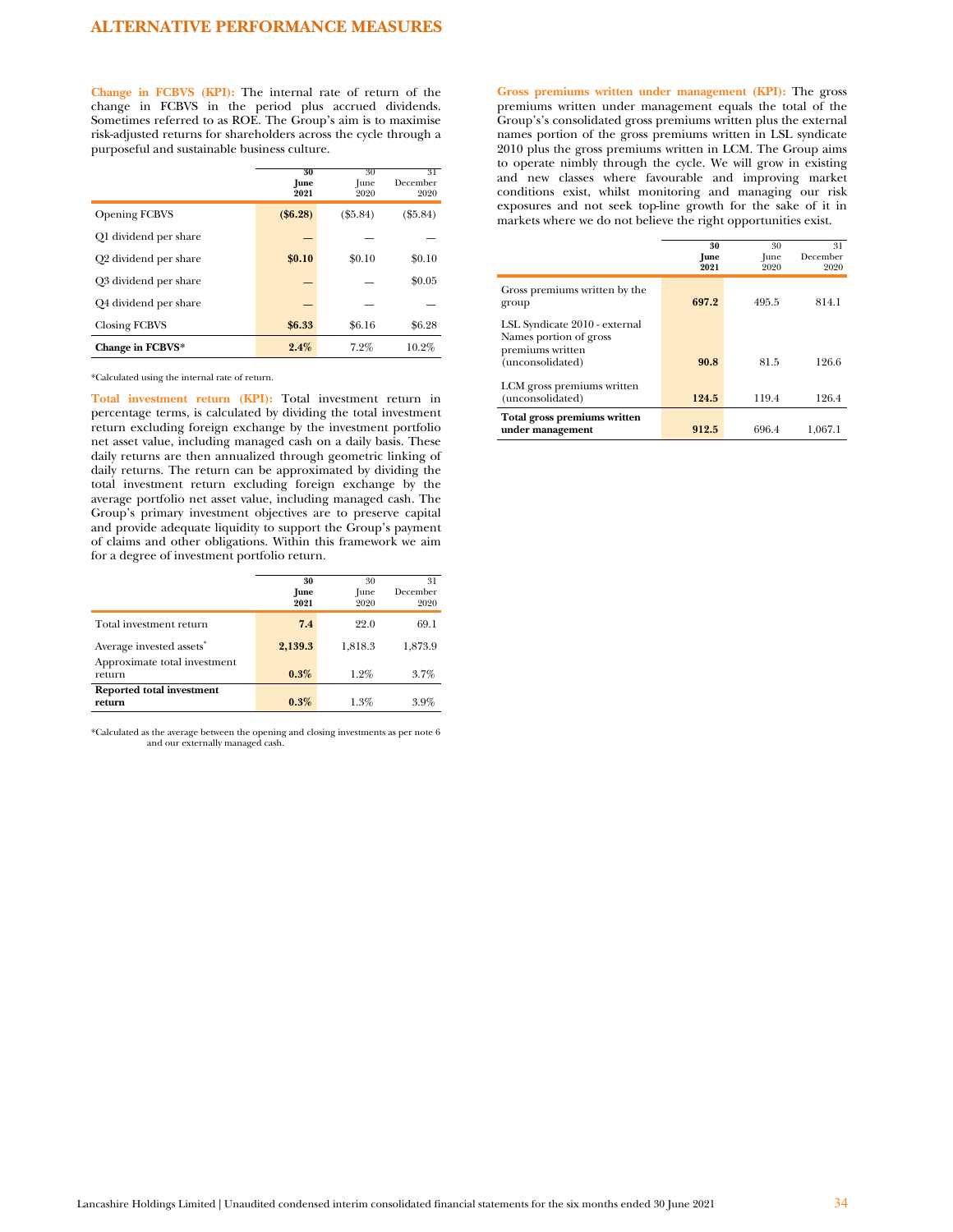**Change in FCBVS (KPI):** The internal rate of return of the change in FCBVS in the period plus accrued dividends. Sometimes referred to as ROE. The Group's aim is to maximise risk-adjusted returns for shareholders across the cycle through a purposeful and sustainable business culture.

|                                   | 30<br>June<br>2021 | 30<br>June<br>2020 | 31<br>December<br>2020 |
|-----------------------------------|--------------------|--------------------|------------------------|
| <b>Opening FCBVS</b>              | (\$6.28)           | $(\$5.84)$         | $(\$5.84)$             |
| Q1 dividend per share             |                    |                    |                        |
| Q <sub>2</sub> dividend per share | \$0.10             | \$0.10             | \$0.10                 |
| Q3 dividend per share             |                    |                    | \$0.05                 |
| Q4 dividend per share             |                    |                    |                        |
| <b>Closing FCBVS</b>              | \$6.33             | \$6.16             | \$6.28                 |
| Change in FCBVS*                  | 2.4%               | 7.2%               | 10.2%                  |

\*Calculated using the internal rate of return.

**Total investment return (KPI):** Total investment return in percentage terms, is calculated by dividing the total investment return excluding foreign exchange by the investment portfolio net asset value, including managed cash on a daily basis. These daily returns are then annualized through geometric linking of daily returns. The return can be approximated by dividing the total investment return excluding foreign exchange by the average portfolio net asset value, including managed cash. The Group's primary investment objectives are to preserve capital and provide adequate liquidity to support the Group's payment of claims and other obligations. Within this framework we aim for a degree of investment portfolio return.

|                                        | 30<br>June<br>2021 | 30<br>June<br>2020 | 31<br>December<br>2020 |
|----------------------------------------|--------------------|--------------------|------------------------|
| Total investment return                | 7.4                | 22.0               | 69.1                   |
| Average invested assets <sup>*</sup>   | 2,139.3            | 1,818.3            | 1.873.9                |
| Approximate total investment<br>return | 0.3%               | $1.2\%$            | 3.7%                   |
| Reported total investment<br>return    | 0.3%               | 1.3%               | 3.9%                   |

\*Calculated as the average between the opening and closing investments as per note 6 and our externally managed cash.

**Gross premiums written under management (KPI):** The gross premiums written under management equals the total of the Group's's consolidated gross premiums written plus the external names portion of the gross premiums written in LSL syndicate 2010 plus the gross premiums written in LCM. The Group aims to operate nimbly through the cycle. We will grow in existing and new classes where favourable and improving market conditions exist, whilst monitoring and managing our risk exposures and not seek top-line growth for the sake of it in markets where we do not believe the right opportunities exist.

|                                                                                                 | 30<br>June<br>2021 | 30<br>June<br>2020 | 31<br>December<br>2020 |
|-------------------------------------------------------------------------------------------------|--------------------|--------------------|------------------------|
| Gross premiums written by the<br>group                                                          | 697.2              | 495.5              | 814.1                  |
| LSL Syndicate 2010 - external<br>Names portion of gross<br>premiums written<br>(unconsolidated) | 90.8               | 81.5               | 126.6                  |
| LCM gross premiums written<br>(unconsolidated)                                                  | 124.5              | 119.4              | 126.4                  |
| Total gross premiums written<br>under management                                                | 912.5              | 696.4              | 1,067.1                |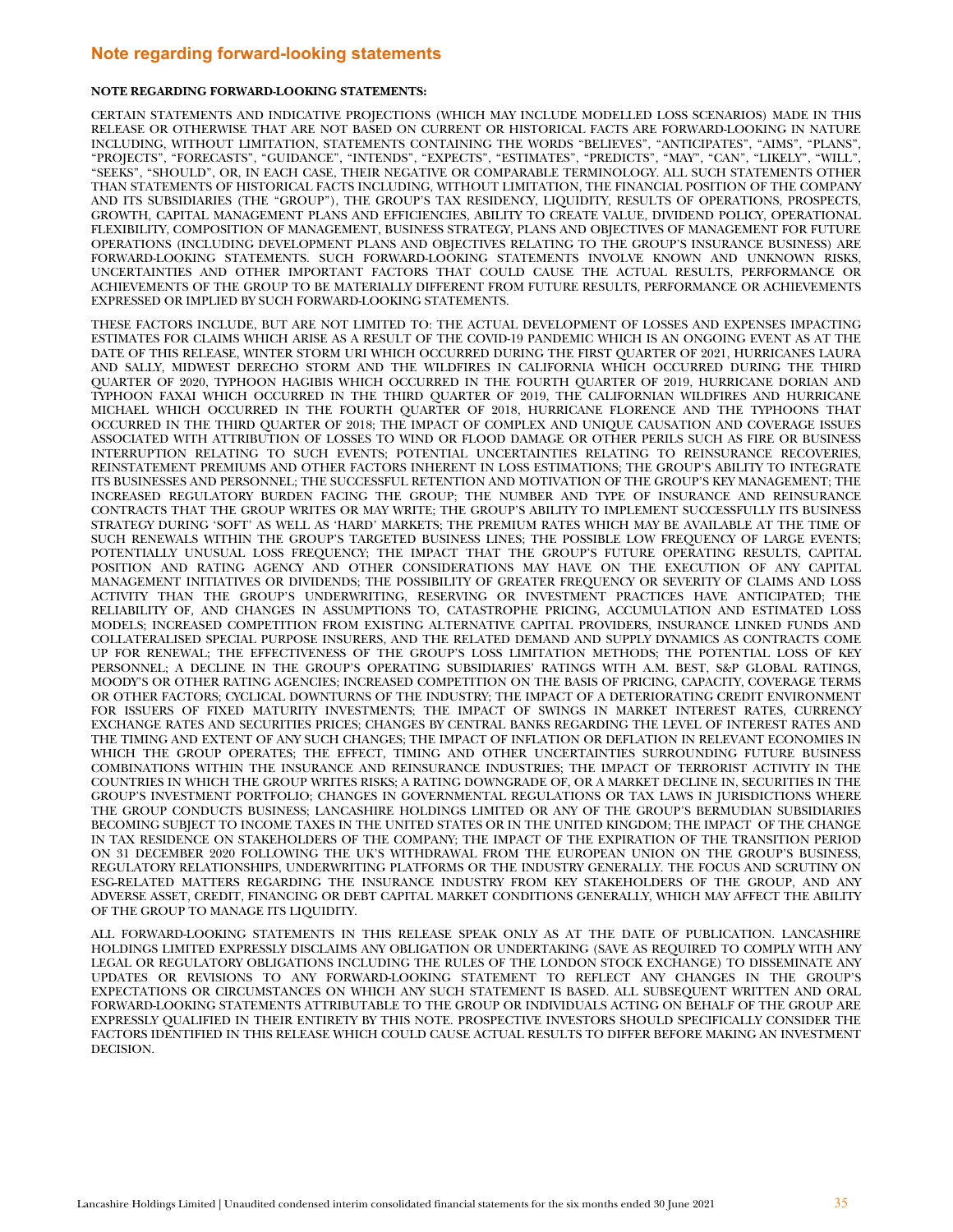# <span id="page-35-0"></span>**Note regarding forward-looking statements**

#### **NOTE REGARDING FORWARD-LOOKING STATEMENTS:**

CERTAIN STATEMENTS AND INDICATIVE PROJECTIONS (WHICH MAY INCLUDE MODELLED LOSS SCENARIOS) MADE IN THIS RELEASE OR OTHERWISE THAT ARE NOT BASED ON CURRENT OR HISTORICAL FACTS ARE FORWARD-LOOKING IN NATURE INCLUDING, WITHOUT LIMITATION, STATEMENTS CONTAINING THE WORDS "BELIEVES", "ANTICIPATES", "AIMS", "PLANS", "PROJECTS", "FORECASTS", "GUIDANCE", "INTENDS", "EXPECTS", "ESTIMATES", "PREDICTS", "MAY", "CAN", "LIKELY", "WILL", "SEEKS", "SHOULD", OR, IN EACH CASE, THEIR NEGATIVE OR COMPARABLE TERMINOLOGY. ALL SUCH STATEMENTS OTHER THAN STATEMENTS OF HISTORICAL FACTS INCLUDING, WITHOUT LIMITATION, THE FINANCIAL POSITION OF THE COMPANY AND ITS SUBSIDIARIES (THE "GROUP"), THE GROUP'S TAX RESIDENCY, LIQUIDITY, RESULTS OF OPERATIONS, PROSPECTS, GROWTH, CAPITAL MANAGEMENT PLANS AND EFFICIENCIES, ABILITY TO CREATE VALUE, DIVIDEND POLICY, OPERATIONAL FLEXIBILITY, COMPOSITION OF MANAGEMENT, BUSINESS STRATEGY, PLANS AND OBJECTIVES OF MANAGEMENT FOR FUTURE OPERATIONS (INCLUDING DEVELOPMENT PLANS AND OBJECTIVES RELATING TO THE GROUP'S INSURANCE BUSINESS) ARE FORWARD-LOOKING STATEMENTS. SUCH FORWARD-LOOKING STATEMENTS INVOLVE KNOWN AND UNKNOWN RISKS, UNCERTAINTIES AND OTHER IMPORTANT FACTORS THAT COULD CAUSE THE ACTUAL RESULTS, PERFORMANCE OR ACHIEVEMENTS OF THE GROUP TO BE MATERIALLY DIFFERENT FROM FUTURE RESULTS, PERFORMANCE OR ACHIEVEMENTS EXPRESSED OR IMPLIED BY SUCH FORWARD-LOOKING STATEMENTS.

THESE FACTORS INCLUDE, BUT ARE NOT LIMITED TO: THE ACTUAL DEVELOPMENT OF LOSSES AND EXPENSES IMPACTING ESTIMATES FOR CLAIMS WHICH ARISE AS A RESULT OF THE COVID-19 PANDEMIC WHICH IS AN ONGOING EVENT AS AT THE DATE OF THIS RELEASE, WINTER STORM URI WHICH OCCURRED DURING THE FIRST QUARTER OF 2021, HURRICANES LAURA AND SALLY, MIDWEST DERECHO STORM AND THE WILDFIRES IN CALIFORNIA WHICH OCCURRED DURING THE THIRD QUARTER OF 2020, TYPHOON HAGIBIS WHICH OCCURRED IN THE FOURTH QUARTER OF 2019, HURRICANE DORIAN AND TYPHOON FAXAI WHICH OCCURRED IN THE THIRD QUARTER OF 2019, THE CALIFORNIAN WILDFIRES AND HURRICANE MICHAEL WHICH OCCURRED IN THE FOURTH QUARTER OF 2018, HURRICANE FLORENCE AND THE TYPHOONS THAT OCCURRED IN THE THIRD QUARTER OF 2018; THE IMPACT OF COMPLEX AND UNIQUE CAUSATION AND COVERAGE ISSUES ASSOCIATED WITH ATTRIBUTION OF LOSSES TO WIND OR FLOOD DAMAGE OR OTHER PERILS SUCH AS FIRE OR BUSINESS INTERRUPTION RELATING TO SUCH EVENTS; POTENTIAL UNCERTAINTIES RELATING TO REINSURANCE RECOVERIES, REINSTATEMENT PREMIUMS AND OTHER FACTORS INHERENT IN LOSS ESTIMATIONS; THE GROUP'S ABILITY TO INTEGRATE ITS BUSINESSES AND PERSONNEL; THE SUCCESSFUL RETENTION AND MOTIVATION OF THE GROUP'S KEY MANAGEMENT; THE INCREASED REGULATORY BURDEN FACING THE GROUP; THE NUMBER AND TYPE OF INSURANCE AND REINSURANCE CONTRACTS THAT THE GROUP WRITES OR MAY WRITE; THE GROUP'S ABILITY TO IMPLEMENT SUCCESSFULLY ITS BUSINESS STRATEGY DURING 'SOFT' AS WELL AS 'HARD' MARKETS; THE PREMIUM RATES WHICH MAY BE AVAILABLE AT THE TIME OF SUCH RENEWALS WITHIN THE GROUP'S TARGETED BUSINESS LINES; THE POSSIBLE LOW FREQUENCY OF LARGE EVENTS; POTENTIALLY UNUSUAL LOSS FREQUENCY; THE IMPACT THAT THE GROUP'S FUTURE OPERATING RESULTS, CAPITAL POSITION AND RATING AGENCY AND OTHER CONSIDERATIONS MAY HAVE ON THE EXECUTION OF ANY CAPITAL MANAGEMENT INITIATIVES OR DIVIDENDS; THE POSSIBILITY OF GREATER FREQUENCY OR SEVERITY OF CLAIMS AND LOSS ACTIVITY THAN THE GROUP'S UNDERWRITING, RESERVING OR INVESTMENT PRACTICES HAVE ANTICIPATED; THE RELIABILITY OF, AND CHANGES IN ASSUMPTIONS TO, CATASTROPHE PRICING, ACCUMULATION AND ESTIMATED LOSS MODELS; INCREASED COMPETITION FROM EXISTING ALTERNATIVE CAPITAL PROVIDERS, INSURANCE LINKED FUNDS AND COLLATERALISED SPECIAL PURPOSE INSURERS, AND THE RELATED DEMAND AND SUPPLY DYNAMICS AS CONTRACTS COME UP FOR RENEWAL; THE EFFECTIVENESS OF THE GROUP'S LOSS LIMITATION METHODS; THE POTENTIAL LOSS OF KEY PERSONNEL; A DECLINE IN THE GROUP'S OPERATING SUBSIDIARIES' RATINGS WITH A.M. BEST, S&P GLOBAL RATINGS, MOODY'S OR OTHER RATING AGENCIES; INCREASED COMPETITION ON THE BASIS OF PRICING, CAPACITY, COVERAGE TERMS OR OTHER FACTORS; CYCLICAL DOWNTURNS OF THE INDUSTRY; THE IMPACT OF A DETERIORATING CREDIT ENVIRONMENT FOR ISSUERS OF FIXED MATURITY INVESTMENTS; THE IMPACT OF SWINGS IN MARKET INTEREST RATES, CURRENCY EXCHANGE RATES AND SECURITIES PRICES; CHANGES BY CENTRAL BANKS REGARDING THE LEVEL OF INTEREST RATES AND THE TIMING AND EXTENT OF ANY SUCH CHANGES; THE IMPACT OF INFLATION OR DEFLATION IN RELEVANT ECONOMIES IN WHICH THE GROUP OPERATES; THE EFFECT, TIMING AND OTHER UNCERTAINTIES SURROUNDING FUTURE BUSINESS COMBINATIONS WITHIN THE INSURANCE AND REINSURANCE INDUSTRIES; THE IMPACT OF TERRORIST ACTIVITY IN THE COUNTRIES IN WHICH THE GROUP WRITES RISKS; A RATING DOWNGRADE OF, OR A MARKET DECLINE IN, SECURITIES IN THE GROUP'S INVESTMENT PORTFOLIO; CHANGES IN GOVERNMENTAL REGULATIONS OR TAX LAWS IN JURISDICTIONS WHERE THE GROUP CONDUCTS BUSINESS; LANCASHIRE HOLDINGS LIMITED OR ANY OF THE GROUP'S BERMUDIAN SUBSIDIARIES BECOMING SUBJECT TO INCOME TAXES IN THE UNITED STATES OR IN THE UNITED KINGDOM; THE IMPACT OF THE CHANGE IN TAX RESIDENCE ON STAKEHOLDERS OF THE COMPANY; THE IMPACT OF THE EXPIRATION OF THE TRANSITION PERIOD ON 31 DECEMBER 2020 FOLLOWING THE UK'S WITHDRAWAL FROM THE EUROPEAN UNION ON THE GROUP'S BUSINESS, REGULATORY RELATIONSHIPS, UNDERWRITING PLATFORMS OR THE INDUSTRY GENERALLY. THE FOCUS AND SCRUTINY ON ESG-RELATED MATTERS REGARDING THE INSURANCE INDUSTRY FROM KEY STAKEHOLDERS OF THE GROUP, AND ANY ADVERSE ASSET, CREDIT, FINANCING OR DEBT CAPITAL MARKET CONDITIONS GENERALLY, WHICH MAY AFFECT THE ABILITY OF THE GROUP TO MANAGE ITS LIQUIDITY.

ALL FORWARD-LOOKING STATEMENTS IN THIS RELEASE SPEAK ONLY AS AT THE DATE OF PUBLICATION. LANCASHIRE HOLDINGS LIMITED EXPRESSLY DISCLAIMS ANY OBLIGATION OR UNDERTAKING (SAVE AS REQUIRED TO COMPLY WITH ANY LEGAL OR REGULATORY OBLIGATIONS INCLUDING THE RULES OF THE LONDON STOCK EXCHANGE) TO DISSEMINATE ANY UPDATES OR REVISIONS TO ANY FORWARD-LOOKING STATEMENT TO REFLECT ANY CHANGES IN THE GROUP'S EXPECTATIONS OR CIRCUMSTANCES ON WHICH ANY SUCH STATEMENT IS BASED. ALL SUBSEQUENT WRITTEN AND ORAL FORWARD-LOOKING STATEMENTS ATTRIBUTABLE TO THE GROUP OR INDIVIDUALS ACTING ON BEHALF OF THE GROUP ARE EXPRESSLY QUALIFIED IN THEIR ENTIRETY BY THIS NOTE. PROSPECTIVE INVESTORS SHOULD SPECIFICALLY CONSIDER THE FACTORS IDENTIFIED IN THIS RELEASE WHICH COULD CAUSE ACTUAL RESULTS TO DIFFER BEFORE MAKING AN INVESTMENT DECISION.